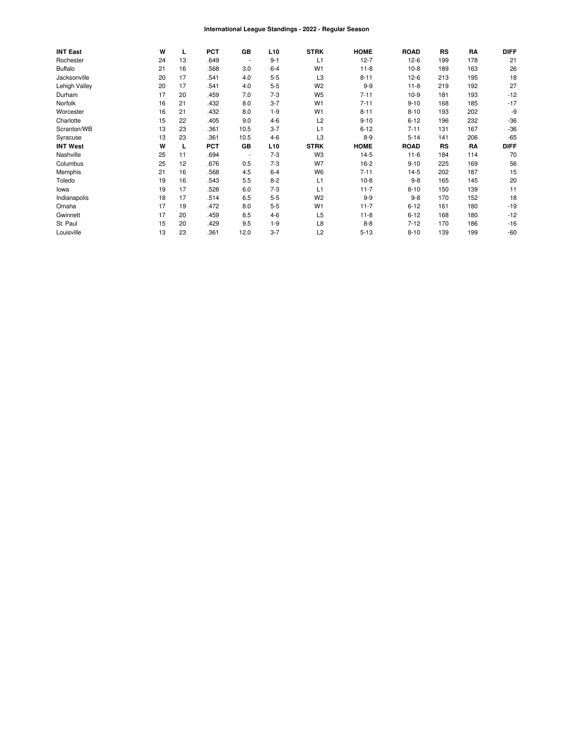#### International League Standings - 2022 - Regular Season

| <b>INT East</b> | W  | L  | <b>PCT</b> | GB             | L <sub>10</sub> | <b>STRK</b>    | <b>HOME</b> | <b>ROAD</b> | RS        | RA  | <b>DIFF</b> |
|-----------------|----|----|------------|----------------|-----------------|----------------|-------------|-------------|-----------|-----|-------------|
| Rochester       | 24 | 13 | .649       | $\blacksquare$ | $9 - 1$         | L1             | $12 - 7$    | $12-6$      | 199       | 178 | 21          |
| <b>Buffalo</b>  | 21 | 16 | .568       | 3.0            | $6 - 4$         | W <sub>1</sub> | $11 - 8$    | $10-8$      | 189       | 163 | 26          |
| Jacksonville    | 20 | 17 | .541       | 4.0            | $5 - 5$         | L <sub>3</sub> | $8 - 11$    | $12-6$      | 213       | 195 | 18          |
| Lehigh Valley   | 20 | 17 | .541       | 4.0            | $5-5$           | W <sub>2</sub> | $9 - 9$     | $11 - 8$    | 219       | 192 | 27          |
| Durham          | 17 | 20 | .459       | 7.0            | $7 - 3$         | W <sub>5</sub> | $7 - 11$    | $10-9$      | 181       | 193 | $-12$       |
| Norfolk         | 16 | 21 | .432       | 8.0            | $3 - 7$         | W <sub>1</sub> | $7 - 11$    | $9 - 10$    | 168       | 185 | $-17$       |
| Worcester       | 16 | 21 | .432       | 8.0            | $1 - 9$         | W <sub>1</sub> | $8 - 11$    | $8 - 10$    | 193       | 202 | -9          |
| Charlotte       | 15 | 22 | .405       | 9.0            | $4 - 6$         | L2             | $9 - 10$    | $6 - 12$    | 196       | 232 | $-36$       |
| Scranton/WB     | 13 | 23 | .361       | 10.5           | $3 - 7$         | L1             | $6 - 12$    | $7 - 11$    | 131       | 167 | $-36$       |
| Syracuse        | 13 | 23 | .361       | 10.5           | $4 - 6$         | L3             | $8 - 9$     | $5 - 14$    | 141       | 206 | $-65$       |
| <b>INT West</b> | W  | L  | <b>PCT</b> | GB             | L <sub>10</sub> | <b>STRK</b>    | <b>HOME</b> | <b>ROAD</b> | <b>RS</b> | RA  | <b>DIFF</b> |
| Nashville       | 25 | 11 | .694       | $\blacksquare$ | $7 - 3$         | W <sub>3</sub> | $14-5$      | $11 - 6$    | 184       | 114 | 70          |
| Columbus        | 25 | 12 | .676       | 0.5            | $7 - 3$         | W7             | $16-2$      | $9 - 10$    | 225       | 169 | 56          |
| Memphis         | 21 | 16 | .568       | 4.5            | $6 - 4$         | W <sub>6</sub> | $7 - 11$    | $14-5$      | 202       | 187 | 15          |
| Toledo          | 19 | 16 | .543       | 5.5            | $8 - 2$         | L1             | $10-8$      | $9 - 8$     | 165       | 145 | 20          |
| lowa            | 19 | 17 | .528       | 6.0            | $7 - 3$         | L1             | $11 - 7$    | $8 - 10$    | 150       | 139 | 11          |
| Indianapolis    | 18 | 17 | .514       | 6.5            | $5-5$           | W <sub>2</sub> | $9 - 9$     | $9 - 8$     | 170       | 152 | 18          |
| Omaha           | 17 | 19 | .472       | 8.0            | $5 - 5$         | W <sub>1</sub> | $11 - 7$    | $6 - 12$    | 161       | 180 | $-19$       |
| Gwinnett        | 17 | 20 | .459       | 8.5            | $4 - 6$         | L <sub>5</sub> | $11 - 8$    | $6 - 12$    | 168       | 180 | $-12$       |
| St. Paul        | 15 | 20 | .429       | 9.5            | $1 - 9$         | L8             | $8 - 8$     | $7 - 12$    | 170       | 186 | $-16$       |
| Louisville      | 13 | 23 | .361       | 12.0           | $3 - 7$         | L2             | $5 - 13$    | $8 - 10$    | 139       | 199 | $-60$       |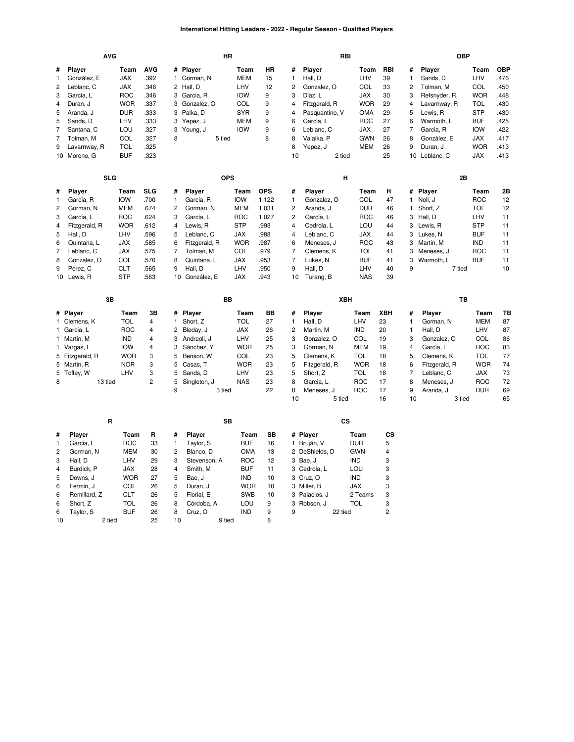#### **International Hitting Leaders - 2022 - Regular Season - Qualified Players**

|                | <b>AVG</b>      |            |                         |                | HR             |            |            |                |                | RBI           |            |     |              | <b>OBP</b>    |            |            |
|----------------|-----------------|------------|-------------------------|----------------|----------------|------------|------------|----------------|----------------|---------------|------------|-----|--------------|---------------|------------|------------|
| #              | Player          | Team       | <b>AVG</b>              |                | # Player       | Team       | HR         | #              | Player         |               | Team       | RBI | #            | Player        | Team       | <b>OBP</b> |
| 1              | González, E     | <b>JAX</b> | .392                    | $\mathbf{1}$   | Gorman, N      | <b>MEM</b> | 15         | $\mathbf{1}$   | Hall, D        |               | LHV        | 39  | 1            | Sands, D      | LHV        | .476       |
| $\overline{c}$ | Leblanc, C      | <b>JAX</b> | .346                    |                | 2 Hall, D      | LHV        | 12         | $\overline{c}$ | Gonzalez, O    |               | COL        | 33  | 2            | Tolman, M     | COL        | .450       |
| 3              | García, L       | <b>ROC</b> | .346                    | 3              | García, R      | <b>IOW</b> | 9          | 3              | Díaz, L        |               | <b>JAX</b> | 30  | 3            | Refsnyder, R  | <b>WOR</b> | .448       |
| 4              | Duran, J        | <b>WOR</b> | .337                    | 3              | Gonzalez, O    | COL        | 9          | $\overline{4}$ | Fitzgerald, R  |               | <b>WOR</b> | 29  | 4            | Lavarnway, R  | TOL        | .430       |
| 5              | Aranda, J       | <b>DUR</b> | .333                    |                | 3 Palka, D     | <b>SYR</b> | 9          | $\overline{4}$ | Pasquantino, V |               | OMA        | 29  | 5            | Lewis, R      | <b>STP</b> | .430       |
| 5              | Sands, D        | LHV        | .333                    | 3              | Yepez, J       | <b>MEM</b> | 9          | 6              | García, L      |               | <b>ROC</b> | 27  | 6            | Warmoth, L    | <b>BUF</b> | .425       |
| $\overline{7}$ | Santana, C      | LOU        | .327                    | 3              | Young, J       | <b>IOW</b> | 9          | 6              | Leblanc, C     |               | <b>JAX</b> | 27  | 7            | García, R     | <b>IOW</b> | 422        |
| $\overline{7}$ | Tolman, M       | COL        | .327                    | 8              | 5 tied         |            | 8          | 8              | Valaika, P     |               | <b>GWN</b> | 26  | 8            | González, E   | <b>JAX</b> | .417       |
| 9              | Lavarnway, R    | <b>TOL</b> | .325                    |                |                |            |            | 8              | Yepez, J       |               | MEM        | 26  | 9            | Duran, J      | <b>WOR</b> | .413       |
|                | 10 Moreno, G    | <b>BUF</b> | .323                    |                |                |            |            | 10             |                | 2 tied        |            | 25  |              | 10 Leblanc, C | <b>JAX</b> | .413       |
|                | <b>SLG</b>      |            |                         |                | <b>OPS</b>     |            |            |                |                | Н             |            |     |              | 2В            |            |            |
| #              | Player          | Team       | <b>SLG</b>              | #              | Player         | Team       | <b>OPS</b> | #              | Player         |               | Team       | н   |              | # Player      | Team       | 2Β         |
| 1              | García, R       | <b>IOW</b> | .700                    | $\mathbf{1}$   | García, R      | <b>IOW</b> | 1.122      | $\mathbf{1}$   | Gonzalez, O    |               | COL        | 47  | $\mathbf{1}$ | Noll, J       | <b>ROC</b> | 12         |
| 2              | Gorman, N       | <b>MEM</b> | .674                    | $\overline{c}$ | Gorman, N      | <b>MEM</b> | 1.031      | $\overline{c}$ | Aranda, J      |               | <b>DUR</b> | 46  | 1            | Short, Z      | <b>TOL</b> | 12         |
| 3              | García, L       | <b>ROC</b> | .624                    | 3              | García, L      | <b>ROC</b> | 1.027      | 2              | García, L      |               | <b>ROC</b> | 46  | 3            | Hall, D       | LHV        | 11         |
| 4              | Fitzgerald, R   | <b>WOR</b> | .612                    | $\overline{4}$ | Lewis, R       | <b>STP</b> | .993       | $\overline{4}$ | Cedrola, L     |               | LOU        | 44  | 3            | Lewis, R      | <b>STP</b> | 11         |
| 5              | Hall, D         | LHV        | .596                    | 5              | Leblanc, C     | <b>JAX</b> | .988       | 4              | Leblanc, C     |               | JAX        | 44  | 3            | Lukes, N      | <b>BUF</b> | 11         |
| 6              | Quintana, L     | JAX        | .585                    | 6              | Fitzgerald, R  | <b>WOR</b> | .987       | 6              | Meneses, J     |               | <b>ROC</b> | 43  | 3            | Martin, M     | IND        | 11         |
| 7              | Leblanc, C      | <b>JAX</b> | .575                    | 7              | Tolman, M      | COL        | .979       | 7              | Clemens, K     |               | TOL        | 41  | 3            | Meneses, J    | ROC        | 11         |
| 8              | Gonzalez, O     | COL        | .570                    | 8              | Quintana, L    | JAX        | .953       | 7              | Lukes, N       |               | <b>BUF</b> | 41  | 3            | Warmoth, L    | <b>BUF</b> | 11         |
| 9              | Pérez, C        | <b>CLT</b> | .565                    | 9              | Hall, D        | LHV        | .950       | 9              | Hall, D        |               | LHV        | 40  | 9            | 7 tied        |            | 10         |
|                | 10 Lewis, R     | <b>STP</b> | .563                    |                | 10 González, E | <b>JAX</b> | .943       | 10             | Turang, B      |               | <b>NAS</b> | 39  |              |               |            |            |
|                |                 |            |                         |                |                |            |            |                |                |               |            |     |              |               |            |            |
|                | 3B              |            |                         |                | BB             |            |            |                |                | <b>XBH</b>    |            |     |              | TB            |            |            |
|                | # Player        | Team       | 3B                      | #              | Player         | Team       | BВ         | #              | Player         |               | Team       | XBH | #            | Player        | Team       | ΤВ         |
|                | 1 Clemens, K    | <b>TOL</b> | $\overline{\mathbf{4}}$ | $\mathbf{1}$   | Short, Z       | <b>TOL</b> | 27         | $\mathbf{1}$   | Hall, D        |               | LHV        | 23  | $\mathbf{1}$ | Gorman, N     | <b>MEM</b> | 87         |
|                | 1 García, L     | <b>ROC</b> | $\overline{4}$          | $\overline{c}$ | Bleday, J      | <b>JAX</b> | 26         | $\overline{c}$ | Martin, M      |               | IND        | 20  | $\mathbf{1}$ | Hall, D       | LHV        | 87         |
|                | 1 Martin, M     | <b>IND</b> | 4                       | 3              | Andreoli, J    | LHV        | 25         | 3              | Gonzalez, O    |               | COL        | 19  | 3            | Gonzalez, O   | COL        | 86         |
|                | 1 Vargas, I     | <b>IOW</b> | 4                       | 3              | Sánchez, Y     | <b>WOR</b> | 25         | 3              | Gorman, N      |               | MEM        | 19  | 4            | García, L     | <b>ROC</b> | 83         |
|                | 5 Fitzgerald, R | <b>WOR</b> | 3                       | 5              | Benson, W      | COL        | 23         | 5              | Clemens, K     |               | TOL        | 18  | 5            | Clemens, K    | <b>TOL</b> | 77         |
|                | 5 Martin, R     | <b>NOR</b> | 3                       | 5              | Casas, T       | <b>WOR</b> | 23         | 5              | Fitzgerald, R  |               | <b>WOR</b> | 18  | 6            | Fitzgerald, R | <b>WOR</b> | 74         |
| 5              | Toffey, W       | LHV        | 3                       | 5              | Sands, D       | LHV        | 23         | 5              | Short, Z       |               | TOL        | 18  | 7            | Leblanc, C    | JAX        | 73         |
| 8              | 13 tied         |            | $\overline{2}$          | 5              | Singleton, J   | <b>NAS</b> | 23         | 8              | García, L      |               | <b>ROC</b> | 17  | 8            | Meneses, J    | <b>ROC</b> | 72         |
|                |                 |            |                         | 9              | 3 tied         |            | 22         | 8              | Meneses, J     |               | <b>ROC</b> | 17  | 9            | Aranda, J     | <b>DUR</b> | 69         |
|                |                 |            |                         |                |                |            |            | 10             |                | 5 tied        |            | 16  | 10           | 3 tied        |            | 65         |
|                | R               |            |                         |                | <b>SB</b>      |            |            |                |                | $\mathsf{cs}$ |            |     |              |               |            |            |
| #              | Player          | Team       | R                       | #              | Player         | Team       | SB         |                | # Player       |               | Team       | CS  |              |               |            |            |
| $\mathbf{1}$   | García, L       | <b>ROC</b> | 33                      | $\mathbf{1}$   | Taylor, S      | <b>BUF</b> | 16         |                | 1 Bruján, V    |               | <b>DUR</b> | 5   |              |               |            |            |
| 2              | Gorman, N       | <b>MEM</b> | 30                      | $\overline{c}$ | Blanco, D      | <b>OMA</b> | 13         |                | 2 DeShields, D |               | <b>GWN</b> | 4   |              |               |            |            |
| 3              | Hall, D         | LHV        | 29                      | 3              | Stevenson, A   | ROC        | 12         |                | 3 Bae, J       |               | <b>IND</b> | 3   |              |               |            |            |
| 4              | Burdick, P      | <b>JAX</b> | 28                      | $\overline{4}$ | Smith, M       | <b>BUF</b> | 11         |                | 3 Cedrola, L   |               | LOU        | 3   |              |               |            |            |
| 5              | Downs, J        | <b>WOR</b> | 27                      | 5              | Bae, J         | IND        | 10         |                | 3 Cruz, O      |               | <b>IND</b> | 3   |              |               |            |            |
| 6              | Fermin, J       | COL        | 26                      | 5              | Duran, J       | <b>WOR</b> | 10         |                | 3 Miller, B    |               | <b>JAX</b> | 3   |              |               |            |            |
| 6              | Remillard, Z    | <b>CLT</b> | 26                      | 5              | Florial, E     | <b>SWB</b> | 10         |                | 3 Palacios, J  |               | 2 Teams    | 3   |              |               |            |            |
| 6              | Short, Z        | <b>TOL</b> | 26                      | 8              | Córdoba, A     | LOU        | 9          |                | 3 Robson, J    |               | <b>TOL</b> | 3   |              |               |            |            |

 [Robson,](https://research.mlb.com/players/615699/stats#orgId=117) J [TOL](https://research.mlb.com/teams/512/stats#timeframe=2022) 3 22 tied 2

8 Corupus, A CORN CORN<br>8 [Cruz,](https://research.mlb.com/players/665833/stats#orgId=117) O [IND](https://research.mlb.com/teams/484/stats#timeframe=2022) 9<br>10 9 tied 8  $\frac{1}{2}$  9 tied

 [Short,](https://research.mlb.com/players/670097/stats#orgId=117) Z [TOL](https://research.mlb.com/teams/512/stats#timeframe=2022) 26 [Taylor,](https://research.mlb.com/players/669392/stats#orgId=117) S [BUF](https://research.mlb.com/teams/422/stats#timeframe=2022) 26 2 tied 25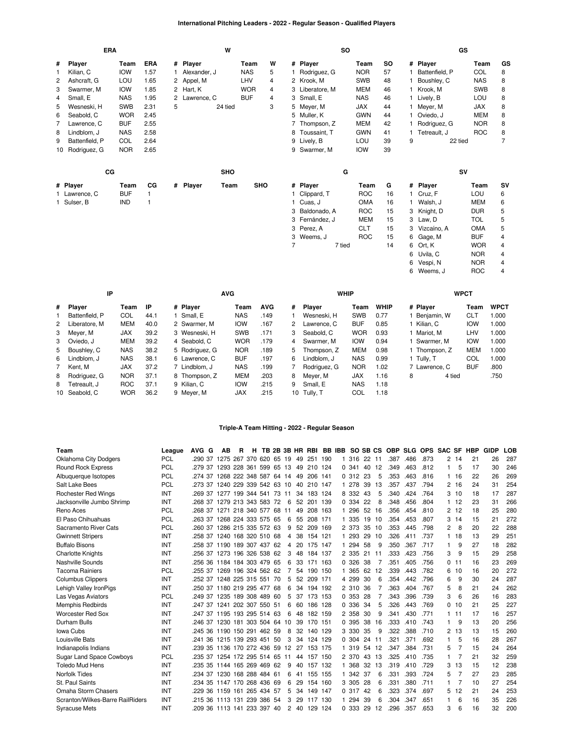### **International Pitching Leaders - 2022 - Regular Season - Qualified Players**

| <b>ERA</b>   |                 |            |              |   |              | W          |            |   |   |                 | <b>SO</b> |            |           |    |                | GS      |            |                |
|--------------|-----------------|------------|--------------|---|--------------|------------|------------|---|---|-----------------|-----------|------------|-----------|----|----------------|---------|------------|----------------|
| #            | Player          | Team       | <b>ERA</b>   |   | # Player     |            | Team       | W |   | # Player        |           | Team       | <b>SO</b> |    | # Player       |         | Team       | GS             |
| $\mathbf{1}$ | Kilian, C       | <b>IOW</b> | 1.57         |   | Alexander, J |            | <b>NAS</b> | 5 |   | Rodriguez, G    |           | <b>NOR</b> | 57        |    | Battenfield, P |         | COL        | 8              |
| 2            | Ashcraft. G     | LOU        | 1.65         |   | 2 Appel, M   |            | LHV        | 4 |   | 2 Krook, M      |           | <b>SWB</b> | 48        |    | Boushley, C    |         | <b>NAS</b> | 8              |
| 3            | Swarmer, M      | <b>IOW</b> | 1.85         |   | 2 Hart, K    |            | <b>WOR</b> | 4 |   | 3 Liberatore, M |           | <b>MEM</b> | 46        | 1. | Krook, M       |         | <b>SWB</b> | 8              |
| 4            | Small, E        | <b>NAS</b> | 1.95         | 2 | Lawrence, C  |            | <b>BUF</b> | 4 |   | 3 Small, E      |           | <b>NAS</b> | 46        | 1. | Lively, B      |         | LOU        | 8              |
| 5            | Wesneski, H     | <b>SWB</b> | 2.31         | 5 |              | 24 tied    |            | 3 |   | 5 Meyer, M      |           | <b>JAX</b> | 44        | 1. | Meyer, M       |         | <b>JAX</b> | 8              |
| 6            | Seabold, C      | <b>WOR</b> | 2.45         |   |              |            |            |   |   | 5 Muller, K     |           | <b>GWN</b> | 44        |    | Oviedo, J      |         | <b>MEM</b> | 8              |
| 7            | Lawrence, C     | <b>BUF</b> | 2.55         |   |              |            |            |   |   | 7 Thompson, Z   |           | <b>MEM</b> | 42        |    | Rodriguez, G   |         | <b>NOR</b> | 8              |
| 8            | Lindblom, J     | <b>NAS</b> | 2.58         |   |              |            |            |   |   | 8 Toussaint, T  |           | <b>GWN</b> | 41        |    | 1 Tetreault, J |         | <b>ROC</b> | 8              |
| 9            | Battenfield, P  | COL        | 2.64         |   |              |            |            |   |   | 9 Lively, B     |           | LOU        | 39        | 9  |                | 22 tied |            | $\overline{7}$ |
|              | 10 Rodriguez, G | <b>NOR</b> | 2.65         |   |              |            |            |   |   | 9 Swarmer, M    |           | <b>IOW</b> | 39        |    |                |         |            |                |
|              | $_{\rm CG}$     |            |              |   |              | <b>SHO</b> |            |   |   |                 | G         |            |           |    |                | SV      |            |                |
|              | # Player        | Team       | CG           |   | # Player     | Team       | <b>SHO</b> |   |   | # Player        |           | Team       | G         |    | # Player       |         | Team       | SV             |
|              | 1 Lawrence, C   | <b>BUF</b> | $\mathbf{1}$ |   |              |            |            |   |   | Clippard, T     |           | <b>ROC</b> | 16        |    | Cruz, F        |         | <b>LOU</b> | 6              |
|              | 1 Sulser, B     | <b>IND</b> | 1            |   |              |            |            |   |   | 1 Cuas, J       |           | <b>OMA</b> | 16        | 1. | Walsh, J       |         | <b>MEM</b> | 6              |
|              |                 |            |              |   |              |            |            |   |   | 3 Baldonado, A  |           | <b>ROC</b> | 15        |    | 3 Knight, D    |         | <b>DUR</b> | 5              |
|              |                 |            |              |   |              |            |            |   |   | 3 Fernández, J  |           | <b>MEM</b> | 15        |    | 3 Law, D       |         | <b>TOL</b> | 5              |
|              |                 |            |              |   |              |            |            |   |   | 3 Perez, A      |           | <b>CLT</b> | 15        |    | 3 Vizcaíno, A  |         | <b>OMA</b> | 5              |
|              |                 |            |              |   |              |            |            |   |   | 3 Weems, J      |           | <b>ROC</b> | 15        |    | 6 Gage, M      |         | <b>BUF</b> | 4              |
|              |                 |            |              |   |              |            |            |   | 7 |                 | 7 tied    |            | 14        |    | 6 Ort, K       |         | <b>WOR</b> | 4              |
|              |                 |            |              |   |              |            |            |   |   |                 |           |            |           | 6  | Uvila, C       |         | <b>NOR</b> | 4              |
|              |                 |            |              |   |              |            |            |   |   |                 |           |            |           | 6  | Vespi, N       |         | <b>NOR</b> | 4              |
|              |                 |            |              |   |              |            |            |   |   |                 |           |            |           |    | 6 Weems, J     |         | <b>ROC</b> | 4              |

|   | IP             |            |      |                | <b>AVG</b> |            |   | <b>WHIP</b>   |            |             |   |               | <b>WPCT</b> |             |
|---|----------------|------------|------|----------------|------------|------------|---|---------------|------------|-------------|---|---------------|-------------|-------------|
| # | Player         | Team       | ΙP   | # Plaver       | Team       | <b>AVG</b> | # | <b>Plaver</b> | Team       | <b>WHIP</b> |   | # Player      | Team        | <b>WPCT</b> |
|   | Battenfield, P | COL        | 44.1 | 1 Small, E     | <b>NAS</b> | .149       |   | Wesneski, H   | <b>SWB</b> | 0.77        |   | Benjamin, W   | <b>CLT</b>  | 1.000       |
| 2 | Liberatore, M  | <b>MEM</b> | 40.0 | 2 Swarmer, M   | <b>IOW</b> | .167       | 2 | Lawrence, C   | <b>BUF</b> | 0.85        |   | Kilian, C     | <b>IOW</b>  | 1.000       |
|   | 3 Meyer, M     | <b>JAX</b> | 39.2 | 3 Wesneski, H  | <b>SWB</b> | .171       | 3 | Seabold, C    | <b>WOR</b> | 0.93        |   | Mariot. M     | LHV         | 1.000       |
|   | 3 Oviedo, J    | <b>MEM</b> | 39.2 | 4 Seabold, C   | <b>WOR</b> | .179       | 4 | Swarmer, M    | <b>IOW</b> | 0.94        |   | Swarmer. M    | <b>IOW</b>  | 1.000       |
|   | 5 Boushley, C  | <b>NAS</b> | 38.2 | 5 Rodriguez, G | <b>NOR</b> | .189       | 5 | Thompson, Z   | <b>MEM</b> | 0.98        |   | Thompson, Z   | <b>MEM</b>  | 1.000       |
| 6 | Lindblom. J    | <b>NAS</b> | 38.1 | 6 Lawrence, C  | <b>BUF</b> | .197       | 6 | Lindblom, J   | <b>NAS</b> | 0.99        |   | 1 Tullv. T    | COL         | 1.000       |
|   | Kent. M        | <b>JAX</b> | 37.2 | 7 Lindblom, J  | <b>NAS</b> | .199       |   | Rodriguez, G  | <b>NOR</b> | 1.02        |   | 7 Lawrence, C | <b>BUF</b>  | .800        |
| 8 | Rodriauez. G   | <b>NOR</b> | 37.1 | 8 Thompson, Z  | <b>MEM</b> | .203       | 8 | Mever, M      | <b>JAX</b> | 1.16        | 8 | 4 tied        |             | .750        |
| 8 | Tetreault, J   | <b>ROC</b> | 37.1 | 9 Kilian, C    | <b>IOW</b> | .215       | 9 | Small, E      | <b>NAS</b> | 1.18        |   |               |             |             |
|   | 10 Seabold, C  | <b>WOR</b> | 36.2 | 9 Meyer, M     | <b>JAX</b> | .215       |   | 10 Tully, T   | COL        | 1.18        |   |               |             |             |

### **Triple-A Team Hitting - 2022 - Regular Season**

| Team                             | League     | AVG G                          | AВ                     | R | н |    |                |    | TB 2B 3B HR RBI |     | BB IBB SO SB CS |     |     | <b>OBP</b> |      | SLG OPS SAC SF |          |    | HBP | <b>GIDP</b> | LOB |
|----------------------------------|------------|--------------------------------|------------------------|---|---|----|----------------|----|-----------------|-----|-----------------|-----|-----|------------|------|----------------|----------|----|-----|-------------|-----|
| Oklahoma City Dodgers            | <b>PCL</b> | .290 37 1275 267 370 620 65 19 |                        |   |   |    |                | 49 | 251 190         |     | 316             | 22  | -11 | .387       | .486 | .873           | 2        | 14 | 21  | 26          | 287 |
| Round Rock Express               | <b>PCL</b> | .279 37                        | 1293 228 361 599 65 13 |   |   |    |                | 49 | 210 124         |     | 0.341           | 40  | 12  | .349       | .463 | .812           | 1        | 5  | 17  | 30          | 246 |
| Albuquerque Isotopes             | PCL        | .274 37 1268 222 348 587 64 14 |                        |   |   |    |                | 49 | 206 141         |     | 0.312           | 23  | 5   | .353       | .463 | .816           | 1        | 16 | 22  | 26          | 269 |
| Salt Lake Bees                   | <b>PCL</b> | .273 37 1240 229 339 542 63 10 |                        |   |   |    |                | 40 | 210 147         |     | 1 278           | 39  | 13  | .357       | .437 | .794           | 2        | 16 | 24  | 31          | 254 |
| <b>Rochester Red Wings</b>       | INT        | .269 37 1277 199 344 541       |                        |   |   | 73 | 11             | 34 | 183 124         |     | 8 3 3 2         | 43  | 5   | .340       | .424 | .764           | 3        | 10 | 18  | 17          | 287 |
| Jacksonville Jumbo Shrimp        | INT        | .268 37                        | 1279 213 343 583 72    |   |   |    | -6             | 52 | 201 139         |     | 0 334           | 22  | 8   | .348       | .456 | .804           |          | 12 | 23  | 31          | 266 |
| Reno Aces                        | PCL        | .268 37 1271 218 340 577 68    |                        |   |   |    | 11             | 49 | 208 163         |     | 1 296           | 52  | 16  | .356       | .454 | .810           | 2        | 12 | 18  | 25          | 280 |
| El Paso Chihuahuas               | PCL        | .263 37 1268 224 333 575 65    |                        |   |   |    | -6             | 55 | 208 171         |     | 1 335           | 19  | 10  | .354       | .453 | .807           | 3        | 14 | 15  | 21          | 272 |
| Sacramento River Cats            | <b>PCL</b> | .260 37 1286 215 335 572 63    |                        |   |   |    | 9              | 52 | 209 169         |     | 2 373           | 35  | 10  | .353       | .445 | .798           | 2        | 8  | 20  | 22          | 288 |
| <b>Gwinnett Stripers</b>         | INT        | .258 37 1240 168 320 510 68    |                        |   |   |    | 4              | 38 | 154 121         |     | 293             | 29  | 10  | .326       | .411 | .737           |          | 18 | 13  | 29          | 251 |
| <b>Buffalo Bisons</b>            | INT        | 258 37 1190 189 307 437 62     |                        |   |   |    | 4              |    | 20 175 147      |     | 1 294           | 58  | 9   | .350       | .367 | .717           | 1        | g  | 27  | 18          | 282 |
| <b>Charlotte Knights</b>         | INT        | .256 37 1273 196 326 538 62    |                        |   |   |    | 3              | 48 | 184 137         |     | 2 335           | 21  | 11  | .333       | .423 | .756           | 3        | 9  | 15  | 29          | 258 |
| Nashville Sounds                 | INT        | 256 36 1184 184 303 479 65     |                        |   |   |    | 6              | 33 | 171             | 163 | 0.326           | 38  |     | .351       | .405 | .756           | 0        | 11 | 16  | 23          | 269 |
| <b>Tacoma Rainiers</b>           | <b>PCL</b> | .255 37 1269 196 324 562 62    |                        |   |   |    |                | 54 | 190 150         |     | 1 365           | 62  | 12  | .339       | .443 | .782           | 6        | 10 | 16  | 20          | 272 |
| <b>Columbus Clippers</b>         | INT        | .252 37                        | 1248 225 315 551       |   |   | 70 | 5              | 52 | 209 171         |     | 4 299           | 30  | 6   | .354       | .442 | .796           | 6        | 9  | 30  | 24          | 287 |
| Lehigh Valley IronPigs           | INT        | .250 37 1180 219 295 477 68    |                        |   |   |    | 6              |    | 34 194 192      |     | 2 310           | 36  |     | .363       | .404 | .767           | 5        | 8  | 21  | 24          | 262 |
| Las Vegas Aviators               | PCL        | 249 37 1235 189 308 489 60     |                        |   |   |    | 5              | 37 | 173 153         |     | 0.353           | 28  | 7   | .343       | .396 | .739           | 3        | 6  | 26  | 16          | 283 |
| <b>Memphis Redbirds</b>          | INT        | .247 37 1241 202 307 550 51    |                        |   |   |    | 6              | 60 | 186 128         |     | 0 336           | -34 | 5   | .326       | .443 | .769           | $\Omega$ | 10 | 21  | 25          | 227 |
| <b>Worcester Red Sox</b>         | INT        | .247 37 1195 193 295 514 63    |                        |   |   |    | 6              | 48 | 182 159         |     | 2 3 5 8         | 30  | 9   | .341       | .430 | .771           |          | 11 | 17  | 16          | 257 |
| Durham Bulls                     | INT        | 246 37 1230 181 303 504 64 10  |                        |   |   |    |                | 39 | 170 151         |     | 0 395           | 38  | 16  | .333       | .410 | .743           |          | 9  | 13  | 20          | 256 |
| <b>Iowa Cubs</b>                 | INT        | .245 36 1190 150 291 462 59    |                        |   |   |    | 8              |    | 32 140 129      |     | 3 3 3 0         | 35  | 9   | .322       | .388 | .710           | 2        | 13 | 13  | 15          | 260 |
| Louisville Bats                  | INT        | .241 36                        | 1215 139 293 451 50    |   |   |    | 3              | 34 | 124 129         |     | 0.304           | 24  | 11  | .321       | .371 | .692           | 1        | 5  | 16  | 28          | 267 |
| Indianapolis Indians             | INT        | .239 35 1136 170 272 436 59 12 |                        |   |   |    |                | 27 | 153 175         |     | 1 319           | 54  | 12  | .347       | .384 | .731           | 5        |    | 15  | 24          | 264 |
| <b>Sugar Land Space Cowboys</b>  | <b>PCL</b> | .235 37 1254 172 295 514 65    |                        |   |   |    | 11             |    | 44 157 150      |     | 2 370           | 43  | 13  | .325       | .410 | .735           | 1        |    | 21  | 32          | 259 |
| <b>Toledo Mud Hens</b>           | INT        | .235 35                        | 1144 165 269 469 62    |   |   |    | 9              | 40 | 157             | 132 | 368             | 32  | 13  | .319       | .410 | .729           | 3        | 13 | 15  | 12          | 238 |
| <b>Norfolk Tides</b>             | INT        | .234 37 1230 168 288 484 61    |                        |   |   |    | 6              | 41 | 155 155         |     | 1 342           | -37 | 6   | .331       | .393 | .724           | 5        |    | 27  | 23          | 285 |
| St. Paul Saints                  | INT        | .234 35 1147 170 268 436 69    |                        |   |   |    | 6              | 29 | 154 160         |     | 3 3 0 5         | 28  | 6   | .331       | .380 | .711           |          |    | 10  | 27          | 254 |
| Omaha Storm Chasers              | INT        | .229 36                        | 1159 161 265 434 57    |   |   |    | 5              | 34 | 149 147         |     | 0.317           | 42  | 6   | .323       | .374 | .697           | 5        | 12 | 21  | 24          | 253 |
| Scranton/Wilkes-Barre RailRiders | INT        | .215 36 1113 131 239 386 54    |                        |   |   |    | 3              | 29 | 117             | 130 | 1 294           | 39  | 6   | .304       | .347 | .651           |          | 6  | 16  | 35          | 226 |
| <b>Syracuse Mets</b>             | INT        | 209 36 1113 141 233 397 40     |                        |   |   |    | $\overline{2}$ | 40 | 129             | 124 | 0 333           | 29  | 12  | .296       | .357 | .653           | 3        | ĥ  | 16  | 32          | 200 |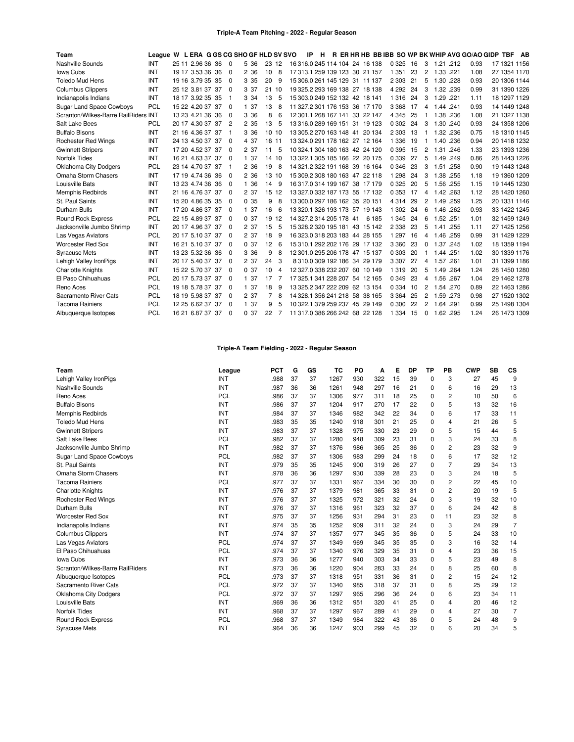| Team                                 | League W L ERA G GS CG SHO GF HLD SV SVO |       |                  |     |                |       |       |    |                                | IP<br>H. |  |                             | R ER HR HB BB IBB SO WP BK WHIP AVG GO/AO GIDP TBF |     |          |           |      |      |              | AB |
|--------------------------------------|------------------------------------------|-------|------------------|-----|----------------|-------|-------|----|--------------------------------|----------|--|-----------------------------|----------------------------------------------------|-----|----------|-----------|------|------|--------------|----|
| Nashville Sounds                     | INT                                      | 25 11 | 2.96 36 36       |     | $\Omega$       | 5 36  | 23 12 |    | 16 316 0 245 114 104 24 16 138 |          |  |                             | 0 3 2 5                                            | 16  | 3        | 1.21 .212 |      | 0.93 | 17 1321 1156 |    |
| Iowa Cubs                            | INT                                      |       | 19 17 3.53 36    | 36  | $\Omega$       | 2 3 6 | 10    | 8  | 17 313.1 259 139 123 30 21 157 |          |  |                             | 1 3 5 1                                            | 23  | 2        | 1.33 .221 |      | 1.08 | 27 1354 1170 |    |
| <b>Toledo Mud Hens</b>               | INT                                      |       | 19 16 3.79 35 35 |     | $\Omega$       | 3 3 5 | 20    | 9  | 15 306.0 261 145 129 31 11 137 |          |  |                             | 2 3 0 3                                            | 21  | 5        | 1.30 228  |      | 0.93 | 20 1306 1144 |    |
| <b>Columbus Clippers</b>             | INT                                      |       | 25 12 3.81 37    | 37  | $\Omega$       | 3 37  | 2110  |    | 19 325 2 293 169 138 27 18 138 |          |  |                             | 4 2 9 2                                            | 24  | 3        | 1.32 .239 |      | 0.99 | 31 1390 1226 |    |
| Indianapolis Indians                 | <b>INT</b>                               |       | 18 17 3.92 35 35 |     | -1             | 3 3 4 | 13    | 5  | 15 303.0 249 152 132 42 18 141 |          |  |                             | 1316                                               | 24  | 3        | 1.29      | .221 | 1.11 | 18 1297 1129 |    |
| <b>Sugar Land Space Cowboys</b>      | <b>PCL</b>                               |       | 15 22 4.20 37 37 |     | $\Omega$       | 1 37  | 13    | 8  | 11 327.2 301 176 153 36 17 170 |          |  |                             | 3 3 6 8                                            | 17  | 4        | 1.44 .241 |      | 0.93 | 14 1449 1248 |    |
| Scranton/Wilkes-Barre RailRiders INT |                                          |       | 13 23 4.21 36 36 |     | $\Omega$       | 3 3 6 | 8     | 6  | 12 301.1 268 167 141 33 22 147 |          |  |                             | 4 3 4 5                                            | 25  |          | 1.38 .236 |      | 1.08 | 21 1327 1138 |    |
| Salt Lake Bees                       | <b>PCL</b>                               |       | 20 17 4.30 37 37 |     | $\overline{c}$ | 2 3 5 | 13    | 5  | 13 316 0 289 169 151 31 19 123 |          |  |                             | 0 302                                              | 24  | 3        | 1.30 .240 |      | 0.93 | 24 1358 1206 |    |
| <b>Buffalo Bisons</b>                | INT                                      |       | 21 16 4.36 37 37 |     |                | 3 3 6 | 10 10 |    | 13 305 2 270 163 148 41 20 134 |          |  |                             | 2 3 0 3                                            | 13  |          | 1.32 .236 |      | 0.75 | 18 1310 1145 |    |
| <b>Rochester Red Wings</b>           | INT                                      |       | 24 13 4.50 37    | 37  | $\Omega$       | 4 37  | 16    | 11 | 13 324.0 291 178 162 27 12 164 |          |  |                             | 1 3 3 6                                            | 19  | 1        | 1.40 .236 |      | 0.94 | 20 1418 1232 |    |
| <b>Gwinnett Stripers</b>             | INT                                      |       | 17 20 4.52 37 37 |     | $\Omega$       | 2 37  | 11    | 5  | 10 324.1 304 180 163 42 24 120 |          |  |                             | 0 3 9 5                                            | 15  | 2        | 1.31 .246 |      | 1.33 | 23 1393 1236 |    |
| Norfolk Tides                        | <b>INT</b>                               |       | 16 21 4.63 37 37 |     | $\Omega$       | 1 37  | 14    | 10 | 13 322.1 305 185 166 22 20 175 |          |  |                             | 0 3 3 9                                            | 27  | 5        | 1.49 249  |      | 0.86 | 28 1443 1226 |    |
| <b>Oklahoma City Dodgers</b>         | <b>PCL</b>                               |       | 23 14 4.70 37 37 |     | -1             | 2 3 6 | 19    | 8  | 14 321 2 322 191 168 39 16 164 |          |  |                             | 0 3 4 6                                            | 23  | 3        | 1.51      | .258 | 0.90 | 19 1443 1248 |    |
| Omaha Storm Chasers                  | INT                                      |       | 17 19 4.74 36 36 |     | $\Omega$       | 2 3 6 | 13 10 |    | 15 309.2 308 180 163 47 22 118 |          |  |                             | 1 2 9 8                                            | 24  | 3        | 1.38 .255 |      | 1.18 | 19 1360 1209 |    |
| Louisville Bats                      | INT                                      |       | 13 23 4.74 36 36 |     | $\Omega$       | 1 36  | 14    | 9  | 16 317 0 314 199 167 38 17 179 |          |  |                             | 0 3 2 5                                            | 20  | 5        | 1.56 .255 |      | 1.15 | 19 1445 1230 |    |
| <b>Memphis Redbirds</b>              | <b>INT</b>                               |       | 21 16 4.76 37    | 37  | $\Omega$       | 2 37  | 15    | 12 | 13 327 0 332 187 173 55 17 132 |          |  |                             | 0 3 5 3                                            | 17  | 4        | 1.42      | .263 | 1.12 | 28 1420 1260 |    |
| St. Paul Saints                      | INT                                      |       | 15 20 4.86 35 35 |     | $\Omega$       | 0.35  | 9     | 8  | 13 300.0 297 186 162 35 20 151 |          |  |                             | 4 3 1 4                                            | 29  | 2        | 1.49 .259 |      | 1.25 | 20 1331 1146 |    |
| Durham Bulls                         | INT                                      |       | 17 20 4.86 37 37 |     | $\Omega$       | 1 37  | 16    | 6  | 13 320 1 326 193 173 57 19 143 |          |  |                             | 1 3 0 2                                            | 24  | 6        | 1.46 .262 |      | 0.93 | 33 1422 1245 |    |
| <b>Round Rock Express</b>            | <b>PCL</b>                               |       | 22 15 4.89 37    | 37  | $\Omega$       | 037   | 19    | 12 | 14 327.2 314 205 178 41        |          |  | 6 185                       | 1 3 4 5                                            | 24  | 6        | 1.52 .251 |      | 1.01 | 32 1459 1249 |    |
| Jacksonville Jumbo Shrimp            | INT                                      |       | 20 17 4.96 37 37 |     | $\Omega$       | 2 37  | 15    | 5  | 15 328.2 320 195 181 43 15 142 |          |  |                             | 2 3 3 8                                            | 23  | 5        | 1.41 .255 |      | 1.11 | 27 1425 1256 |    |
| Las Vegas Aviators                   | <b>PCL</b>                               |       | 20 17 5.10 37    | -37 | $\Omega$       | 2 37  | 18    | 9  | 16 323.0 318 203 183 44 28 155 |          |  |                             | 1 2 9 7                                            | 16  | 4        | 1.46 .259 |      | 0.99 | 31 1429 1229 |    |
| <b>Worcester Red Sox</b>             | INT                                      |       | 16 21 5.10 37    | -37 | $\Omega$       | 0.37  | 12    | 6  | 15 310 1 292 202 176 29 17 132 |          |  |                             | 3 3 6 0                                            | 23  | 0        | 1.37      | .245 | 1.02 | 18 1359 1194 |    |
| <b>Syracuse Mets</b>                 | INT                                      |       | 13 23 5.32 36 36 |     | $\Omega$       | 3 3 6 | 9     | 8  | 12 301.0 295 206 178 47 15 137 |          |  |                             | 0 3 0 3                                            | 20  |          | 1.44 .251 |      | 1.02 | 30 1339 1176 |    |
| Lehigh Valley IronPigs               | INT                                      |       | 20 17 5.40 37    | -37 | $\Omega$       | 2 37  | 24    | 3  |                                |          |  | 8310.0309 192 186 34 29 179 | 3 3 0 7                                            | 27  | 4        | 1.57      | .261 | 1.01 | 31 1399 1186 |    |
| <b>Charlotte Knights</b>             | INT                                      |       | 15 22 5.70 37    | 37  | $\Omega$       | 0.37  | 10    | 4  | 12 327.0 338 232 207 60 10 149 |          |  |                             | 1319                                               | 20  | 5        | 1.49 .264 |      | 1.24 | 28 1450 1280 |    |
| El Paso Chihuahuas                   | <b>PCL</b>                               |       | 20 17 5.73 37 37 |     | $\Omega$       | 1 37  | 17    |    | 17 325.1 341 228 207 54 12 165 |          |  |                             | 0 3 4 9                                            | -23 | 4        | 1.56 .267 |      | 1.04 | 29 1462 1278 |    |
| Reno Aces                            | <b>PCL</b>                               |       | 19 18 5.78 37    | 37  | $\Omega$       | 1 37  | 18    | 9  | 13 325.2 347 222 209 62 13 154 |          |  |                             | 0 3 3 4                                            | 10  | 2        | 1.54 .270 |      | 0.89 | 22 1463 1286 |    |
| Sacramento River Cats                | <b>PCL</b>                               |       | 18 19 5.98 37 37 |     | $\Omega$       | 2 37  |       | 8  | 14 328 1 356 241 218 58 38 165 |          |  |                             | 3 3 6 4                                            | 25  | 2        | 1.59 .273 |      | 0.98 | 27 1520 1302 |    |
| <b>Tacoma Rainiers</b>               | <b>PCL</b>                               |       | 12 25 6.62 37 37 |     | $\Omega$       | 1 37  | 9     | 5  | 10 322.1 379 259 237 45 29 149 |          |  |                             | 0 300                                              | 22  | 2        | 1.64 .291 |      | 0.99 | 25 1498 1304 |    |
| Albuquerque Isotopes                 | <b>PCL</b>                               |       | 16 21 6.87 37    | -37 | $\Omega$       | 0.37  | 22    | 7  | 11 317.0 386 266 242 68 22 128 |          |  |                             | 1 3 3 4                                            | 15  | $\Omega$ | 1.62 .295 |      | 1.24 | 26 1473 1309 |    |

# **Triple-A Team Fielding - 2022 - Regular Season**

| Team                             | League     | <b>PCT</b> | G  | GS | TC   | PO  | A   | Е  | DP | ТP          | PB             | <b>CWP</b> | <b>SB</b> | CS             |
|----------------------------------|------------|------------|----|----|------|-----|-----|----|----|-------------|----------------|------------|-----------|----------------|
| Lehigh Valley IronPigs           | INT        | .988       | 37 | 37 | 1267 | 930 | 322 | 15 | 39 | 0           | 3              | 27         | 45        | 9              |
| Nashville Sounds                 | <b>INT</b> | .987       | 36 | 36 | 1261 | 948 | 297 | 16 | 21 | $\mathbf 0$ | 6              | 16         | 29        | 13             |
| Reno Aces                        | <b>PCL</b> | .986       | 37 | 37 | 1306 | 977 | 311 | 18 | 25 | $\Omega$    | $\overline{2}$ | 10         | 50        | 6              |
| <b>Buffalo Bisons</b>            | INT        | .986       | 37 | 37 | 1204 | 917 | 270 | 17 | 22 | 0           | 5              | 13         | 32        | 16             |
| <b>Memphis Redbirds</b>          | INT        | .984       | 37 | 37 | 1346 | 982 | 342 | 22 | 34 | 0           | 6              | 17         | 33        | 11             |
| <b>Toledo Mud Hens</b>           | <b>INT</b> | .983       | 35 | 35 | 1240 | 918 | 301 | 21 | 25 | 0           | 4              | 21         | 26        | 5              |
| <b>Gwinnett Stripers</b>         | <b>INT</b> | .983       | 37 | 37 | 1328 | 975 | 330 | 23 | 29 | $\mathbf 0$ | 5              | 15         | 44        | 5              |
| Salt Lake Bees                   | <b>PCL</b> | .982       | 37 | 37 | 1280 | 948 | 309 | 23 | 31 | 0           | 3              | 24         | 33        | 8              |
| Jacksonville Jumbo Shrimp        | INT        | .982       | 37 | 37 | 1376 | 986 | 365 | 25 | 36 | 0           | 2              | 23         | 32        | 9              |
| <b>Sugar Land Space Cowboys</b>  | <b>PCL</b> | .982       | 37 | 37 | 1306 | 983 | 299 | 24 | 18 | 0           | 6              | 17         | 32        | 12             |
| St. Paul Saints                  | INT        | .979       | 35 | 35 | 1245 | 900 | 319 | 26 | 27 | 0           |                | 29         | 34        | 13             |
| Omaha Storm Chasers              | <b>INT</b> | .978       | 36 | 36 | 1297 | 930 | 339 | 28 | 23 | $\Omega$    | 3              | 24         | 18        | 5              |
| <b>Tacoma Rainiers</b>           | <b>PCL</b> | .977       | 37 | 37 | 1331 | 967 | 334 | 30 | 30 | $\mathbf 0$ | $\overline{2}$ | 22         | 45        | 10             |
| <b>Charlotte Knights</b>         | INT        | .976       | 37 | 37 | 1379 | 981 | 365 | 33 | 31 | 0           | 2              | 20         | 19        | 5              |
| <b>Rochester Red Wings</b>       | <b>INT</b> | .976       | 37 | 37 | 1325 | 972 | 321 | 32 | 24 | 0           | 3              | 19         | 32        | 10             |
| Durham Bulls                     | <b>INT</b> | .976       | 37 | 37 | 1316 | 961 | 323 | 32 | 37 | 0           | 6              | 24         | 42        | 8              |
| <b>Worcester Red Sox</b>         | INT        | .975       | 37 | 37 | 1256 | 931 | 294 | 31 | 23 | 0           | 11             | 23         | 32        | 8              |
| Indianapolis Indians             | <b>INT</b> | .974       | 35 | 35 | 1252 | 909 | 311 | 32 | 24 | $\Omega$    | 3              | 24         | 29        | $\overline{7}$ |
| <b>Columbus Clippers</b>         | INT        | .974       | 37 | 37 | 1357 | 977 | 345 | 35 | 36 | 0           | 5              | 24         | 33        | 10             |
| Las Vegas Aviators               | <b>PCL</b> | .974       | 37 | 37 | 1349 | 969 | 345 | 35 | 35 | 0           | 3              | 16         | 32        | 14             |
| El Paso Chihuahuas               | <b>PCL</b> | .974       | 37 | 37 | 1340 | 976 | 329 | 35 | 31 | 0           | 4              | 23         | 36        | 15             |
| Iowa Cubs                        | INT        | .973       | 36 | 36 | 1277 | 940 | 303 | 34 | 33 | $\Omega$    | 5              | 23         | 49        | 8              |
| Scranton/Wilkes-Barre RailRiders | INT        | .973       | 36 | 36 | 1220 | 904 | 283 | 33 | 24 | 0           | 8              | 25         | 60        | 8              |
| Albuquerque Isotopes             | PCL        | .973       | 37 | 37 | 1318 | 951 | 331 | 36 | 31 | 0           | 2              | 15         | 24        | 12             |
| Sacramento River Cats            | PCL        | .972       | 37 | 37 | 1340 | 985 | 318 | 37 | 31 | 0           | 8              | 25         | 29        | 12             |
| <b>Oklahoma City Dodgers</b>     | <b>PCL</b> | .972       | 37 | 37 | 1297 | 965 | 296 | 36 | 24 | 0           | 6              | 23         | 34        | 11             |
| Louisville Bats                  | INT        | .969       | 36 | 36 | 1312 | 951 | 320 | 41 | 25 | 0           | 4              | 20         | 46        | 12             |
| Norfolk Tides                    | INT        | .968       | 37 | 37 | 1297 | 967 | 289 | 41 | 29 | 0           | 4              | 27         | 30        | $\overline{7}$ |
| <b>Round Rock Express</b>        | <b>PCL</b> | .968       | 37 | 37 | 1349 | 984 | 322 | 43 | 36 | 0           | 5              | 24         | 48        | 9              |
| <b>Syracuse Mets</b>             | INT        | .964       | 36 | 36 | 1247 | 903 | 299 | 45 | 32 | 0           | 6              | 20         | 34        | 5              |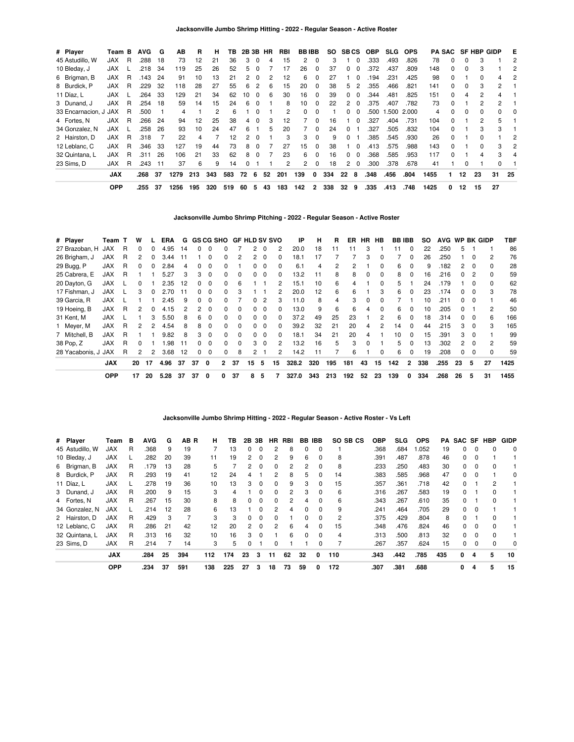| # Player              | Team B     |    | <b>AVG</b> | G   | ΑВ   | R   | н   | ΤВ  |    |          | 2B 3B HR | RBI | <b>BBIBB</b> |              | SO. |              | <b>SBCS</b>  | <b>OBP</b> | <b>SLG</b> | <b>OPS</b> |      | PA SAC       |    | <b>SF HBP GIDP</b> |              | Е  |
|-----------------------|------------|----|------------|-----|------|-----|-----|-----|----|----------|----------|-----|--------------|--------------|-----|--------------|--------------|------------|------------|------------|------|--------------|----|--------------------|--------------|----|
| 45 Astudillo, W       | JAX.       | R  | .288       | 18  | 73   | 12  | 21  | 36  | 3  | $\Omega$ | 4        | 15  | 2            |              | З   |              | 0            | .333       | .493       | .826       | 78   | 0            | 0  | 3                  |              | 2  |
| 10 Bleday, J          | <b>JAX</b> |    | .218       | 34  | 119  | 25  | 26  | 52  | 5  | $\Omega$ |          | 17  | 26           | 0            | 37  |              | 0            | .372       | .437       | .809       | 148  | 0            | 0  |                    |              |    |
| 6 Brigman, B          | <b>JAX</b> | R. | .143       | 24  | 91   | 10  | 13  | 21  | 2  | $\Omega$ |          | 12  | 6            | 0            | 27  |              | 0            | .194       | .231       | .425       | 98   | 0            |    | 0                  | 4            | 2  |
| 8 Burdick, P          | <b>JAX</b> | R  | .229       | 32  | 118  | 28  | 27  | 55  | 6  | 2        | 6        | 15  | 20           | $\Omega$     | 38  | 5            | 2            | .355       | .466       | .821       | 141  | 0            | 0  | 3                  | $\mathbf{2}$ |    |
| 11 Díaz, L            | <b>JAX</b> |    | .264       | 33  | 129  | 21  | 34  | 62  | 10 | $\Omega$ | 6        | 30  | 16           | $\Omega$     | 39  | 0            | $\Omega$     | .344       | .481       | .825       | 151  | 0            | 4  | 2                  | 4            |    |
| 3 Dunand, J           | <b>JAX</b> | R  | 254        | 18  | 59   | 14  | 15  | 24  | 6  | $\Omega$ |          | 8   | 10           | <sup>0</sup> | 22  | 2            | <sup>0</sup> | .375       | .407       | .782       | 73   | <sup>0</sup> |    | 2                  | 2            |    |
| 33 Encarnacion, J JAX |            | R  | .500       |     | 4    |     | 2   | 6   |    | $\Omega$ |          | 2   | 0            |              |     |              | 0            | .500       | .500       | 2.000      | 4    |              |    |                    |              | 0  |
| 4 Fortes, N           | JAX        | R  | .266       | 24  | 94   | 12  | 25  | 38  | 4  | $\Omega$ | 3        | 12  |              | $\Omega$     | 16  |              | $\Omega$     | .327       | .404       | .731       | 104  | $\Omega$     |    |                    | 5            |    |
| 34 Gonzalez, N        | <b>JAX</b> |    | 258        | 26  | 93   | 10  | 24  | 47  | 6  |          | 5        | 20  |              | $\Omega$     | 24  | 0            |              | .327       | .505       | .832       | 104  | $\Omega$     |    | 3                  | 3            |    |
| 2 Hairston, D         | <b>JAX</b> | R  | 318        |     | 22   | 4   |     | 12  | 2  | $\Omega$ |          | 3   | 3            | $\Omega$     | 9   | <sup>0</sup> |              | .385       | .545       | .930       | 26   | $\Omega$     |    | U                  |              |    |
| 12 Leblanc, C         | <b>JAX</b> | R  | .346       | 33  | 127  | 19  | 44  | 73  | 8  | $\Omega$ |          | 27  | 15           |              | 38  |              | 0            | .413       | 575        | .988       | 143  | <sup>0</sup> |    |                    | 3            | 2  |
| 32 Quintana, L        | <b>JAX</b> | R  | 311        | 26  | 106  | 21  | 33  | 62  | 8  | $\Omega$ |          | 23  | 6            | 0            | 16  | 0            | 0            | .368       | .585       | .953       | 117  | <sup>0</sup> |    |                    | 3            | 4  |
| 23 Sims. D            | <b>JAX</b> | R  | 243.       | -11 | 37   | 6   | 9   | 14  |    |          |          | 2   | 2            | $\Omega$     | 18  | 2            | $\Omega$     | .300       | .378       | .678       | 41   |              |    |                    | 0            |    |
|                       | <b>JAX</b> |    | .268       | 37  | 1279 | 213 | 343 | 583 | 72 | 6        | 52       | 201 | 139          | 0            | 334 | 22           | 8            | .348       | .456       | .804       | 1455 |              | 12 | 23                 | 31           | 25 |
|                       | <b>OPP</b> |    | .255       | 37  | 1256 | 195 | 320 | 519 | 60 | 5        | 43       | 183 | 142          | 2            | 338 | 32           | 9            | .335       | .413       | .748       | 1425 | 0            | 12 | 15                 | 27           |    |

**Jacksonville Jumbo Shrimp Pitching - 2022 - Regular Season - Active Roster**

| # Player            | Team T     |   | w        |          | ERA  | G   |          |              |              | <b>GS CG SHO GF HLD SV SVO</b> |                |          |              | IP    | н   | R   | ER  | HR. | HB           | <b>BB IBB</b> |              | SO. | <b>AVG</b> |              |          | WP BK GIDP     | TBF  |
|---------------------|------------|---|----------|----------|------|-----|----------|--------------|--------------|--------------------------------|----------------|----------|--------------|-------|-----|-----|-----|-----|--------------|---------------|--------------|-----|------------|--------------|----------|----------------|------|
| 27 Brazoban. H      | <b>JAX</b> | R | 0        | 0        | 4.95 | 14  | 0        | $\Omega$     | 0            |                                | 2              | $\Omega$ | 2            | 20.0  | 18  | 11  |     | 3   |              | 11            | $\Omega$     | 22  | .250       | 5            |          |                | 86   |
| 26 Brigham, J       | <b>JAX</b> | R | 2        | 0        | 3.44 | 11  |          | 0            | <sup>0</sup> |                                |                |          |              | 18.1  | 17  |     |     | 3   |              |               |              | 26  | .250       |              |          | $\overline{2}$ | 76   |
| 29 Bugg, P          | <b>JAX</b> | R | $\Omega$ | $\Omega$ | 2.84 | 4   | 0        | $\Omega$     | 0            |                                | 0              |          | 0            | 6.1   | 4   | 2   | 2   |     | 0            | 6             | $\Omega$     | 9   | .182       |              |          | 0              | 28   |
| 25 Cabrera, E       | <b>JAX</b> | R |          |          | 5.27 | 3   | 3        | $\Omega$     | 0            | $\Omega$                       | $^{\circ}$     | $\Omega$ | $\Omega$     | 13.2  | 11  | 8   | 8   | 0   | $\Omega$     | 8             | $\Omega$     | 16  | .216       | 0            |          | $\Omega$       | 59   |
| 20 Dayton, G        | <b>JAX</b> |   | 0        |          | 2.35 | 12  | $\Omega$ | $\Omega$     | 0            | 6                              |                |          | 2            | 15.1  | 10  | 6   | 4   |     | $\Omega$     | 5             |              | 24  | .179       |              | $\Omega$ | 0              | 62   |
| 17 Fishman, J       | <b>JAX</b> |   | 3        |          | 2.70 | 11  | O.       | $\Omega$     | 0            | 3                              |                |          | 2            | 20.0  | 12  | 6   | 6   |     | 3            | 6             |              | 23  | .174       | <sup>0</sup> | - 0      | 3              | 78   |
| 39 Garcia, R        | <b>JAX</b> |   |          |          | 2.45 | 9   | $\Omega$ | $\Omega$     | 0            |                                |                |          | 3            | 11.0  | 8   | 4   | 3   | 0   | <sup>0</sup> |               |              | 10  | .211       |              |          |                | 46   |
| 19 Hoeing, B        | <b>JAX</b> | R | 2        | $\Omega$ | 4.15 | 2   | 2        | $\Omega$     | 0            | $\Omega$                       | 0              | $\Omega$ | $\Omega$     | 13.0  | 9   | 6   | 6   | 4   | $\Omega$     | 6             | $\Omega$     | 10  | .205       | $\Omega$     |          | $\overline{c}$ | 50   |
| 31 Kent, M          | <b>JAX</b> |   |          | 3        | 5.50 | 8   | 6.       | $\Omega$     | 0            | $\Omega$                       | $^{\circ}$     | $\Omega$ | $\Omega$     | 37.2  | 49  | 25  | 23  |     | 2            | 6             | $\Omega$     | 18  | .314       | $^{\circ}$   | $\Omega$ | 6              | 166  |
| 1 Meyer, M          | <b>JAX</b> | R | 2        | 2        | 4.54 | 8   | 8        | $\Omega$     | <sup>0</sup> | $\Omega$                       | <sup>0</sup>   | $\Omega$ | <sup>0</sup> | 39.2  | 32  | 21  | 20  | 4   | 2            | 14            | $\Omega$     | 44  | .215       | 3            | $\Omega$ | 3              | 165  |
| 7 Mitchell, B       | <b>JAX</b> | R |          |          | 9.82 | 8   | 3        | $\Omega$     | 0            | $\Omega$                       | <sup>0</sup>   |          | 0            | 18.1  | 34  | 21  | 20  | 4   |              | 10            |              | 15  | .391       | з            |          |                | 99   |
| 38 Pop, Z           | <b>JAX</b> | R | 0        |          | .98  | -11 | $\Omega$ | $\Omega$     | $\Omega$     | $\Omega$                       | 3              | $\Omega$ | 2            | 13.2  | 16  | 5   | 3   | 0   |              | 5             | $\Omega$     | 13  | .302       | 2            |          | 2              | 59   |
| 28 Yacabonis, J JAX |            | R | 2        | 2        | 3.68 | 12  | 0        | 0            | 0            | 8                              | $\overline{2}$ |          | 2            | 14.2  | 11  |     | 6   |     | $\Omega$     | 6             | 0            | 19  | .208       | 0            | 0        | 0              | 59   |
|                     | <b>JAX</b> |   | 20       | 17       | 4.96 | 37  | 37       | $\mathbf{0}$ | $\mathbf{2}$ | 37                             | 15             | 5        | 15           | 328.2 | 320 | 195 | 181 | 43  | 15           | 142           | $\mathbf{2}$ | 338 | .255       | 23           | 5        | 27             | 1425 |
|                     | <b>OPP</b> |   | 17       | 20       | 5.28 | 37  | 37       | 0            | 0            | 37                             | 8              | 5        |              | 327.0 | 343 | 213 | 192 | 52  | 23           | 139           | 0            | 334 | .268       | 26           | 5        | 31             | 1455 |

### **Jacksonville Jumbo Shrimp Hitting - 2022 - Regular Season - Active Roster - Vs Left**

| # Player        | Team       | в | <b>AVG</b> | G  | AB R | н.  | TB. |                | 2B 3B    | HR.           | RBI |    | <b>BB IBB</b> | SO SB CS | <b>OBP</b> | <b>SLG</b> | <b>OPS</b> | PA. |          |          | SAC SF HBP   | <b>GIDP</b> |
|-----------------|------------|---|------------|----|------|-----|-----|----------------|----------|---------------|-----|----|---------------|----------|------------|------------|------------|-----|----------|----------|--------------|-------------|
| 45 Astudillo, W | JAX        | R | .368       | 9  | 19   |     | 13  | $\Omega$       | $\Omega$ | 2             | 8   | 0  | $\Omega$      |          | .368       | .684       | .052       | 19  | 0        | 0        |              | 0           |
| 10 Bleday, J    | <b>JAX</b> |   | .282       | 20 | 39   | 11  | 19  | 2              | $\Omega$ | 2             | 9   | 6  | $\Omega$      | 8        | .391       | .487       | .878       | 46  | 0        | $\Omega$ |              |             |
| 6 Brigman, B    | <b>JAX</b> | R | .179       | 13 | 28   | 5   |     | 2              | $\Omega$ | $\Omega$      | 2   | 2  | $\Omega$      | 8        | .233       | .250       | .483       | 30  | $\Omega$ | $\Omega$ | <sup>0</sup> |             |
| 8 Burdick, P    | <b>JAX</b> | R | .293       | 19 | 41   | 12  | 24  | 4              |          | 2             | 8   | 5  | 0             | 14       | .383       | .585       | .968       | 47  | 0        | 0        |              | 0           |
| 11 Díaz, L      | <b>JAX</b> |   | .278       | 19 | 36   | 10  | 13  | 3              | $\Omega$ | $\Omega$      | 9   | 3  | $\Omega$      | 15       | .357       | .361       | .718       | 42  | 0        |          | 2            |             |
| 3 Dunand, J     | <b>JAX</b> | R | .200       | 9  | 15   | 3   | 4   |                | $\Omega$ | $\Omega$      | 2   | 3  | 0             | 6        | .316       | .267       | .583       | 19  | 0        |          |              |             |
| 4 Fortes, N     | <b>JAX</b> | R | .267       | 15 | 30   | 8   | 8   | 0              | $\Omega$ | $\Omega$      | 2   | 4  | $\Omega$      | 6        | .343       | .267       | .610       | 35  | 0        |          | $\Omega$     |             |
| 34 Gonzalez, N  | <b>JAX</b> |   | .214       | 12 | 28   | 6   | 13  |                | $\Omega$ | 2             | 4   | 0  | $\Omega$      | 9        | .241       | .464       | .705       | 29  | $\Omega$ | $\Omega$ |              |             |
| 2 Hairston, D   | <b>JAX</b> | R | .429       | 3  |      | 3   | 3   | $\Omega$       | $\Omega$ | $\Omega$      |     | 0  | $\Omega$      | 2        | .375       | .429       | .804       | 8   | 0        |          | 0            |             |
| 12 Leblanc, C   | <b>JAX</b> | R | .286       | 21 | 42   | 12  | 20  | $\overline{2}$ | $\Omega$ | $\mathcal{P}$ | 6   | 4  | $\Omega$      | 15       | .348       | .476       | .824       | 46  | $\Omega$ | $\Omega$ | $\Omega$     |             |
| 32 Quintana, L  | <b>JAX</b> | R | .313       | 16 | 32   | 10  | 16  | 3              | $\Omega$ |               | 6   | 0  | $\Omega$      | 4        | .313       | .500       | .813       | 32  | $\Omega$ | $\Omega$ | $\Omega$     |             |
| 23 Sims, D      | JAX        | R | .214       |    | 14   | 3   | 5   | 0              |          | $\Omega$      |     |    | 0             |          | .267       | .357       | .624       | 15  | 0        | $\Omega$ | $\Omega$     | 0           |
|                 | <b>JAX</b> |   | .284       | 25 | 394  | 112 | 174 | 23             | 3        | 11            | 62  | 32 | 0             | 110      | .343       | .442       | .785       | 435 | 0        | 4        | 5            | 10          |
|                 | <b>OPP</b> |   | .234       | 37 | 591  | 138 | 225 | 27             | з        | 18            | 73  | 59 | 0             | 172      | .307       | .381       | .688       |     | 0        | 4        | 5            | 15          |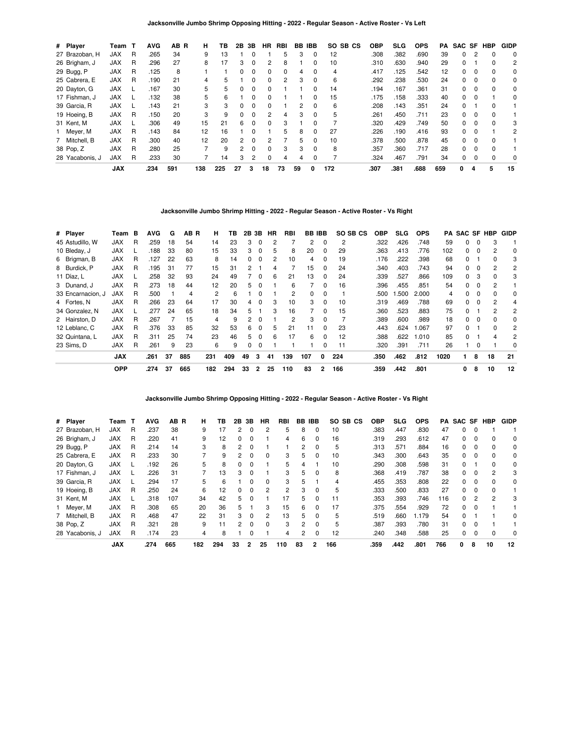**Jacksonville Jumbo Shrimp Opposing Hitting - 2022 - Regular Season - Active Roster - Vs Left**

| # Player        | Team       | — Т | <b>AVG</b> | AB R | н   | ΤВ  | 2Β | 3В             | HR.          | RBI | BB | <b>IBB</b>   | SO SB CS | <b>OBP</b> | SLG  | <b>OPS</b> | PA  |   |          | SAC SF HBP | <b>GIDP</b> |
|-----------------|------------|-----|------------|------|-----|-----|----|----------------|--------------|-----|----|--------------|----------|------------|------|------------|-----|---|----------|------------|-------------|
| 27 Brazoban, H  | JAX        | R   | .265       | 34   | 9   | 13  |    | 0              |              | 5   | 3  | 0            | 12       | .308       | .382 | .690       | 39  | 0 | 2        | 0          | 0           |
| 26 Brigham, J   | <b>JAX</b> | R   | .296       | 27   | 8   | 17  | 3  | 0              | 2            | 8   |    | 0            | 10       | .310       | .630 | .940       | 29  | 0 |          | $\Omega$   | 2           |
| 29 Bugg, P      | <b>JAX</b> | R   | .125       | 8    |     |     |    | 0              | 0            | 0   |    |              |          | .417       | .125 | .542       | 12  | 0 |          |            | 0           |
| 25 Cabrera, E   | <b>JAX</b> | R   | .190       | 21   | 4   | 5   |    | 0              | $\Omega$     | 2   | 3  | 0            | 6        | .292       | .238 | .530       | 24  | 0 | $\Omega$ | $\Omega$   | 0           |
| 20 Dayton, G    | <b>JAX</b> |     | .167       | 30   | 5   | 5   |    | 0              | <sup>0</sup> |     |    |              | 14       | .194       | .167 | .361       | 31  | 0 |          | $\Omega$   | 0           |
| 17 Fishman, J   | <b>JAX</b> |     | .132       | 38   | 5   | 6   |    | 0              | <sup>0</sup> |     |    |              | 15       | .175       | .158 | .333       | 40  | 0 | $\Omega$ |            | $\Omega$    |
| 39 Garcia, R    | <b>JAX</b> |     | .143       | 21   | 3   | 3   |    | 0              | 0            |     | 2  | 0            | 6        | .208       | .143 | .351       | 24  | 0 |          |            |             |
| 19 Hoeing, B    | <b>JAX</b> | R   | .150       | 20   | 3   | 9   | 0  | 0              | 2            | 4   | 3  | 0            | 5        | .261       | .450 | .711       | 23  | 0 | $\Omega$ | $\Omega$   |             |
| 31 Kent, M      | <b>JAX</b> |     | .306       | 49   | 15  | 21  | 6  | <sup>0</sup>   | <sup>0</sup> | 3   |    | <sup>0</sup> |          | .320       | .429 | .749       | 50  | 0 | $\Omega$ | $\Omega$   | 3           |
| Meyer, M        | <b>JAX</b> | R   | .143       | 84   | 12  | 16  |    | ŋ              |              | 5   | 8  |              | 27       | .226       | .190 | .416       | 93  | 0 |          |            | 2           |
| 7 Mitchell, B   | <b>JAX</b> | R   | .300       | 40   | 12  | 20  | 2  | <sup>0</sup>   | 2            |     | 5  | $\Omega$     | 10       | .378       | .500 | .878       | 45  | 0 | $\Omega$ | $\Omega$   |             |
| 38 Pop, Z       | <b>JAX</b> | R   | .280       | 25   |     | 9   | 2  | O              | $\Omega$     | 3   | 3  | $\Omega$     | 8        | .357       | .360 | .717       | 28  | 0 | $\Omega$ |            |             |
| 28 Yacabonis, J | <b>JAX</b> | R   | .233       | 30   |     | 14  | 3  | $\overline{c}$ | 0            | 4   | 4  | 0            |          | .324       | .467 | .791       | 34  | 0 | $\Omega$ | $\Omega$   | 0           |
|                 | <b>JAX</b> |     | .234       | 591  | 138 | 225 | 27 | з              | 18           | 73  | 59 | 0            | 172      | .307       | .381 | .688       | 659 | 0 | 4        | 5          | 15          |

**Jacksonville Jumbo Shrimp Hitting - 2022 - Regular Season - Active Roster - Vs Right**

| # Player          | Team       | в | <b>AVG</b> | G  | AB R | н   | ΤВ  | 2В | 3В           | НR | RBI |                | <b>BB IBB</b> | SO SB CS       | OBP  | <b>SLG</b> | <b>OPS</b> | PA   | SAC SF   |          | <b>HBP</b> | GIDP     |
|-------------------|------------|---|------------|----|------|-----|-----|----|--------------|----|-----|----------------|---------------|----------------|------|------------|------------|------|----------|----------|------------|----------|
| 45 Astudillo, W   | <b>JAX</b> | R | .259       | 18 | 54   | 14  | 23  | 3  | $\Omega$     | 2  |     | $\overline{2}$ | 0             | $\overline{c}$ | .322 | .426       | .748       | 59   | 0        | $\Omega$ | 3          |          |
| 10 Bleday, J      | <b>JAX</b> |   | .188       | 33 | 80   | 15  | 33  | 3  | $\mathbf 0$  | 5  | 8   | 20             | 0             | 29             | .363 | .413       | .776       | 102  | 0        | $\Omega$ | 2          | 0        |
| 6 Brigman, B      | <b>JAX</b> | R | .127       | 22 | 63   | 8   | 14  | 0  | $\Omega$     | 2  | 10  | 4              | $\Omega$      | 19             | .176 | .222       | .398       | 68   | $\Omega$ |          | 0          | 3        |
| 8 Burdick, P      | <b>JAX</b> | R | .195       | 31 | 77   | 15  | 31  | 2  |              | 4  |     | 15             | 0             | 24             | .340 | .403       | .743       | 94   | 0        | $\Omega$ | 2          | 2        |
| 11 Díaz, L        | <b>JAX</b> |   | .258       | 32 | 93   | 24  | 49  |    | $\Omega$     | 6  | 21  | 13             | 0             | 24             | .339 | .527       | .866       | 109  | 0        | 3        | ŋ          | 3        |
| 3 Dunand, J       | <b>JAX</b> | R | .273       | 18 | 44   | 12  | 20  | 5  | $\Omega$     |    | 6   |                | 0             | 16             | .396 | .455       | .851       | 54   | 0        | 0        |            |          |
| 33 Encarnacion, J | <b>JAX</b> | R | .500       |    | 4    | 2   | 6   |    | $\Omega$     |    | 2   | 0              | 0             |                | .500 | .500       | 2.000      | 4    | 0        | $\Omega$ | 0          | 0        |
| 4 Fortes, N       | <b>JAX</b> | R | .266       | 23 | 64   | 17  | 30  | 4  | $\Omega$     | 3  | 10  | 3              | $\Omega$      | 10             | .319 | .469       | .788       | 69   | 0        | $\Omega$ | 2          | 4        |
| 34 Gonzalez, N    | <b>JAX</b> |   | .277       | 24 | 65   | 18  | 34  | 5  |              | 3  | 16  |                | $\Omega$      | 15             | .360 | .523       | .883       | 75   | $\Omega$ |          | 2          | 2        |
| 2 Hairston, D     | <b>JAX</b> | R | .267       |    | 15   | 4   | 9   | 2  | $\Omega$     |    | 2   | 3              | $\Omega$      | 7              | .389 | .600       | .989       | 18   | 0        | $\Omega$ | 0          | 0        |
| 12 Leblanc, C     | <b>JAX</b> | R | .376       | 33 | 85   | 32  | 53  | 6  | $\Omega$     | 5  | 21  | 11             | 0             | 23             | .443 | .624       | 1.067      | 97   | 0        |          | 0          | 2        |
| 32 Quintana, L    | <b>JAX</b> | R | .311       | 25 | 74   | 23  | 46  | 5  | $\Omega$     | 6  | 17  | 6              | 0             | 12             | .388 | .622       | 1.010      | 85   | 0        |          | 4          | 2        |
| 23 Sims, D        | <b>JAX</b> | R | .261       | 9  | 23   | 6   | 9   | 0  | C            |    |     |                | $\Omega$      | 11             | .320 | .391       | .711       | 26   |          | 0        |            | $\Omega$ |
|                   | <b>JAX</b> |   | .261       | 37 | 885  | 231 | 409 | 49 | 3            | 41 | 139 | 107            | 0             | 224            | .350 | .462       | .812       | 1020 | 1.       | 8        | 18         | 21       |
|                   | <b>OPP</b> |   | .274       | 37 | 665  | 182 | 294 | 33 | $\mathbf{2}$ | 25 | 110 | 83             | $\mathbf{2}$  | 166            | .359 | .442       | .801       |      | 0        | 8        | 10         | 12       |

**Jacksonville Jumbo Shrimp Opposing Hitting - 2022 - Regular Season - Active Roster - Vs Right**

| # Player        | Team       | п | <b>AVG</b> | AB R | н   | ΤВ  | 2В       | 3В       | HR       | RBI |    | BB IBB   | SO.<br>SB CS | <b>OBP</b> | SLG. | <b>OPS</b> | PA  | SAC SF |          | HBP      | <b>GIDP</b> |
|-----------------|------------|---|------------|------|-----|-----|----------|----------|----------|-----|----|----------|--------------|------------|------|------------|-----|--------|----------|----------|-------------|
| 27 Brazoban, H  | JAX        | R | .237       | 38   | 9   | 17  | 2        | $\Omega$ | 2        | 5   | 8  | $\Omega$ | 10           | .383       | .447 | .830       | 47  | 0      |          |          |             |
| 26 Brigham, J   | <b>JAX</b> | R | .220       | 41   | 9   | 12  | 0        | $\Omega$ |          | 4   | 6  | $\Omega$ | 16           | .319       | .293 | .612       | 47  | 0      | $\Omega$ |          | 0           |
| 29 Bugg, P      | <b>JAX</b> | R | .214       | 14   | 3   | 8   | 2        | 0        |          |     | 2  | $\Omega$ | 5            | .313       | .571 | .884       | 16  | 0      |          |          | 0           |
| 25 Cabrera, E   | <b>JAX</b> | R | .233       | 30   |     | 9   |          | $\Omega$ | $\Omega$ | 3   | 5  | $\Omega$ | 10           | .343       | .300 | .643       | 35  | 0      | $\Omega$ | $\Omega$ | 0           |
| 20 Dayton, G    | <b>JAX</b> |   | .192       | 26   | 5   | 8   |          | 0        |          | 5   | 4  |          | 10           | .290       | .308 | .598       | 31  | 0      |          |          | 0           |
| 17 Fishman, J   | <b>JAX</b> |   | .226       | 31   |     | 13  | 3        | $\Omega$ |          | 3   | 5  | $\Omega$ | 8            | .368       | .419 | .787       | 38  | 0      | 0        | 2        | 3           |
| 39 Garcia, R    | <b>JAX</b> |   | .294       | 17   | 5   | 6   |          | $\Omega$ | $\Omega$ | 3   | 5  |          | 4            | .455       | .353 | .808       | 22  | 0      |          |          | $\Omega$    |
| 19 Hoeing, B    | <b>JAX</b> | R | .250       | 24   | 6   | 12  | $\Omega$ | $\Omega$ | 2        | 2   | 3  | $\Omega$ | 5            | .333       | .500 | .833       | 27  | 0      | $\Omega$ |          |             |
| 31 Kent, M      | <b>JAX</b> |   | .318       | 107  | 34  | 42  | 5.       | $\Omega$ |          | 17  | 5  | $\Omega$ | 11           | .353       | .393 | .746       | 116 | 0      | 2        | 2        | 3           |
| 1 Meyer, M      | <b>JAX</b> | R | .308       | 65   | 20  | 36  | 5.       |          | 3        | 15  | 6  |          | 17           | .375       | .554 | .929       | 72  | 0      |          |          |             |
| 7 Mitchell, B   | <b>JAX</b> | R | .468       | 47   | 22  | 31  | 3        | $\Omega$ | 2        | 13  | 5  | $\Omega$ | 5            | .519       | .660 | 1.179      | 54  | 0      |          |          | $\Omega$    |
| 38 Pop, Z       | <b>JAX</b> | R | .321       | 28   | 9   |     |          |          | $\Omega$ | 3   | 2  | $\Omega$ | 5            | .387       | .393 | .780       | 31  | 0      |          |          |             |
| 28 Yacabonis, J | <b>JAX</b> | R | .174       | 23   | 4   | 8   |          | $\Omega$ |          | 4   | 2  | $\Omega$ | 12           | .240       | .348 | .588       | 25  | 0      | $\Omega$ | $\Omega$ | $\Omega$    |
|                 | <b>JAX</b> |   | .274       | 665  | 182 | 294 | 33       | 2        | 25       | 110 | 83 | 2        | 166          | .359       | .442 | .801       | 766 | 0      | 8        | 10       | 12          |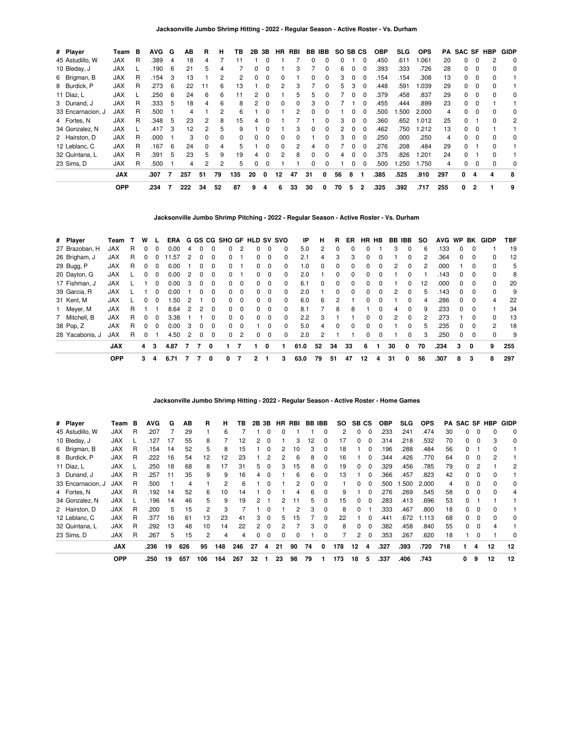| # Player          | Team       | в | <b>AVG</b> | G   | AВ                | R        | н        | ΤВ  | 2В            | 3В       | <b>HR</b>    | RBI            |              | BB IBB       | SO SB CS |          |              | <b>OBP</b> | <b>SLG</b> | <b>OPS</b> | PA  | <b>SAC SF HBP</b> |                |   | <b>GIDP</b> |
|-------------------|------------|---|------------|-----|-------------------|----------|----------|-----|---------------|----------|--------------|----------------|--------------|--------------|----------|----------|--------------|------------|------------|------------|-----|-------------------|----------------|---|-------------|
| 45 Astudillo, W   | <b>JAX</b> | R | .389       | 4   | 18                | 4        |          |     |               |          |              |                |              |              |          |          |              | .450       | .611       | .061       | 20  |                   |                |   | $\mathbf 0$ |
| 10 Bleday, J      | <b>JAX</b> |   | .190       | -6  | 21                | 5        |          |     |               |          |              | 3              |              |              | ĸ        |          |              | .393       | .333       | .726       | 28  | 0                 |                |   | 0           |
| 6 Brigman, B      | <b>JAX</b> | R | .154       | -3  | 13                |          |          | 2   |               |          |              |                |              |              | 3        |          |              | .154       | .154       | .308       | 13  | 0                 | 0              |   |             |
| 8 Burdick, P      | <b>JAX</b> | R | .273       | -6  | 22                | 11       | 6        | 13  |               | 0        | 2            | 3              |              | $\Omega$     | 5        | 3        | 0            | .448       | .591       | .039       | 29  | 0                 | 0              |   |             |
| 11 Díaz, L        | <b>JAX</b> |   | 250        | - 6 | 24                | 6        | 6        | 11  | 2             | $\Omega$ |              | 5              | 5            |              |          | 0        | <sup>0</sup> | .379       | .458       | .837       | 29  | 0                 | $\Omega$       | 0 | 0           |
| 3 Dunand, J       | <b>JAX</b> | R | .333       | 5   | 18                | 4        | 6        | 8   | $\mathcal{P}$ | $\Omega$ | 0            | 0              | з            |              |          |          |              | .455       | .444       | .899       | 23  | O.                |                |   |             |
| 33 Encarnacion, J | <b>JAX</b> | R | .500       |     | 4                 |          |          | 6   |               |          |              | 2              |              |              |          |          |              | .500       | .500       | 2.000      | 4   |                   |                |   | 0           |
| 4 Fortes, N       | <b>JAX</b> | R | .348       | 5   | 23                | 2        | 8        | 15  |               |          |              |                |              |              |          |          |              | .360       | .652       | .012       | 25  |                   |                |   | 2           |
| 34 Gonzalez, N    | <b>JAX</b> |   | .417       | 3   | $12 \overline{ }$ | 2        | 5        | 9   |               | 0        |              | 3              |              | $\Omega$     |          | 0        | 0            | .462       | .750       | .212       | 13  | 0                 | $\Omega$       |   |             |
| 2 Hairston, D     | <b>JAX</b> | R | .000       |     | 3                 | $\Omega$ | $\Omega$ | 0   |               | $\Omega$ | $\Omega$     | <sup>0</sup>   |              | <sup>n</sup> | 3        | $\Omega$ | $\Omega$     | .250       | .000       | .250       | 4   | <sup>0</sup>      | <sup>0</sup>   | 0 | $\Omega$    |
| 12 Leblanc, C     | <b>JAX</b> | R | .167       | 6   | 24                | $\Omega$ | 4        | 5   |               | $\Omega$ | <sup>0</sup> | $\overline{c}$ |              |              |          | $\Omega$ |              | .276       | .208       | .484       | 29  | 0                 |                | n |             |
| 32 Quintana, L    | <b>JAX</b> | R | .391       | 5   | 23                | 5        | 9        | 19  |               | 0        |              | 8              |              |              |          |          |              | .375       | .826       | .201       | 24  | 0                 |                |   |             |
| 23 Sims, D        | <b>JAX</b> | R | .500       |     | 4                 | 2        | 2        | 5   |               | 0        |              |                | <sup>0</sup> |              |          | 0        | 0            | .500       | 1.250      | .750       | 4   | 0                 | 0              |   | 0           |
|                   | <b>JAX</b> |   | .307       |     | 257               | 51       | 79       | 135 | 20            | 0        | 12           | 47             | 31           | 0            | 56       | 8        |              | .385       | .525       | .910       | 297 | 0                 |                | 4 | 8           |
|                   | <b>OPP</b> |   | .234       |     | 222               | 34       | 52       | 87  | 9             | 4        | 6            | 33             | 30           | 0            | 70       | 5        | 2            | .325       | .392       | .717       | 255 | 0                 | $\overline{2}$ |   | 9           |

**Jacksonville Jumbo Shrimp Pitching - 2022 - Regular Season - Active Roster - Vs. Durham**

| # Player        | Team       |   | w            |              | ERA  |               |              |              |          |          | G GS CG SHO GF HLD SV SVO |          |              | ΙP   | н            | R            | ER           | HR HB        |              | BB IBB |              | so | <b>AVG</b> | <b>WP</b>    | BK       | GIDP     | TBF |
|-----------------|------------|---|--------------|--------------|------|---------------|--------------|--------------|----------|----------|---------------------------|----------|--------------|------|--------------|--------------|--------------|--------------|--------------|--------|--------------|----|------------|--------------|----------|----------|-----|
| 27 Brazoban, H  | <b>JAX</b> | R |              | ŋ            | 0.00 |               |              | 0            | 0        |          | 0                         | 0        | $\Omega$     | 5.0  | 2            |              |              |              |              | 3      | 0            | 6  | .133       | 0            | $\Omega$ |          | 19  |
| 26 Brigham, J   | <b>JAX</b> | R |              |              | .57  |               |              | 0            | $\Omega$ |          | <sup>0</sup>              | $\Omega$ | $\Omega$     | 2.1  | 4            | 3            | 3            | 0            | $\Omega$     |        | 0            |    | .364       |              | $\Omega$ | 0        | 12  |
| 29 Bugg, P      | <b>JAX</b> | R |              | <sup>0</sup> | 0.00 |               |              | 0            | $\Omega$ |          | 0                         | $\Omega$ | $\Omega$     | 1.0  | <sup>0</sup> | <sup>0</sup> | <sup>0</sup> | 0            | $\Omega$     | 2      | <sup>0</sup> | 2  | .000       |              | $\Omega$ | 0        | 5   |
| 20 Dayton, G    | <b>JAX</b> |   |              | 0            | 0.00 | 2             |              | 0            | $\Omega$ |          | $\Omega$                  | $\Omega$ | $\Omega$     | 2.0  |              | <sup>0</sup> | 0            | 0            | $\Omega$     |        | <sup>0</sup> |    | .143       | <sup>0</sup> | $\Omega$ | 0        | 8   |
| 17 Fishman, J   | <b>JAX</b> |   |              | 0            | 0.00 | 3             | <sup>0</sup> | 0            | $\Omega$ | $\Omega$ | 0                         | $\Omega$ | $\Omega$     | 6.1  | 0            | $\Omega$     | 0            | 0            | $\Omega$     |        | $\Omega$     | 12 | .000       | 0            | $\Omega$ | $\Omega$ | 20  |
| 39 Garcia, R    | <b>JAX</b> |   |              |              | 0.00 |               |              | <sup>0</sup> | $\Omega$ | $\Omega$ | $\Omega$                  | $\Omega$ | $\Omega$     | 2.0  |              | <sup>o</sup> | <sup>0</sup> | <sup>0</sup> | $\Omega$     | 2      | <sup>0</sup> | 5  | 143        | <sup>o</sup> |          | $\Omega$ | 9   |
| 31 Kent, M      | <b>JAX</b> |   | U            | <sup>0</sup> | .50  | 2             |              | 0            | $\Omega$ | $\Omega$ | 0                         | $\Omega$ | $\Omega$     | 6.0  | 6            | 2            |              | <sup>0</sup> | $\Omega$     |        | $\Omega$     | 4  | .286       | $\Omega$     | $\Omega$ | 4        | 22  |
| Meyer, M        | <b>JAX</b> | R |              |              | 8.64 | $\mathcal{P}$ |              | <sup>0</sup> | $\Omega$ | $\Omega$ | $\Omega$                  | $\Omega$ | $\Omega$     | 8.1  |              | 8            | 8            |              | <sup>0</sup> | 4      | <sup>0</sup> | 9  | .233       | <sup>o</sup> |          |          | 34  |
| 7 Mitchell, B   | <b>JAX</b> | R | <sup>n</sup> | $\Omega$     | 3.38 |               |              | <sup>0</sup> | $\Omega$ | $\Omega$ | $\Omega$                  | $\Omega$ | <sup>0</sup> | 2.2  | 3            |              |              | <sup>0</sup> | $\Omega$     | 2      | <sup>0</sup> |    | .273       |              | $\Omega$ | $\Omega$ | 13  |
| 38 Pop, Z       | <b>JAX</b> | R |              | <sup>0</sup> | 0.00 | 3             |              | 0            | $\Omega$ | $\Omega$ |                           | $\Omega$ | $\Omega$     | 5.0  | 4            | 0            | 0            | $\Omega$     |              |        | $\Omega$     | 5  | .235       | 0            |          | 2        | 18  |
| 28 Yacabonis, J | <b>JAX</b> | R |              |              | 4.50 | 2             |              | 0            | $\Omega$ | 2        | $\Omega$                  | 0        | $\Omega$     | 2.0  | 2            |              |              | 0            | 0            |        | 0            | 3  | .250       | $\Omega$     | $\Omega$ | 0        | 9   |
|                 | <b>JAX</b> |   | 4            | 3            | 4.87 |               |              | 0            |          |          |                           | 0        |              | 61.0 | 52           | 34           | 33           | 6            |              | 30     | 0            | 70 | .234       | 3            | 0        | 9        | 255 |
|                 | <b>OPP</b> |   | 3            | 4            | 6.71 |               |              | 0            | 0        |          | 2                         |          | 3            | 63.0 | 79           | -51          | 47           | 12           | 4            | 31     | 0            | 56 | .307       | 8            | 3        | 8        | 297 |

### **Jacksonville Jumbo Shrimp Hitting - 2022 - Regular Season - Active Roster - Home Games**

| # Player          | Team       | B | <b>AVG</b> | G  | ΑВ  | R             | н   | ΤВ  |     | 2B 3B        | HR | RBI | <b>BB IBB</b> |          | SO. | SB CS |          | <b>OBP</b> | SLG.  | <b>OPS</b> | PA  | SAC SF HBP   |          |    | <b>GIDP</b> |
|-------------------|------------|---|------------|----|-----|---------------|-----|-----|-----|--------------|----|-----|---------------|----------|-----|-------|----------|------------|-------|------------|-----|--------------|----------|----|-------------|
| 45 Astudillo, W   | <b>JAX</b> | R | .207       |    | 29  |               | 6   |     |     |              |    |     |               | 0        | 2   | 0     |          | .233       | .241  | .474       | 30  | 0            | $\Omega$ |    | 0           |
| 10 Bleday, J      | JAX        |   | .127       |    | 55  | 8             |     | 12  |     | 0            |    | 3   | 12            |          | 17  | 0     |          | .314       | .218  | .532       | 70  | 0            |          | 3  | 0           |
| 6 Brigman, B      | <b>JAX</b> | R | .154       | 14 | 52  | 5             | 8   | 15  |     | $\Omega$     | 2  | 10  | 3             | 0        | 18  |       | $\Omega$ | .196       | .288  | .484       | 56  | 0            |          | 0  |             |
| 8 Burdick, P      | <b>JAX</b> | R | .222       | 16 | 54  | 12            | 12  | 23  |     | 2            |    | 6   | 8             | $\Omega$ | 16  |       | - 0      | .344       | .426  | .770       | 64  | 0            | $\Omega$ | 2  |             |
| 11 Díaz, L        | <b>JAX</b> |   | .250       | 18 | 68  | 8             | 17  | 31  | 'n. | 0            | 3  | 15  | 8             | 0        | 19  | 0     | - 0      | .329       | .456  | .785       | 79  | 0            |          |    | 2           |
| 3 Dunand, J       | <b>JAX</b> | R | 257        | 11 | 35  | 9             | 9   | 16  | 4   | 0            |    | 6   | 6             | 0        | 13  |       |          | .366       | .457  | .823       | 42  | 0            |          | ŋ  |             |
| 33 Encarnacion, J | <b>JAX</b> | R | .500       |    | 4   |               | 2   | 6   |     | ŋ            |    | 2   | O             |          |     | O.    |          | .500       | 1.500 | 2.000      | 4   | <sup>0</sup> |          | ŋ  | 0           |
| 4 Fortes, N       | <b>JAX</b> | R | .192       | 14 | 52  | 6             | 10  | 14  |     | $\Omega$     |    |     | 6             | $\Omega$ | 9   |       | $\Omega$ | .276       | .269  | .545       | 58  | 0            | $\Omega$ | 0  | 4           |
| 34 Gonzalez, N    | <b>JAX</b> |   | .196       | 14 | 46  | 5             | 9   | 19  |     |              |    | 11  | 5             | 0        | 15  | 0     | $\Omega$ | .283       | .413  | .696       | 53  | $\Omega$     |          |    |             |
| 2 Hairston, D     | <b>JAX</b> | R | .200       | 5  | 15  | $\mathcal{P}$ | 3   |     |     | <sup>0</sup> |    | 2   | 3             | $\Omega$ | 8   | 0     |          | .333       | .467  | .800       | 18  | 0            | n        | ŋ  |             |
| 12 Leblanc, C     | <b>JAX</b> | R | .377       | 16 | 61  | 13            | 23  | 41  |     | 0            | 5  | 15  |               | 0        | 22  |       |          | .441       | .672  | 1.113      | 68  | 0            | $\Omega$ | ŋ  | 0           |
| 32 Quintana, L    | <b>JAX</b> | R | .292       | 13 | 48  | 10            | 14  | 22  |     | 0            |    |     | 3             | 0        | 8   | 0     |          | .382       | .458  | .840       | 55  | 0            | $\Omega$ |    |             |
| 23 Sims, D        | <b>JAX</b> | R | .267       | 5  | 15  | 2             | 4   | 4   |     | 0            | 0  | 0   |               | 0        |     | 2     | $\Omega$ | .353       | .267  | .620       | 18  |              |          |    | 0           |
|                   | <b>JAX</b> |   | .236       | 19 | 626 | 95            | 148 | 246 | 27  | 4            | 21 | 90  | 74            | 0        | 178 | 12    | 4        | .327       | .393  | .720       | 718 |              | 4        | 12 | 12          |
|                   | <b>OPP</b> |   | .250       | 19 | 657 | 106           | 164 | 267 | 32  |              | 23 | 98  | 79            |          | 173 | 18    | 5        | .337       | .406  | .743       |     | 0            | 9        | 12 | 12          |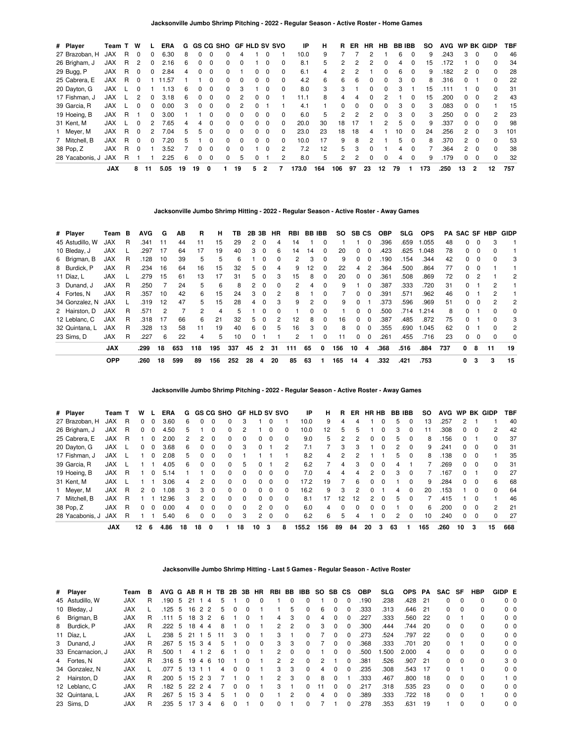| # Player        | Team T     |   | W            |    | <b>ERA</b> | G  |    |              | GS CG SHO GF HLD SV SVO |              |              |          |              | IP    | н   | R.       | ER       | HR. | HB | <b>BB IBB</b> |          | SO. | <b>AVG</b> | WP                  |          | <b>BK GIDP</b> | <b>TBF</b> |
|-----------------|------------|---|--------------|----|------------|----|----|--------------|-------------------------|--------------|--------------|----------|--------------|-------|-----|----------|----------|-----|----|---------------|----------|-----|------------|---------------------|----------|----------------|------------|
| 27 Brazoban, H  | <b>JAX</b> | R | 0            |    | 6.30       | 8  |    |              |                         | 4            |              |          |              | 10.0  | 9   |          |          |     |    | 6             | $\Omega$ | 9   | .243       | 3                   | $\Omega$ |                | 46         |
| 26 Brigham, J   | <b>JAX</b> | R | 2            | 0  | 2.16       | 6  |    | 0            |                         | O            |              | $\Omega$ |              | 8.1   | 5   | 2        |          | 2   | 0  | 4             | $\Omega$ | 15  | .172       |                     | $\Omega$ | $\Omega$       | 34         |
| 29 Bugg, P      | <b>JAX</b> | R |              |    | 2.84       | 4  |    | $\Omega$     |                         |              |              | $\Omega$ |              | 6.1   | 4   | 2        |          |     |    | 6.            | $\Omega$ | 9   | .182       | 2                   | $\Omega$ | 0              | 28         |
| 25 Cabrera, E   | <b>JAX</b> | R | <sup>0</sup> |    | 11.57      |    |    | <sup>0</sup> |                         | $\Omega$     | <sup>0</sup> | $\Omega$ | $\Omega$     | 4.2   | 6   | 6        | 6        | 0   | 0  | 3             | $\Omega$ | 8   | .316       |                     |          | $\Omega$       | 22         |
| 20 Dayton, G    | <b>JAX</b> |   |              |    | .13        | 6  |    | 0            |                         | 3            |              | $\Omega$ |              | 8.0   | 3   | 3        |          | 0   | U  | 3             |          | 15  | .111       |                     | $\Omega$ | $\Omega$       | 31         |
| 17 Fishman, J   | <b>JAX</b> |   |              |    | 3.18       | 6  |    | 0            |                         | 2            | 0            | $\Omega$ |              | 11.1  | 8   | 4        | 4        | 0   | 2  |               | 0        | 15  | .200       | 0                   | 0        | $\overline{2}$ | 43         |
| 39 Garcia, R    | <b>JAX</b> |   | U            |    | 0.00       | 3  |    | $\Omega$     | <sup>0</sup>            | 2            | <sup>0</sup> |          |              | 4.1   |     | $\Omega$ | $\Omega$ | 0   | 0  | 3             | $\Omega$ | 3   | .083       | <sup>0</sup>        | $\Omega$ |                | 15         |
| 19 Hoeing, B    | <b>JAX</b> | R |              | 0  | 3.00       |    |    | 0            |                         |              |              |          |              | 6.0   | 5   | 2        |          | 2   | 0  | 3             | 0        | 3   | .250       | 0                   | $\Omega$ | 2              | 23         |
| 31 Kent, M      | <b>XAL</b> |   | O            | 2  | 7.65       | 4  | 4  | $\Omega$     | <sup>n</sup>            | $\Omega$     | 0            | $\Omega$ | <sup>n</sup> | 20.0  | 30  | 18       | 17       |     | 2  | 5.            | $\Omega$ | 9   | .337       | $\Omega$            | $\Omega$ | $\Omega$       | 98         |
| Meyer, M        | <b>JAX</b> | R | <sup>0</sup> |    | 7.04       | 5  | 5. | 0            |                         |              |              | $\Omega$ |              | 23.0  | 23  | 18       | 18       | 4   |    | 10            |          | 24  | .256       | $\mathcal{P}$       | $\Omega$ | 3              | 101        |
| 7 Mitchell, B   | <b>JAX</b> | R | <sup>0</sup> |    | 7.20       | 5  |    | 0            | <sup>0</sup>            | 0            | 0            | $\Omega$ | $\Omega$     | 10.0  | 17  | 9        | 8        | 2   |    | 5.            | $\Omega$ | 8   | .370       | $\mathcal{P} \quad$ | $\Omega$ | $\Omega$       | 53         |
| 38 Pop, Z       | <b>JAX</b> | R | 0            |    | 3.52       |    |    | 0            | <sup>0</sup>            | <sup>0</sup> |              | $\Omega$ | 2            | 7.2   | 12  | 5        | 3        | ŋ   |    | 4             | $\Omega$ |     | .364       | $\mathcal{P}$       | $\Omega$ | $\Omega$       | 38         |
| 28 Yacabonis, J | <b>JAX</b> | R |              |    | 2.25       | 6  |    | 0            | 0                       | 5            | O            |          |              | 8.0   | 5   | 2        | 2        | 0   | 0  | 4             | 0        | 9   | .179       | 0                   | 0        | 0              | 32         |
|                 | <b>JAX</b> |   | 8            | 11 | 5.05       | 19 | 19 | 0            |                         | 19           | 5            | 2        |              | 173.0 | 164 | 106      | 97       | 23  | 12 | 79            |          | 173 | .250       | 13                  | -2       | 12             | 757        |

**Jacksonville Jumbo Shrimp Hitting - 2022 - Regular Season - Active Roster - Away Games**

| # Player        | Team       | в | <b>AVG</b> | G  | AВ  | R   | н   | тв  | 2B | 3В           | <b>HR</b> | RBI | <b>BB IBB</b> |          | SO. | SB CS        |          | <b>OBP</b> | SLG. | <b>OPS</b> | PA  | SAC SF       |          | HBP          | GIDP |
|-----------------|------------|---|------------|----|-----|-----|-----|-----|----|--------------|-----------|-----|---------------|----------|-----|--------------|----------|------------|------|------------|-----|--------------|----------|--------------|------|
| 45 Astudillo, W | <b>JAX</b> | R | .341       | 11 | 44  | 11  | 15  | 29  | 2  | $\Omega$     | 4         | 14  |               | 0        |     |              | $\Omega$ | .396       | .659 | 1.055      | 48  | 0            | $\Omega$ | 3            |      |
| 10 Bleday, J    | <b>JAX</b> |   | .297       | 17 | 64  | 17  | 19  | 40  | 3  | $\Omega$     | 6         | 14  | 14            | 0        | 20  | 0            | $\Omega$ | .423       | .625 | 1.048      | 78  | 0            | $\Omega$ | o            |      |
| 6 Brigman, B    | <b>JAX</b> | R | .128       | 10 | 39  | 5   | 5   | 6   |    | 0            | 0         | 2   | 3             | 0        | 9   | <sup>0</sup> | $\Omega$ | .190       | .154 | .344       | 42  | O.           | $\Omega$ |              | 3    |
| 8 Burdick, P    | <b>JAX</b> | R | .234       | 16 | 64  | 16  | 15  | 32  | 5  | 0            | 4         | 9   | 12            | 0        | 22  | 4            | 2        | .364       | .500 | .864       | 77  | 0            | 0        |              |      |
| 11 Díaz, L      | <b>JAX</b> |   | .279       | 15 | 61  | 13  | 17  | 31  | 5  | $\Omega$     | 3         | 15  | 8             | 0        | 20  | <sup>0</sup> | $\Omega$ | .361       | .508 | .869       | 72  | 0            | 2        |              | 2    |
| 3 Dunand, J     | <b>JAX</b> | R | .250       |    | 24  | 5   | 6   | 8   | 2  | 0            | 0         | 2   | 4             | 0        | 9   |              | $\Omega$ | .387       | .333 | .720       | 31  | 0            |          |              |      |
| 4 Fortes, N     | <b>JAX</b> | R | .357       | 10 | 42  | 6   | 15  | 24  | 3  | $\Omega$     | 2         | 8   |               | 0        |     | 0            | $\Omega$ | .391       | .571 | .962       | 46  | 0            |          | 2            |      |
| 34 Gonzalez, N  | <b>JAX</b> |   | .319       | 12 | 47  | 5   | 15  | 28  | 4  | $\Omega$     | 3         | 9   | 2             | $\Omega$ | 9   | $\Omega$     |          | .373       | .596 | .969       | 51  | <sup>0</sup> | $\Omega$ | 2            | 2    |
| 2 Hairston, D   | <b>JAX</b> | R | .571       |    |     | 2   | 4   | 5   |    |              | 0         |     |               | 0        |     | O.           | $\Omega$ | .500       | .714 | 1.214      | 8   | 0            |          | ŋ            | 0    |
| 12 Leblanc, C   | <b>JAX</b> | R | .318       | 17 | 66  | 6   | 21  | 32  | 5. | $\Omega$     | 2         | 12  | 8             | 0        | 16  | 0            | $\Omega$ | .387       | .485 | .872       | 75  | 0            |          | 0            | 3    |
| 32 Quintana. L  | <b>JAX</b> | R | .328       | 13 | 58  | 11  | 19  | 40  | 6. | $\Omega$     | 5         | 16  | 3             | 0        | 8   | <sup>0</sup> | $\Omega$ | .355       | .690 | 1.045      | 62  | <sup>0</sup> |          | <sup>0</sup> | 2    |
| 23 Sims. D      | JAX        | R | .227       | 6  | 22  | 4   | 5   | 10  | 0  |              |           | 2   |               | 0        | 11  | <sup>0</sup> | 0        | .261       | .455 | .716       | 23  | 0            | $\Omega$ |              | 0    |
|                 | <b>JAX</b> |   | .299       | 18 | 653 | 118 | 195 | 337 | 45 | $\mathbf{2}$ | 31        | 111 | 65            | 0        | 156 | 10           | 4        | .368       | .516 | .884       | 737 | 0            | 8        | 11           | 19   |
|                 | <b>OPP</b> |   | .260       | 18 | 599 | 89  | 156 | 252 | 28 | 4            | 20        | 85  | 63            |          | 165 | 14           | 4        | .332       | .421 | .753       |     | 0            | 3        | 3            | 15   |

**Jacksonville Jumbo Shrimp Pitching - 2022 - Regular Season - Active Roster - Away Games**

| # Player        | Team T     |   | W  |              | ERA   | G  |          |              | <b>GS CG SHO</b> |          | <b>GF HLD SV SVO</b> |          |              | ΙP    | н   | R  | ER.      | HR HB         |              | <b>BB IBB</b> |          | so  | <b>AVG</b> | <b>WP</b> |              | BK GIDP       | TBF |
|-----------------|------------|---|----|--------------|-------|----|----------|--------------|------------------|----------|----------------------|----------|--------------|-------|-----|----|----------|---------------|--------------|---------------|----------|-----|------------|-----------|--------------|---------------|-----|
| 27 Brazoban, H  | <b>JAX</b> | R | 0  | 0            | 3.60  | 6  | $\Omega$ | 0            | 0                | 3        |                      |          |              | 10.0  | 9   | 4  |          |               | 0            | 5             | $\Omega$ | 13  | .257       |           |              |               | 40  |
| 26 Brigham, J   | <b>JAX</b> | R | 0  | $\Omega$     | 4.50  | 5  |          | 0            | $\Omega$         | 2        |                      |          |              | 10.0  | 12  | 5  |          |               | ŋ            | 3             | 0        |     | .308       | 0         | 0            | 2             | 42  |
| 25 Cabrera, E   | JAX        | R |    | $\Omega$     | 2.00  | 2  | 2        | 0            | 0                | 0        | 0                    | $\Omega$ | 0            | 9.0   | 5   | 2  |          | 0             | $\Omega$     | 5             | $\Omega$ | 8   | 156        | $\Omega$  |              | $\Omega$      | 37  |
| 20 Dayton, G    | JAX        |   | 0  | 0            | 3.68  | 6  | $\Omega$ | 0            | 0                | 3        | 0                    |          | 2            |       |     | 3  | 3        |               | 0            | 2             | $\Omega$ | 9   | .241       | 0         | 0            | 0             | 31  |
| 17 Fishman, J   | <b>JAX</b> |   |    | <sup>0</sup> | 2.08  | 5  | 0        | $\Omega$     | $\Omega$         |          |                      |          |              | 8.2   | 4   | 2  |          |               |              | 5             | $\Omega$ | 8   | 138        | 0         | O            |               | 35  |
| 39 Garcia, R    | JAX        |   |    |              | 4.05  | 6  | $\Omega$ | 0            | $\Omega$         | 5        | 0                    |          | 2            | 6.2   |     | 4  | 3        | $\Omega$      | 0            | 4             |          |     | .269       | 0         | $\Omega$     | $\Omega$      | 31  |
| 19 Hoeing, B    | JAX        | R |    | 0.           | 5.14  |    |          | 0            | $\Omega$         | 0        | 0                    | $\Omega$ |              | 7.0   | 4   | 4  | 4        | $\mathcal{P}$ | 0            | з             |          |     | 167        | 0         |              | <sup>0</sup>  | 27  |
| 31 Kent, M      | <b>JAX</b> |   |    |              | 3.06  | 4  | 2        | 0            | $\Omega$         | $\Omega$ | 0                    | $\Omega$ | <sup>0</sup> | 17.2  | 19  |    | 6        | 0             | 0            |               | $\Omega$ | 9   | .284       | 0         | $\Omega$     | 6             | 68  |
| Meyer, M        | <b>JAX</b> | R | 2  | $\Omega$     | 80.1  | 3  | 3        | $\Omega$     | $\Omega$         | 0        | 0                    | $\Omega$ | <sup>0</sup> | 16.2  | 9   | 3  |          | 0             |              | 4             | $\Omega$ | 20  | .153       |           | <sup>0</sup> | 0             | 64  |
| 7 Mitchell, B   | <b>JAX</b> | R |    |              | 12.96 | 3  | 2        | <sup>0</sup> | $\Omega$         | $\Omega$ | $\Omega$             | $\Omega$ | <sup>0</sup> | 8.1   | 17  | 12 | 12       | $\mathcal{P}$ | $\Omega$     | 5             | $\Omega$ |     | .415       |           |              |               | 46  |
| 38 Pop, Z       | <b>JAX</b> | R | 0  | $\Omega$     | 0.00  | 4  | 0        | 0            | $\Omega$         | $\Omega$ | $\mathcal{P}$        | $\Omega$ | 0            | 6.0   | 4   | 0  | $\Omega$ | 0             | <sup>0</sup> |               | $\Omega$ | 6   | .200       | 0         | 0            | $\mathcal{P}$ | 21  |
| 28 Yacabonis, J | <b>JAX</b> | R |    |              | 5.40  | 6  | 0        | 0            | 0                | 3        | 2                    | $\Omega$ |              | 6.2   | 6   | 5  |          |               | 0            | 2             | $\Omega$ | 10  | .240       | 0         | 0            | 0             | 27  |
|                 | <b>JAX</b> |   | 12 | 6            | 4.86  | 18 | 18       | 0            |                  | 18       | 10                   | 3        | 8            | 155.2 | 156 | 89 | 84       | 20            | 3            | 63            |          | 165 | .260       | 10        | 3            | 15            | 668 |

**Jacksonville Jumbo Shrimp Hitting - Last 5 Games - Regular Season - Active Roster**

| # Player          | Team       | в | AVG G AB R H TB 2B 3B |    |              |                |                |    |   |              | <b>HR</b> |               |               | RBI BB IBB   | SO. | SB CS        |              | <b>OBP</b> | <b>SLG</b> | <b>OPS</b> | PA   | SAC SF   |          | <b>HBP</b>   | GIDP E         |                |
|-------------------|------------|---|-----------------------|----|--------------|----------------|----------------|----|---|--------------|-----------|---------------|---------------|--------------|-----|--------------|--------------|------------|------------|------------|------|----------|----------|--------------|----------------|----------------|
| 45 Astudillo, W   | <b>JAX</b> | R | .190                  | 5  | 21           |                | 4              | 5  |   |              |           |               |               |              |     |              |              | .190       | .238       | .428       | -21  | 0        | $\Omega$ | 0            | 0 <sub>0</sub> |                |
| 10 Bleday, J      | <b>JAX</b> |   | .125                  | 5  | 16           | 2 <sub>2</sub> |                | 5  |   |              |           |               | 5             |              | 6   |              |              | .333       | .313       | .646       | - 21 | 0        | $\Omega$ | 0            | 0 <sub>0</sub> |                |
| 6 Brigman, B      | <b>JAX</b> | R | .111                  | 5  | 18           | 32             |                | 6  |   | $\Omega$     |           | 4             | 3             | $\Omega$     | 4   |              | <sup>0</sup> | .227       | .333       | .560       | -22  | 0        |          | 0            | 0 <sub>0</sub> |                |
| 8 Burdick, P      | <b>JAX</b> | R | .222                  | 5  | 18           | 4              | $\overline{4}$ | 8  |   | <sup>0</sup> |           | $\mathcal{P}$ | 2             | $\Omega$     | 3   | $\Omega$     | 0            | .300       | .444       | .744       | -20  | 0        | $\Omega$ | <sup>0</sup> | 0 <sub>0</sub> |                |
| 11 Díaz, L        | <b>JAX</b> |   | .238                  | -5 | -21          |                | - 5            |    | 3 | 0            |           | 3             |               |              |     |              | 0            | .273       | .524       | .797       | 22   | 0        | $\Omega$ | 0            | 0 <sub>0</sub> |                |
| 3 Dunand, J       | <b>JAX</b> | R | .267                  | 5  | 15           | 3              | -4             | 5  |   | 0            | $\Omega$  | 3             | 3             |              |     | <sup>n</sup> | $\Omega$     | .368       | .333       | .701       | 20   | 0        |          | 0            | 0 <sub>0</sub> |                |
| 33 Encarnacion. J | <b>JAX</b> | R | .500                  |    | 4 1          |                | $\mathcal{P}$  | 6  |   | <sup>0</sup> |           | $\mathcal{P}$ | $\Omega$      |              |     |              | $\Omega$     | .500       | .500       | 2.000      | 4    | $\Omega$ | $\Omega$ | 0            | 0 <sub>0</sub> |                |
| 4 Fortes, N       | <b>JAX</b> | R | .316                  | -5 | 19           | 46             |                | 10 |   | 0            |           | $\mathcal{P}$ | $\mathcal{P}$ | <sup>0</sup> | 2   |              | 0            | .381       | .526       | .907       | 21   | 0        | $\Omega$ | 0            | 3 <sub>0</sub> |                |
| 34 Gonzalez, N    | <b>JAX</b> |   | .077                  | 5  | 13           |                |                | 4  |   | 0            |           | 3             | 3             |              | 4   |              | $\Omega$     | .235       | .308       | .543       | 17   | 0        |          | 0            | 0 <sub>0</sub> |                |
| 2 Hairston, D     | <b>JAX</b> | R | .200                  | 5  | 15           | 2 3            |                |    |   | 0            |           | $\mathcal{P}$ | 3             | <sup>0</sup> | 8   |              |              | .333       | .467       | .800       | -18  | 0        | $\Omega$ | $\Omega$     |                | $1\quad$ 0     |
| 12 Leblanc, C     | <b>JAX</b> | R | .182                  | -5 | $22 \t2 \t4$ |                |                |    | 0 | $\Omega$     |           | 3             |               | 0            | 11  | <sup>n</sup> | $\Omega$     | .217       | .318       | .535       | -23  | 0        | $\Omega$ | <sup>0</sup> | 0 <sub>0</sub> |                |
| 32 Quintana, L    | <b>JAX</b> | R | .267                  | 5  | 15           | 3              | 4              | 5  |   | $\Omega$     | $\Omega$  |               |               |              | 4   |              | $\Omega$     | .389       | .333       | 722        | 18   | 0        | $\Omega$ |              |                | 0 <sub>0</sub> |
| 23 Sims. D        | <b>JAX</b> | R | .235                  | 5. |              | 3              | 4              | 6  |   |              | $\Omega$  | 0             |               |              |     |              | <sup>0</sup> | .278       | .353       | .631       | 19   |          | $\Omega$ | 0            | 0 <sub>0</sub> |                |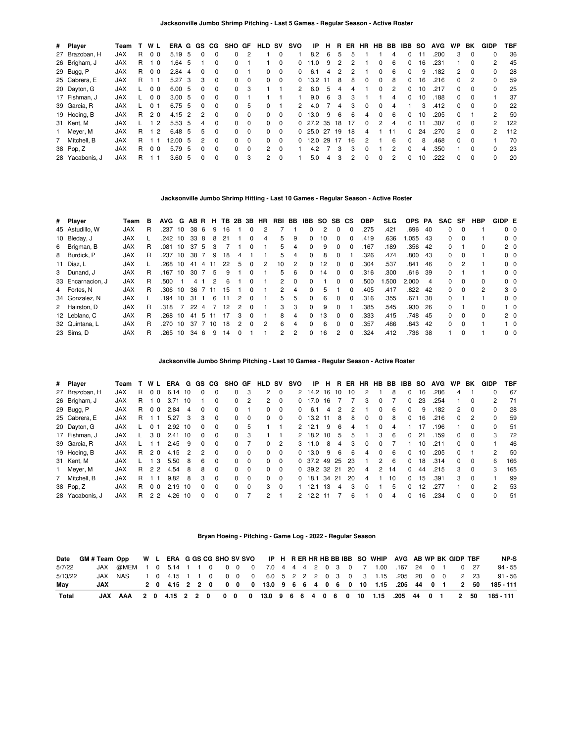| # Player        | Team       |    | WL             | ERA G             |        |     |               | GS CG        | SHO GF       |          | <b>HLD SV</b> |          | svo           | ΙP          | н  | R  | ER |              | HR HB BB |               | <b>IBB SO</b> |    | <b>AVG</b> | <b>WP</b> | BK       | <b>GIDP</b> | <b>TBF</b> |
|-----------------|------------|----|----------------|-------------------|--------|-----|---------------|--------------|--------------|----------|---------------|----------|---------------|-------------|----|----|----|--------------|----------|---------------|---------------|----|------------|-----------|----------|-------------|------------|
| 27 Brazoban, H  | <b>JAX</b> | R. | 0 <sub>0</sub> | 5.19              |        | - 5 | <sup>0</sup>  | <sup>0</sup> | 0            | 2        |               | $\Omega$ |               | 8.2         | 6  | 5  | 5  |              |          | 4             | <sup>0</sup>  |    | .200       | 3         | $\Omega$ | 0           | 36         |
| 26 Brigham, J   | <b>JAX</b> |    | 10             |                   | 1.64 5 |     |               |              | 0            |          |               | $\Omega$ | 0             | 1.0         | 9  |    | 2  |              |          | 6             | 0             | 16 | .231       |           |          | 2           | 45         |
| 29 Bugg, P      | <b>JAX</b> | R. | 0 <sub>0</sub> | $2.84$ 4          |        |     | $\Omega$      | 0            | $\Omega$     |          | 0             | $\Omega$ | <sup>0</sup>  | 6.1         | 4  | 2  | 2  |              | 0        | -6            | $\Omega$      | 9  | .182       | 2         | $\Omega$ | 0           | 28         |
| 25 Cabrera, E   | <b>JAX</b> | R. |                | 5.27 <sup>3</sup> |        |     | 3             | $\Omega$     | $\Omega$     | $\Omega$ | $\Omega$      | $\Omega$ | <sup>0</sup>  | 13.2        | 11 | 8  | 8  | <sup>n</sup> | 0        | 8             | $\Omega$      | 16 | .216       | $\Omega$  | 2        | 0           | 59         |
| 20 Dayton, G    | <b>JAX</b> |    | 0 <sub>0</sub> | 6.00 5            |        |     | <sup>0</sup>  | 0            | $\Omega$     | 3        |               |          |               | 6.0         | 5  | 4  | 4  |              |          | $\mathcal{P}$ | $\Omega$      | 10 | .217       | 0         |          |             | 25         |
| 17 Fishman, J   | <b>JAX</b> |    | 0 <sub>0</sub> | 3.00, 5           |        |     | 0             | $\Omega$     | 0            |          |               |          |               | 9.0         | 6  | 3  | 3  |              |          | 4             | $\Omega$      | 10 | .188       | 0         | $\Omega$ |             | 37         |
| 39 Garcia, R    | <b>JAX</b> |    | 0 <sub>1</sub> | 6.75 5            |        |     | $\Omega$      | $\Omega$     | $\Omega$     | 5        | $\Omega$      |          | $\mathcal{P}$ | 4.0         |    | 4  | 3  | <sup>n</sup> | 0        | 4             |               | 3  | .412       | 0         | $\Omega$ | 0           | 22         |
| 19 Hoeing, B    | <b>JAX</b> | R. | 20             | $4.15$ 2          |        |     | 2             | $\Omega$     | <sup>n</sup> | $\Omega$ | 0             | $\Omega$ |               | 13.0        | 9  | 6  | 6  | Δ            |          | 6             | 0             | 10 | .205       | 0         |          | 2           | 50         |
| 31 Kent, M      | <b>JAX</b> |    | $\mathcal{P}$  | 5.53, 5           |        |     | 4             | $\Omega$     | 0            | $\Omega$ | $\Omega$      | $\Omega$ |               | $0$ 27.2 35 |    | 18 | 17 | $\Omega$     | 2        | 4             | $\Omega$      |    | .307       | 0         | $\Omega$ | 2           | 122        |
| 1 Meyer, M      | <b>JAX</b> | R. | 12             | 6.48 5            |        |     | 5.            | $\Omega$     | $\Omega$     | $\Omega$ | $\Omega$      | $\Omega$ |               | $0\,25.0$   | 27 | 19 | 18 | 4            |          | 11            | $\Omega$      | 24 | .270       | 2         | $\Omega$ | 2           | 112        |
| 7 Mitchell, B   | <b>JAX</b> | R. |                | 12.00 5           |        |     | $\mathcal{P}$ | $\Omega$     | $\Omega$     | $\Omega$ | 0             | $\Omega$ | <sup>0</sup>  | 12.0        | 29 | 17 | 16 | 2            |          | 6             | $\Omega$      | 8  | .468       | 0         | $\Omega$ |             | 70         |
| 38 Pop, Z       | <b>JAX</b> | R. | 0 <sub>0</sub> | 5.79              |        | -5  | <sup>0</sup>  | 0            | $\Omega$     | $\Omega$ | $\mathcal{P}$ | $\Omega$ |               | 4.2         |    | 3  | 3  |              |          | 2             | $\Omega$      | 4  | .350       |           | $\Omega$ | 0           | 23         |
| 28 Yacabonis, J | <b>JAX</b> | R  |                | 3.60 <sub>5</sub> |        |     | <sup>0</sup>  | 0            | 0            | 3        | $\mathbf{2}$  | $\Omega$ |               | 5.0         | 4  | 3  | 2  |              | $\Omega$ | 2             | <sup>0</sup>  | 10 | .222       | 0         | $\Omega$ |             | 20         |

### **Jacksonville Jumbo Shrimp Hitting - Last 10 Games - Regular Season - Active Roster**

| # Player          | Team       | в | <b>AVG</b> | G  | AB R |     | н. | TB. | 2B            | 3B           | HR.           | RBI BB |               | IBB          | SO. | SB CS         |              | <b>OBP</b> | <b>SLG</b> | <b>OPS</b> | PA  | <b>SAC</b> | SF         | HBP          | GIDP E |                |
|-------------------|------------|---|------------|----|------|-----|----|-----|---------------|--------------|---------------|--------|---------------|--------------|-----|---------------|--------------|------------|------------|------------|-----|------------|------------|--------------|--------|----------------|
| 45 Astudillo, W   | <b>JAX</b> | R | .237       | 10 | 38   | -6  | 9  | 16  |               |              |               |        |               | <sup>0</sup> | 2   | 0             | $\Omega$     | .275       | .421       | .696       | 40  | $\Omega$   | $\Omega$   |              |        | $0\quad 0$     |
| 10 Bleday, J      | <b>JAX</b> |   | .242       | 10 | 33   | 8   | 8  | 21  |               |              | 4             | 5      | 9             | $\Omega$     | 10  |               |              | .419       | .636       | .055       | -43 | $\Omega$   | $\Omega$   |              |        | $0\quad 0$     |
| 6 Brigman, B      | <b>JAX</b> | R | .081       | 10 | 37   | 5   | 3  |     |               | 0            |               | 5      | 4             | $\Omega$     | 9   | <sup>0</sup>  | $\Omega$     | .167       | .189       | .356       | 42  | $\Omega$   |            | 0            |        | 2 <sub>0</sub> |
| 8 Burdick, P      | <b>JAX</b> | R | .237       | 10 | 38   |     | 9  | 18  | 4             |              |               | 5      | 4             | $\Omega$     | 8   | 0             |              | 326        | .474       | .800       | -43 |            | $0\quad 0$ |              |        | $0\quad 0$     |
| 11 Díaz, L        | <b>JAX</b> |   | .268       | 10 | 41   | 4   |    | 22  | 5             | 0            | 2             | 10     | 2             | $\Omega$     | 12  |               | <sup>0</sup> | 304        | .537       | .841       | 46  | $^{\circ}$ |            |              |        | $0\quad 0$     |
| 3 Dunand, J       | <b>JAX</b> | R | .167       | 10 | 30   |     | 5  | 9   |               | 0            |               | 5      | 6             | $\Omega$     | 14  | $\Omega$      | $\Omega$     | .316       | .300       | .616       | -39 | $\Omega$   |            |              |        | 0 <sub>0</sub> |
| 33 Encarnacion, J | <b>JAX</b> | R | .500       |    | 4    |     | 2  | 6   |               | $\Omega$     |               | 2      | $\Omega$      | $\Omega$     |     | O.            | $\Omega$     | .500       | .500       | 2.000      | 4   | $\Omega$   | - 0        | <sup>0</sup> |        | 0 <sub>0</sub> |
| 4 Fortes, N       | <b>JAX</b> | R | .306       | 10 | 36   |     | 11 | 15  |               | 0            |               | 2      | 4             | $\Omega$     | 5   |               |              | .405       | .417       | .822       | 42  | $^{\circ}$ | $\Omega$   | 2            |        | 3 0            |
| 34 Gonzalez, N    | <b>JAX</b> |   | .194       | 10 | 31   |     | -6 | 11  | $\mathcal{P}$ | $\Omega$     |               | 5      | 5             | $\Omega$     | 6   | <sup>0</sup>  | <sup>n</sup> | .316       | .355       | .671       | -38 | 0          |            |              |        | $0\quad 0$     |
| 2 Hairston, D     | <b>JAX</b> | R | .318       |    | 22   | 4   |    | 12  | $\mathcal{P}$ | $\Omega$     |               | 3      | 3             | $\Omega$     | 9   | <sup>0</sup>  |              | .385       | .545       | .930       | 26  | $\Omega$   |            | <sup>0</sup> |        | $1\quad 0$     |
| 12 Leblanc, C     | <b>JAX</b> | R | .268       | 10 | 41   | - 5 | 11 | 17  | 3             | <sup>0</sup> |               | 8      | 4             | $\Omega$     | 13  | <sup>0</sup>  | <sup>0</sup> | .333       | .415       | .748       | 45  | $\Omega$   | $\Omega$   | 0            |        | 2 <sub>0</sub> |
| 32 Quintana, L    | <b>JAX</b> | R | .270       | 10 | 37   |     | 10 | 18  |               | $\Omega$     | $\mathcal{P}$ | 6      | 4             | $\Omega$     | 6   | $\Omega$      | <sup>n</sup> | .357       | .486       | .843       | 42  | $\Omega$   | $\Omega$   |              |        | $1\quad 0$     |
| 23 Sims, D        | <b>JAX</b> |   | .265       | 10 | 34   | 6   | 9  | 14  |               |              |               | 2      | $\mathcal{P}$ | <sup>0</sup> | 16  | $\mathcal{P}$ | <sup>n</sup> | .324       | .412       | .736       | 38  |            | $\Omega$   |              |        | 0 <sub>0</sub> |

**Jacksonville Jumbo Shrimp Pitching - Last 10 Games - Regular Season - Active Roster**

| # Player        | Team       |    | <b>WL</b>      | ERA  | G  | GS CG    |          | SHO GF   |          | HLD                  | <b>SV</b> | svo          | ΙP             | H.   | R     | ER  | <b>HR</b> | HB            | BB | IBB      | <b>SO</b> | <b>AVG</b> | WP.          | BK       | GIDP          | TBF |
|-----------------|------------|----|----------------|------|----|----------|----------|----------|----------|----------------------|-----------|--------------|----------------|------|-------|-----|-----------|---------------|----|----------|-----------|------------|--------------|----------|---------------|-----|
| 27 Brazoban. H  | <b>JAX</b> | R. | 0 <sub>0</sub> | 6.14 | 10 | 0        | 0        | $\Omega$ | 3        | $\mathbf{2}^{\circ}$ | $\Omega$  |              | 2 14.2 16      |      | 10    | 10  | 2         |               | 8  | $\Omega$ | 16        | .286       | 4            |          | ŋ             | 67  |
| 26 Brigham, J   | <b>JAX</b> | R. | $\mathbf 0$    | 3.71 | 10 |          | 0        | $\Omega$ | 2        | 2                    | $\Omega$  | 0            | 17.0 16        |      |       |     | з         | 0             |    | 0        | 23        | .254       |              | 0        |               | 71  |
| 29 Bugg, P      | <b>JAX</b> | R. | 0 <sub>0</sub> | 2.84 | 4  | $\Omega$ | $\Omega$ | $\Omega$ |          | 0                    | $\Omega$  | 0            | 6.1            | 4    | 2     | 2   |           | <sup>0</sup>  | -6 | $\Omega$ | 9         | .182       | 2            | $\Omega$ |               | 28  |
| 25 Cabrera, E   | <b>JAX</b> | R. |                | 5.27 | 3  | 3        | $\Omega$ | $\Omega$ | $\Omega$ | 0                    | $\Omega$  | <sup>0</sup> | 13.2 11        |      | 8     | 8   | $\Omega$  | $\Omega$      | 8  | $\Omega$ | 16        | .216       | $\Omega$     | 2        | 0             | 59  |
| 20 Dayton, G    | <b>JAX</b> |    | 0 1            | 2.92 | 10 | $\Omega$ | $\Omega$ | $\Omega$ | 5        |                      |           |              | 2, 12.1        | 9    | 6     | 4   |           | 0             | 4  |          |           | .196       |              |          | 0             | 51  |
| 17 Fishman, J   | <b>JAX</b> |    | 30             | 2.41 | 10 | $\Omega$ | $\Omega$ | $\Omega$ | 3        |                      |           |              | 2 18.2         | 10   | 5     | 5   |           | 3             | -6 | $\Omega$ | 21        | .159       | 0            | 0        | 3             | 72  |
| 39 Garcia, R    | <b>JAX</b> |    |                | 2.45 | -9 | $\Omega$ | $\Omega$ | $\Omega$ |          | 0                    | 2         | 3            | 11.0           | 8    | 4     | 3   | $\Omega$  | $\Omega$      |    |          | 10        | .211       | 0            | $\Omega$ |               | 46  |
| 19 Hoeing, B    | <b>JAX</b> | R. | 20             | 4.15 | 2  | 2        | $\Omega$ | $\Omega$ | $\Omega$ | 0                    | $\Omega$  | <sup>0</sup> | 13.0           | 9    | 6     | 6   | 4         | $\Omega$      | -6 | $\Omega$ | 10        | .205       | 0            |          | $\mathcal{P}$ | 50  |
| 31 Kent, M      | <b>JAX</b> |    | -3             | 5.50 | 8  | 6        | $\Omega$ | $\Omega$ | $\Omega$ | <sup>0</sup>         | $\Omega$  |              | 0.37.2         | 49   | 25    | -23 |           | $\mathcal{P}$ | -6 | $\Omega$ | 18        | .314       | $\Omega$     | $\Omega$ | 6             | 166 |
| 1 Meyer, M      | <b>JAX</b> |    | R 22           | 4.54 | 8  | 8        | $\Omega$ | 0        | $\Omega$ | 0                    | $\Omega$  |              | $0$ 39.2 32 21 |      |       | 20  | 4         | 2             | 14 | $\Omega$ | 44        | .215       | 3            | 0        | 3             | 165 |
| 7 Mitchell, B   | <b>JAX</b> | R. |                | 9.82 | 8  | 3        | $\Omega$ | $\Omega$ | $\Omega$ | 0                    | $\Omega$  | 0            | 18.1           | 34   | $-21$ | 20  | 4         |               | 10 | $\Omega$ | 15        | .391       | 3            | $\Omega$ |               | 99  |
| 38 Pop, Z       | <b>JAX</b> | R. | 0 <sub>0</sub> | 2.19 | 10 | $\Omega$ | $\Omega$ | 0        | $\Omega$ | 3                    | $\Omega$  |              | 12.1           | - 13 | 4     | з   | $\Omega$  |               | 5  | $\Omega$ | 12        | .277       |              | $\Omega$ | $\mathcal{P}$ | 53  |
| 28 Yacabonis, J | <b>JAX</b> | R. | 2 <sub>2</sub> | 4.26 | 10 |          | 0        | $\Omega$ |          | 2                    |           |              | 12.2           |      |       | 6   |           |               | 4  | $\Omega$ | 16        | .234       | <sup>0</sup> | $\Omega$ | 0             | 51  |

### **Bryan Hoeing - Pitching - Game Log - 2022 - Regular Season**

| Date    | GM#Team Opp W L ERA G GS CG SHO SV SVO IP H R ER HR HB BB IBB SO WHIP AVG AB WP BK GIDP TBF |                                                                         |  |  |  |  |  |  |  |  |  |  |  |  | NP-S                                                                             |
|---------|---------------------------------------------------------------------------------------------|-------------------------------------------------------------------------|--|--|--|--|--|--|--|--|--|--|--|--|----------------------------------------------------------------------------------|
| 5/7/22  |                                                                                             | JAX @MEM 1 0 5.14 1 1 0 0 0 0 7.0 4 4 4 2 0 3 0 7 1.00 .167 24 0 1 0 27 |  |  |  |  |  |  |  |  |  |  |  |  | $94 - 55$                                                                        |
| 5/13/22 |                                                                                             | JAX NAS 1 0 4.15 1 1 0 0 0 0 6.0 5 2 2 2 0 3 0 3 1.15 .205 20 0 0 2 23  |  |  |  |  |  |  |  |  |  |  |  |  | $91 - 56$                                                                        |
| Mav     | JAX                                                                                         |                                                                         |  |  |  |  |  |  |  |  |  |  |  |  | 2 0 4.15 2 2 0 0 0 0 13.0 9 6 6 4 0 6 0 10 1.15 .205 44 0 1 2 50 185-111         |
| Total   |                                                                                             |                                                                         |  |  |  |  |  |  |  |  |  |  |  |  | JAX AAA 2 0 4.15 2 2 0 0 0 0 13.0 9 6 6 4 0 6 0 10 1.15 .205 44 0 1 2 50 185-111 |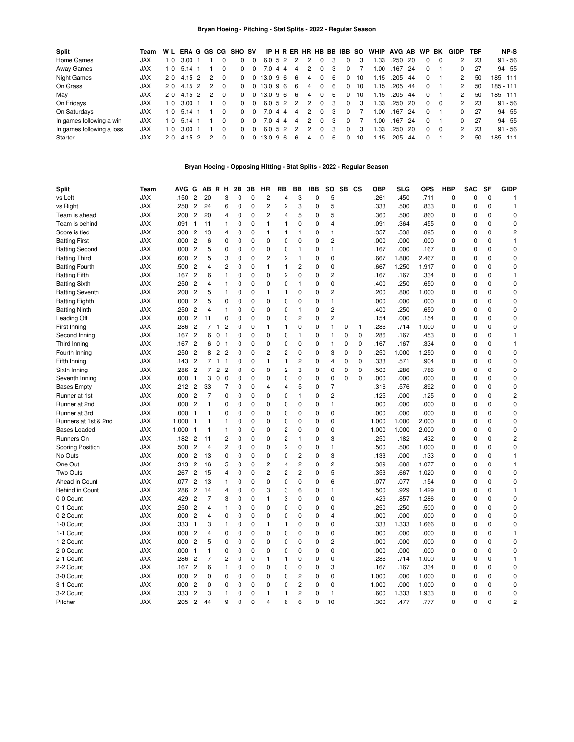### **Bryan Hoeing - Pitching - Stat Splits - 2022 - Regular Season**

| Split                     | Team       |                |        |               |              | W L ERA G GS CG SHO SV |          |              |  |   |               |              |   | IP H R ER HR HB BB IBB SO |    | WHIP AVG AB WP |      |     |              | BK       | GIDP          | TBF | NP-S        |
|---------------------------|------------|----------------|--------|---------------|--------------|------------------------|----------|--------------|--|---|---------------|--------------|---|---------------------------|----|----------------|------|-----|--------------|----------|---------------|-----|-------------|
| Home Games                | <b>JAX</b> | 1 <sub>0</sub> | 3.00   |               |              |                        | 0        | 6.052        |  | 2 | 2             |              |   |                           | 3  | .33            | .250 | 20  |              | $\Omega$ | 2             | 23  | $91 - 56$   |
| Away Games                | <b>JAX</b> | 10             | 5.14   |               | <sup>0</sup> | $\Omega$               | $\Omega$ | 7.0 4 4      |  | 4 | 2             | 0            | 3 | <sup>0</sup>              |    | .00            | .167 | -24 | $\Omega$     |          | 0             | 27  | $94 - 55$   |
| <b>Night Games</b>        | <b>JAX</b> | 20             | 4.15 2 | $\mathcal{P}$ | $\Omega$     | <sup>0</sup>           |          | $0$ 13.0 9 6 |  | 6 | 4             | 0            | 6 | $\Omega$                  | 10 | .15            | .205 | -44 | $\Omega$     |          | 2             | 50  | $185 - 111$ |
| On Grass                  | <b>JAX</b> | 20             | 4.15 2 | $\mathcal{P}$ | $\Omega$     | $\Omega$               |          | 0 13.0 9 6   |  | 6 | 4             | $\Omega$     | 6 | $\Omega$                  | 10 | .15            | .205 | 44  | $\Omega$     |          | 2             | 50  | $185 - 111$ |
| May                       | <b>JAX</b> | 20             | 4.15 2 | $\mathcal{P}$ | $\Omega$     | $\Omega$               |          | 0 13.0 96    |  | 6 | 4             | 0            | 6 | $\Omega$                  | 10 | .15            | .205 | -44 | $\Omega$     |          | 2             | 50  | 185 - 111   |
| On Fridays                | <b>JAX</b> | 10             | 3.00   |               | $\Omega$     | <sup>0</sup>           | $\Omega$ | 6.052        |  | 2 | $\mathcal{P}$ | 0            | 3 | $\Omega$                  | 3  | .33            | .250 | 20  | <sup>0</sup> | $\Omega$ | $\mathcal{P}$ | 23  | $91 - 56$   |
| On Saturdays              | <b>JAX</b> | 10             | 5.14   |               | $\Omega$     | <sup>0</sup>           | $\Omega$ | 7.0 4 4      |  | 4 | 2             | <sup>0</sup> | 3 | $\Omega$                  |    | .00            | .167 | -24 | $\Omega$     |          | <sup>0</sup>  | 27  | $94 - 55$   |
| In games following a win  | <b>JAX</b> | 10             | 5.14   |               | 0            | <sup>0</sup>           | $\Omega$ | 7.0 4 4      |  | 4 | 2             | 0            | 3 | $\Omega$                  |    | .00            | .167 | 24  | $\Omega$     |          | <sup>0</sup>  | 27  | $94 - 55$   |
| In games following a loss | <b>JAX</b> | 10             | 3.00   |               | $\Omega$     | <sup>0</sup>           | $\Omega$ | 6.052        |  | 2 | 2             | 0            | 3 | <sup>0</sup>              | 3  | .33            | .250 | -20 | <sup>0</sup> | $\Omega$ | $\mathcal{P}$ | 23  | $91 - 56$   |
| Starter                   | <b>JAX</b> | 20             | 4 15 2 | 2             | $\Omega$     | <sup>0</sup>           | $\Omega$ | 13.096       |  | 6 | 4             | <sup>0</sup> | 6 | <sup>0</sup>              | 10 | -15            | .205 | 44  | 0            |          | 2             | 50  | 185 - 111   |

# **Bryan Hoeing - Opposing Hitting - Stat Splits - 2022 - Regular Season**

| <b>Split</b>            | Team       | AVG   | G              |                | AB R H                           |                | 2Β          | 3B       | <b>HR</b>      | <b>RBI</b>     | <b>BB</b>               | <b>IBB</b> | <b>SO</b>      |             | SB CS        | <b>OBP</b> | <b>SLG</b> | <b>OPS</b> | <b>HBP</b>  | <b>SAC</b>  | <b>SF</b>   | <b>GIDP</b>    |
|-------------------------|------------|-------|----------------|----------------|----------------------------------|----------------|-------------|----------|----------------|----------------|-------------------------|------------|----------------|-------------|--------------|------------|------------|------------|-------------|-------------|-------------|----------------|
| vs Left                 | <b>JAX</b> | .150  | $\overline{c}$ | 20             |                                  | 3              | $\Omega$    | 0        | $\overline{c}$ | $\overline{4}$ | 3                       | $\Omega$   | 5              |             |              | .261       | .450       | .711       | 0           | $\Omega$    | $\mathbf 0$ | 1              |
| vs Right                | <b>JAX</b> | .250  | $\overline{2}$ | 24             |                                  | 6              | $\mathbf 0$ | $\Omega$ | $\overline{c}$ | $\overline{c}$ | 3                       | $\Omega$   | 5              |             |              | .333       | .500       | .833       | $\Omega$    | $\Omega$    | $\Omega$    | $\overline{1}$ |
| Team is ahead           | <b>JAX</b> | .200  | $\overline{c}$ | 20             |                                  | 4              | $\mathbf 0$ | $\Omega$ | $\overline{c}$ | $\overline{4}$ | 5                       | 0          | 5              |             |              | .360       | .500       | .860       | $\Omega$    | $\Omega$    | $\Omega$    | $\Omega$       |
| Team is behind          | JAX        | .091  | $\mathbf{1}$   | 11             |                                  | $\mathbf{1}$   | $\mathbf 0$ | $\Omega$ | $\mathbf{1}$   | $\mathbf{1}$   | $\Omega$                | $\Omega$   | 4              |             |              | .091       | .364       | .455       | 0           | 0           | $\Omega$    | $\mathbf 0$    |
| Score is tied           | <b>JAX</b> | .308  | $\overline{c}$ | 13             |                                  | 4              | $\mathbf 0$ | 0        | $\mathbf{1}$   | $\mathbf{1}$   | 1                       | 0          | 1              |             |              | .357       | .538       | .895       | 0           | $\Omega$    | $\Omega$    | $\overline{c}$ |
| <b>Batting First</b>    | <b>JAX</b> | .000  | $\overline{2}$ | 6              |                                  | 0              | $\mathbf 0$ | 0        | 0              | $\Omega$       | 0                       | 0          | $\overline{2}$ |             |              | .000       | .000       | .000       | 0           | $\mathbf 0$ | $\Omega$    | $\overline{1}$ |
| <b>Batting Second</b>   | <b>JAX</b> | .000  | $\overline{c}$ | 5              |                                  | 0              | $\mathbf 0$ | 0        | 0              | $\mathbf 0$    | 1                       | 0          | $\mathbf{1}$   |             |              | .167       | .000       | .167       | 0           | $\mathbf 0$ | $\mathbf 0$ | $\Omega$       |
| <b>Batting Third</b>    | <b>JAX</b> | .600  | $\overline{c}$ | 5              |                                  | 3              | $\mathbf 0$ | 0        | $\overline{2}$ | $\overline{2}$ | 1                       | 0          | $\mathbf 0$    |             |              | .667       | 1.800      | 2.467      | 0           | $\mathbf 0$ | $\mathbf 0$ | $\Omega$       |
| <b>Batting Fourth</b>   | <b>JAX</b> | .500  | $\overline{c}$ | 4              |                                  | 2              | $\mathbf 0$ | 0        | $\mathbf{1}$   | $\mathbf{1}$   | $\overline{c}$          | 0          | $\mathbf 0$    |             |              | .667       | 1.250      | 1.917      | 0           | 0           | $\mathbf 0$ | $\mathbf 0$    |
| <b>Batting Fifth</b>    | <b>JAX</b> | .167  | $\overline{c}$ | 6              |                                  | $\mathbf{1}$   | $\Omega$    | 0        | 0              | $\overline{c}$ | $\mathbf 0$             | 0          | $\overline{c}$ |             |              | .167       | .167       | .334       | 0           | 0           | $\Omega$    | $\overline{1}$ |
| <b>Batting Sixth</b>    | <b>JAX</b> | .250  | $\overline{c}$ | 4              |                                  | $\mathbf{1}$   | 0           | 0        | 0              | $\Omega$       | 1                       | $\Omega$   | $\mathbf 0$    |             |              | .400       | .250       | .650       | 0           | $\Omega$    | $\mathbf 0$ | $\mathbf 0$    |
| <b>Batting Seventh</b>  | <b>JAX</b> | .200  | $\overline{c}$ | 5              |                                  | $\mathbf{1}$   | 0           | 0        | $\mathbf{1}$   | $\mathbf{1}$   | 0                       | 0          | 2              |             |              | .200       | .800       | 1.000      | 0           | $\mathbf 0$ | $\mathbf 0$ | $\mathbf 0$    |
| <b>Batting Eighth</b>   | <b>JAX</b> | .000  | $\overline{c}$ | 5              |                                  | 0              | 0           | 0        | 0              | 0              | $\mathbf 0$             | 0          | $\mathbf{1}$   |             |              | .000       | .000       | .000       | 0           | 0           | $\mathbf 0$ | 0              |
| <b>Batting Ninth</b>    | <b>JAX</b> | .250  | $\overline{c}$ | 4              |                                  | 1              | $\mathbf 0$ | 0        | 0              | 0              | 1                       | 0          | $\overline{c}$ |             |              | .400       | .250       | .650       | 0           | 0           | $\mathbf 0$ | $\mathbf 0$    |
| Leading Off             | <b>JAX</b> | .000  | $\overline{c}$ | 11             |                                  | 0              | $\mathbf 0$ | 0        | 0              | 0              | $\overline{c}$          | 0          | 2              |             |              | .154       | .000       | .154       | 0           | 0           | $\mathbf 0$ | 0              |
| <b>First Inning</b>     | <b>JAX</b> | .286  | $\overline{c}$ | $\overline{7}$ | $\mathbf{1}$                     | $\overline{c}$ | $\Omega$    | 0        | 1              | $\mathbf{1}$   | $\mathbf 0$             | 0          | 1              | 0           | $\mathbf{1}$ | .286       | .714       | 1.000      | 0           | 0           | $\mathbf 0$ | $\mathbf 0$    |
| Second Inning           | <b>JAX</b> | .167  | $\overline{c}$ | 6              | 0<br>$\vert$                     |                | $\mathbf 0$ | 0        | 0              | 0              | 1                       | 0          | 1              | $\mathbf 0$ | $\mathbf 0$  | .286       | .167       | .453       | 0           | $\Omega$    | $\Omega$    | $\mathbf{1}$   |
| Third Inning            | <b>JAX</b> | .167  | $\overline{c}$ |                | 6 0<br>$\overline{1}$            |                | $\Omega$    | 0        | 0              | 0              | $\mathbf 0$             | 0          | 1              | $\mathbf 0$ | 0            | .167       | .167       | .334       | $\mathbf 0$ | $\Omega$    | $\Omega$    | $\mathbf{1}$   |
| Fourth Inning           | <b>JAX</b> | .250  | $\overline{c}$ | 8              | $\overline{2}$<br>$\overline{2}$ |                | $\Omega$    | $\Omega$ | $\overline{c}$ | $\overline{c}$ | $\mathbf 0$             | 0          | 3              | $\mathbf 0$ | $\mathbf{0}$ | .250       | 1.000      | 1.250      | 0           | $\Omega$    | $\Omega$    | $\Omega$       |
| Fifth Inning            | <b>JAX</b> | .143  | $\overline{c}$ |                | 7 <sub>1</sub><br>$\overline{1}$ |                | $\mathbf 0$ | 0        | 1              | $\mathbf{1}$   | $\overline{c}$          | 0          | 4              | 0           | $\Omega$     | .333       | .571       | .904       | 0           | 0           | $\mathbf 0$ | $\Omega$       |
| Sixth Inning            | JAX        | .286  | $\overline{c}$ | $\overline{7}$ | 2 <sub>2</sub>                   |                | $\mathbf 0$ | 0        | 0              | $\overline{c}$ | 3                       | 0          | 0              | 0           | 0            | .500       | .286       | .786       | 0           | 0           | $\Omega$    | 0              |
| Seventh Inning          | <b>JAX</b> | .000  | $\mathbf{1}$   | 3              | $\mathbf 0$                      | $\mathbf 0$    | 0           | 0        | 0              | 0              | $\mathbf 0$             | 0          | 0              | $\Omega$    | $\Omega$     | .000       | .000       | .000       | 0           | $\Omega$    | 0           | 0              |
| <b>Bases Empty</b>      | JAX        | .212  | $\overline{c}$ | 33             |                                  | 7              | $\mathbf 0$ | 0        | 4              | $\overline{4}$ | 5                       | 0          | $\overline{7}$ |             |              | .316       | .576       | .892       | 0           | $\mathbf 0$ | 0           | 0              |
| Runner at 1st           | JAX        | .000  | $\overline{c}$ | 7              |                                  | 0              | $\mathbf 0$ | 0        | 0              | 0              | 1                       | 0          | $\overline{c}$ |             |              | .125       | .000       | .125       | 0           | $\mathbf 0$ | 0           | $\overline{c}$ |
| Runner at 2nd           | JAX        | .000  | $\overline{c}$ | 1              |                                  | 0              | 0           | 0        | 0              | $\mathbf 0$    | $\mathbf 0$             | 0          | $\mathbf{1}$   |             |              | .000       | .000       | .000       | 0           | $\mathbf 0$ | $\mathbf 0$ | 0              |
| Runner at 3rd           | <b>JAX</b> | .000  | $\mathbf{1}$   | $\mathbf{1}$   |                                  | 0              | 0           | 0        | 0              | 0              | $\mathbf 0$             | 0          | $\mathbf 0$    |             |              | .000       | .000       | .000       | 0           | $\mathbf 0$ | $\mathbf 0$ | $\mathbf 0$    |
| Runners at 1st & 2nd    | <b>JAX</b> | 1.000 | $\mathbf{1}$   | 1              |                                  | $\mathbf{1}$   | $\mathbf 0$ | 0        | 0              | 0              | 0                       | 0          | 0              |             |              | 1.000      | 1.000      | 2.000      | 0           | 0           | $\mathbf 0$ | $\mathbf 0$    |
| <b>Bases Loaded</b>     | <b>JAX</b> | 1.000 | $\mathbf{1}$   | 1              |                                  | 1              | 0           | 0        | 0              | $\overline{c}$ | 0                       | 0          | 0              |             |              | 1.000      | 1.000      | 2.000      | 0           | $\Omega$    | $\mathbf 0$ | 0              |
| Runners On              | <b>JAX</b> | .182  | $\overline{2}$ | 11             |                                  | 2              | 0           | 0        | 0              | 2              | 1                       | 0          | 3              |             |              | .250       | .182       | .432       | 0           | $\mathbf 0$ | $\mathbf 0$ | $\overline{c}$ |
| <b>Scoring Position</b> | <b>JAX</b> | .500  | $\overline{c}$ | 4              |                                  | 2              | 0           | 0        | 0              | 2              | 0                       | 0          | 1              |             |              | .500       | .500       | 1.000      | 0           | 0           | $\mathbf 0$ | 0              |
| No Outs                 | <b>JAX</b> | .000  | $\overline{c}$ | 13             |                                  | 0              | 0           | 0        | 0              | 0              | $\overline{c}$          | 0          | 3              |             |              | .133       | .000       | .133       | 0           | 0           | 0           | $\mathbf{1}$   |
| One Out                 | <b>JAX</b> | .313  | $\overline{c}$ | 16             |                                  | 5              | 0           | 0        | 2              | 4              | $\overline{c}$          | 0          | 2              |             |              | .389       | .688       | 1.077      | 0           | $\Omega$    | 0           | $\mathbf{1}$   |
| Two Outs                | <b>JAX</b> | .267  | $\overline{c}$ | 15             |                                  | 4              | 0           | 0        | $\overline{c}$ | 2              | $\overline{c}$          | 0          | 5              |             |              | .353       | .667       | 1.020      | 0           | 0           | $\mathbf 0$ | $\mathbf 0$    |
| Ahead in Count          | JAX        | .077  | $\overline{c}$ | 13             |                                  | 1              | 0           | 0        | 0              | $\mathbf 0$    | $\mathbf 0$             | 0          | 6              |             |              | .077       | .077       | .154       | 0           | $\Omega$    | 0           | 0              |
| <b>Behind in Count</b>  | <b>JAX</b> | .286  | $\overline{c}$ | 14             |                                  | 4              | 0           | 0        | 3              | 3              | 6                       | 0          | 1              |             |              | .500       | .929       | 1.429      | 0           | 0           | 0           | $\mathbf{1}$   |
| 0-0 Count               | JAX        | .429  | $\overline{c}$ | 7              |                                  | 3              | $\mathbf 0$ | 0        | $\mathbf{1}$   | 3              | 0                       | 0          | 0              |             |              | .429       | .857       | 1.286      | 0           | $\Omega$    | 0           | $\mathbf 0$    |
| 0-1 Count               | <b>JAX</b> | .250  | $\overline{c}$ | 4              |                                  | 1              | 0           | 0        | 0              | 0              | 0                       | 0          | 0              |             |              | .250       | .250       | .500       | 0           | 0           | 0           | 0              |
| 0-2 Count               | JAX        | .000  | $\overline{c}$ | 4              |                                  | 0              | 0           | 0        | 0              | 0              | 0                       | 0          | 4              |             |              | .000       | .000       | .000       | 0           | 0           | 0           | 0              |
| 1-0 Count               | <b>JAX</b> | .333  | $\overline{1}$ | 3              |                                  | 1              | $\mathbf 0$ | 0        | 1              | 1              | 0                       | 0          | 0              |             |              | .333       | 1.333      | 1.666      | 0           | 0           | 0           | 0              |
| 1-1 Count               | JAX        | .000  | $\overline{c}$ | 4              |                                  | 0              | $\mathbf 0$ | 0        | 0              | 0              | 0                       | 0          | 0              |             |              | .000       | .000       | .000       | 0           | 0           | 0           | $\mathbf{1}$   |
| 1-2 Count               | JAX        | .000  | $\overline{c}$ | 5              |                                  | 0              | 0           | 0        | 0              | 0              | 0                       | 0          | 2              |             |              | .000       | .000       | .000       | 0           | $\mathbf 0$ | 0           | 0              |
| 2-0 Count               | <b>JAX</b> | .000  | $\mathbf{1}$   | 1              |                                  | 0              | 0           | 0        | 0              | $\mathbf 0$    | 0                       | 0          | 0              |             |              | .000       | .000       | .000       | 0           | $\mathbf 0$ | 0           | $\mathbf 0$    |
| 2-1 Count               | <b>JAX</b> | .286  | $\overline{c}$ | 7              |                                  | 2              | 0           | 0        | 1              | 1              | 0                       | 0          | 0              |             |              | .286       | .714       | 1.000      | 0           | $\mathbf 0$ | 0           | $\mathbf{1}$   |
| 2-2 Count               | JAX        | .167  | $\overline{c}$ | 6              |                                  | 1              | 0           | 0        | 0              | $\mathbf 0$    | 0                       | 0          | 3              |             |              | .167       | .167       | .334       | 0           | 0           | 0           | 0              |
| 3-0 Count               | <b>JAX</b> | .000  | $\overline{c}$ | 0              |                                  | 0              | 0           | 0        | 0              | 0              | $\overline{\mathbf{c}}$ | 0          | 0              |             |              | 1.000      | .000       | 1.000      | 0           | 0           | $\mathbf 0$ | 0              |
| 3-1 Count               | <b>JAX</b> | .000  | $\overline{c}$ | 0              |                                  | 0              | 0           | 0        | 0              | 0              | 2                       | 0          | 0              |             |              | 1.000      | .000       | 1.000      | 0           | 0           | 0           | 0              |
| 3-2 Count               | JAX        | .333  | $\overline{c}$ | 3              |                                  | 1              | 0           | 0        | 1              | $\mathbf{1}$   | 2                       | 0          | 1              |             |              | .600       | 1.333      | 1.933      | 0           | 0           | $\mathbf 0$ | 0              |
| Pitcher                 | <b>JAX</b> | .205  | $\overline{2}$ | 44             |                                  | 9              | $\Omega$    | 0        | 4              | 6              | 6                       | 0          | 10             |             |              | .300       | .477       | .777       | $\Omega$    | $\Omega$    | $\Omega$    | $\overline{c}$ |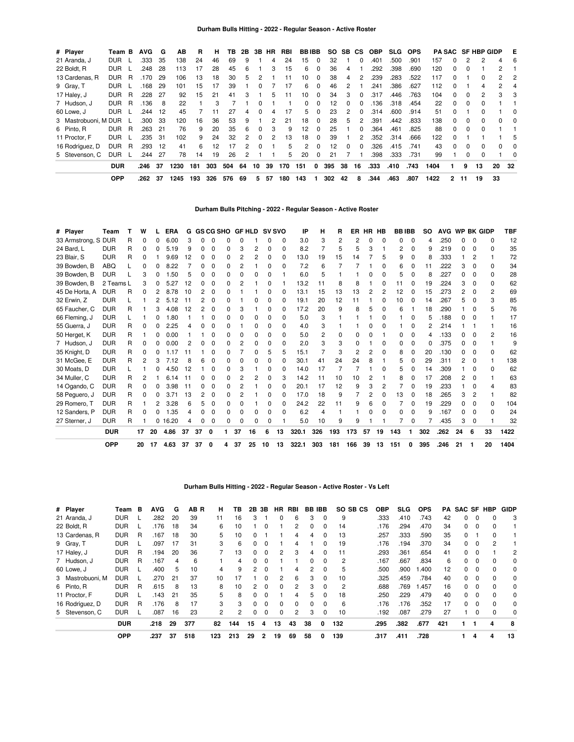| # Player             | Team B     |   | <b>AVG</b> | G   | AВ   | R   | н   | ΤВ  | 2B | 3В | HR             | RBI | <b>BBIBB</b> |          | SO. | SB.          | <b>CS</b>    | <b>OBP</b> | <b>SLG</b> | <b>OPS</b> |      |              |          | <b>PA SAC SF HBP GIDP</b> |              | Е        |
|----------------------|------------|---|------------|-----|------|-----|-----|-----|----|----|----------------|-----|--------------|----------|-----|--------------|--------------|------------|------------|------------|------|--------------|----------|---------------------------|--------------|----------|
| 21 Aranda, J         | <b>DUR</b> |   | .333       | 35  | 138  | 24  | 46  | 69  | 9  |    | 4              | 24  | 15           | $\Omega$ | 32  |              | 0            | .401       | .500       | .901       | 157  | 0            |          |                           |              | 6        |
| 22 Boldt, R          | <b>DUR</b> |   | .248       | 28  | 113  | 17  | 28  | 45  | 6  |    | 3              | 15  | 6            | 0        | 36  | 4            |              | .292       | .398       | .690       | 120  | <sup>0</sup> | $\Omega$ |                           | 2            |          |
| 13 Cardenas, R       | DUR        | R | 170        | 29  | 106  | 13  | 18  | 30  | 5  |    |                | 11  | 10           | 0        | 38  | 4            | 2            | .239       | .283       | .522       | 117  | 0            |          | 0                         | 2            | 2        |
| 9 Gray, T            | <b>DUR</b> |   | .168       | 29  | 101  | 15  | 17  | 39  |    | 0  |                | 17  | 6            | $\Omega$ | 46  | 2            |              | .241       | .386       | .627       | 112  | 0            |          | 4                         | 2            | 4        |
| 17 Haley, J          | <b>DUR</b> | R | .228       | 27  | 92   | 15  | 21  | 41  | 3  |    | 5              | 11  | 10           | 0        | 34  | 3            | 0            | .317       | .446       | .763       | 104  | 0            | $\Omega$ | 2                         | 3            | 3        |
| 7 Hudson, J          | <b>DUR</b> | R | .136       | 8   | 22   |     | з   |     |    |    |                |     | 0            | 0        | 12  | <sup>0</sup> | ŋ            | 136        | .318       | .454       | 22   | <sup>0</sup> | $\Omega$ | <sup>0</sup>              |              |          |
| 60 Lowe, J           | <b>DUR</b> |   | .244       | 12  | 45   |     |     | 27  | 4  | 0  | 4              | 17  | 5            | 0        | 23  | 2            | 0            | .314       | .600       | .914       | 51   | 0            |          |                           |              | $\Omega$ |
| 3 Mastrobuoni, M DUR |            |   | .300       | 33  | 120  | 16  | 36  | 53  | 9  |    | 2              | 21  | 18           | $\Omega$ | 28  | 5            | 2            | .391       | .442       | .833       | 138  | <sup>0</sup> | $\Omega$ | <sup>0</sup>              | 0            | $\Omega$ |
| 6 Pinto, R           | <b>DUR</b> | R | .263       | 21  | 76   | 9   | 20  | 35  | 6  | 0  | 3              | 9   | 12           | 0        | 25  |              | 0            | .364       | .461       | .825       | 88   | 0            | $\Omega$ | <sup>0</sup>              |              |          |
| 11 Proctor, F        | <b>DUR</b> |   | .235       | -31 | 102  | 9   | 24  | 32  | 2  | 0  | $\overline{2}$ | 13  | 18           | $\Omega$ | 39  |              | 2            | .352       | .314       | .666       | 122  | <sup>0</sup> |          |                           |              | 5        |
| 16 Rodríguez, D      | <b>DUR</b> | R | .293       | 12  | 41   | 6   | 12  | 17  | 2  | O  |                | 5   | 2            | 0        | 12  | <sup>0</sup> | <sup>0</sup> | .326       | .415       | .741       | 43   | <sup>0</sup> | $\Omega$ | <sup>0</sup>              | <sup>0</sup> | $\Omega$ |
| 5 Stevenson, C       | <b>DUR</b> |   | .244       | -27 | 78   | 14  | 19  | 26  |    |    |                | 5.  | 20           | 0        | 21  |              |              | .398       | .333       | .731       | 99   |              | $\Omega$ | 0                         |              | $\Omega$ |
|                      | <b>DUR</b> |   | .246       | 37  | 1230 | 181 | 303 | 504 | 64 | 10 | 39             | 170 | 151          | 0        | 395 | 38           | 16           | .333       | .410       | .743       | 1404 |              | 9        | 13                        | 20           | -32      |
|                      | <b>OPP</b> |   | .262       | 37  | 1245 | 193 | 326 | 576 | 69 | 5. | 57             | 180 | 143          |          | 302 | 42           | 8            | .344       | .463       | .807       | 1422 | 2            | 11       | 19                        | 33           |          |

# **Durham Bulls Pitching - 2022 - Regular Season - Active Roster**

| # Player            | Team       |   | w  |    | <b>ERA</b> | G  |    | <b>GS CG SHO</b> |   | <b>GF HLD</b> |    | <b>SV SVO</b> |              | IP    | н              | R   | ER  |    | HR HB        | <b>BBIBB</b> |              | <b>SO</b> | AVG WP BK GIDP |    |              |              | <b>TBF</b> |
|---------------------|------------|---|----|----|------------|----|----|------------------|---|---------------|----|---------------|--------------|-------|----------------|-----|-----|----|--------------|--------------|--------------|-----------|----------------|----|--------------|--------------|------------|
| 33 Armstrong, S DUR |            | R | 0  |    | 6.00       | З  |    | ი                |   | ი             |    |               | 0            | 3.0   | 3              | 2   | 2   | ი  | O            |              | $\Omega$     | 4         | .250           | n  | 0            | 0            | 12         |
| 24 Bard, L          | <b>DUR</b> | R | 0  |    | 5.19       | 9  |    | O                |   | 3             |    | ŋ             | <sup>0</sup> | 8.2   |                | 5   | 5   | 3  |              |              | 0            | 9         | .219           |    |              | <sup>0</sup> | 35         |
| 23 Blair, S         | <b>DUR</b> | R | 0  |    | 9.69       | 12 | n  | O                |   | 2             |    | 0             | <sup>0</sup> | 13.0  | 19             | 15  | 14  |    | 5            | 9            | O            | 8         | .333           |    | 2            |              | 72         |
| 39 Bowden, B        | ABO        |   | O  |    | .22<br>8   |    |    | n                |   | 2             |    | 0             | 0            | 7.2   | 6              |     |     |    | n            | 6            |              | 11        | .222           | 3  |              | <sup>n</sup> | 34         |
| 39 Bowden, B        | <b>DUR</b> |   | 3  |    | .50        | 5  |    | O                |   | ი             |    | ŋ             |              | 6.0   | 5              |     |     |    | O            | 5            |              | 8         | 227            |    |              | $\Omega$     | 28         |
| 39 Bowden, B        | 2 Teams L  |   | 3  | ი  | 5.27       | 12 |    | O                |   | 2             |    | 0             |              | 13.2  | 11             | 8   |     |    | ŋ            | 11           |              | 19        | 224            | 3  | <sup>0</sup> | 0            | 62         |
| 45 De Horta, A      | <b>DUR</b> | R | 0  |    | .78<br>8   | 10 |    | 0                |   |               |    | ŋ             | <sup>0</sup> | 13.1  | 15             | 13  | 13  | 2  | 2            | 12           |              | 15        | 273            | 2  | <sup>0</sup> | 2            | 69         |
| 32 Erwin, Z         | <b>DUR</b> |   |    | 2  | .12<br>-5. | 11 |    | O                |   |               |    | ŋ             | 0            | 19.1  | 20             | 12  | 11  |    | ŋ            | 10           | $\Omega$     | 14        | 267            | 5  | <sup>0</sup> | 3            | 85         |
| 65 Faucher, C       | <b>DUR</b> | R |    |    | 4.08       | 12 |    | 0                |   | 3             |    | 0             | 0            | 17.2  | 20             | 9   | 8   | 5  | 0            |              |              | 18        | 290            |    |              |              | 76         |
| 66 Fleming, J       | <b>DUR</b> |   |    | n  | .80        |    |    | ი                |   | n             |    | n             | <sup>n</sup> | 5.0   | 3              |     |     |    | n            |              | O            | 5         | 188            | O. | <sup>0</sup> |              | 17         |
| 55 Guerra, J        | <b>DUR</b> | R | 0  | 0  | 2.25       |    |    | O                |   |               |    | n             | $\Omega$     | 4.0   | 3              |     |     |    | n            |              | 0            | 2         | 214            |    |              |              | 16         |
| 50 Herget, K        | <b>DUR</b> | R |    | ი  | 0.00       |    |    | 0                |   | ი             |    | ŋ             | 0            | 5.0   | $\overline{2}$ | 0   |     |    |              |              | 0            | 4         | 133            |    | n            | 2            | 16         |
| 7 Hudson, J         | <b>DUR</b> | R | 0  | 0  | 0.00       |    |    |                  |   | 2             |    | 0             | $\Omega$     | 2.0   | 3              | 3   |     |    | 0            |              | 0            | 0         | .375           |    | <sup>0</sup> |              |            |
| 35 Knight, D        | <b>DUR</b> | R | 0  | O  | 17         | 11 |    | O                |   |               |    | 5             | 5            | 15.1  |                | 3   | 2   | 2  | 0            | 8            |              | 20        | .130           |    | 0            | 0            | 62         |
| 31 McGee, E         | <b>DUR</b> | R | 2  | 3  | 7.12       | 8  |    |                  |   | ი             |    | ი             | 0            | 30.1  | 41             | 24  | 24  | 8  |              | 5            |              | 29        | .311           | 2  | 0            |              | 138        |
| 30 Moats, D         | <b>DUR</b> |   |    |    | 4.50       | 12 |    | O                |   | 3             |    | ŋ             | O            | 14.0  | 17             |     |     |    | O            | 5            |              | 14        | .309           |    | <sup>0</sup> | <sup>0</sup> | 62         |
| 34 Muller, C        | <b>DUR</b> | R | 2  |    | 6.14       | 11 |    | n                |   | 2             |    | n             | з            | 14.2  | 11             | 10  | 10  | 2  |              |              |              | 17        | 208            | 2  | <sup>0</sup> |              | 63         |
| 14 Ogando, C        | <b>DUR</b> | R | 0  | O. | 3.98       | 11 |    | 0                |   | 2             |    | 0             | <sup>n</sup> | 20.1  | 17             | 12  | 9   | 3  | 2            |              |              | 19        | .233           |    |              |              | 83         |
| 58 Peguero, J       | <b>DUR</b> | R | 0  | n  | 3.71       | 13 |    | O                |   | 2             |    | 0             | <sup>0</sup> | 17.0  | 18             | 9   |     | 2  | <sup>0</sup> | 13           | <sup>0</sup> | 18        | .265           | 3  | 2            |              | 82         |
| 29 Romero. T        | <b>DUR</b> | R |    |    | 3.28       | 6  |    |                  |   | ი             |    | 0             | 0            | 24.2  | 22             | 11  | 9   | 6  | 0            |              | <sup>0</sup> | 19        | .229           |    |              | $\Omega$     | 104        |
| 12 Sanders, P       | <b>DUR</b> | R | 0  | ი  | .35        | Δ  |    |                  |   | 0             |    | 0             | <sup>0</sup> | 6.2   | Δ              |     |     |    | ŋ            |              | 0            | 9         | .167           |    | 0            | <sup>0</sup> | 24         |
| 27 Sterner, J       | <b>DUR</b> | R |    |    | 0.16.20    | 4  | O  | O                |   | ი             |    | n             |              | 5.0   | 10             | 9   | 9   |    |              |              | O            |           | .435           | 3  | $\Omega$     |              | 32         |
|                     | <b>DUR</b> |   | 17 | 20 | 4.86       | 37 | 37 | 0                |   | 37            | 16 | 6             | 13           | 320.1 | 326            | 193 | 173 | 57 | 19           | 143          |              | 302       | .262           | 24 | 6            | 33           | 1422       |
|                     | OPP        |   | 20 | 17 | 4.63       | 37 | 37 | 0                | 4 | 37            | 25 | 10            | 13           | 322.1 | 303            | 181 | 166 | 39 | 13           | 151          | 0            | 395       | .246           | 21 |              | 20           | 1404       |

# **Durham Bulls Hitting - 2022 - Regular Season - Active Roster - Vs Left**

| # Player         | Team       | в | AVG  | G  | AB R | н              | ΤВ  | 2В           | 3В       | HR.      | RBI            | <b>BB IBB</b> |              | SO SB CS       | OBP  | <b>SLG</b> | <b>OPS</b> | PA  | SAC SF   |          | HBP          | <b>GIDP</b> |
|------------------|------------|---|------|----|------|----------------|-----|--------------|----------|----------|----------------|---------------|--------------|----------------|------|------------|------------|-----|----------|----------|--------------|-------------|
| 21 Aranda, J     | <b>DUR</b> |   | .282 | 20 | 39   | 11             | 16  | 3            |          | $\Omega$ | 6              | 3             | $\Omega$     | 9              | .333 | .410       | .743       | 42  | 0        |          |              | 3           |
| 22 Boldt, R      | <b>DUR</b> |   | .176 | 18 | 34   | 6              | 10  |              |          |          | 2              | 0             | 0            | 14             | .176 | .294       | .470       | 34  | 0        | 0        |              |             |
| 13 Cardenas, R   | <b>DUR</b> | R | .167 | 18 | 30   | 5              | 10  | 0            |          |          | 4              | 4             | $\Omega$     | 13             | .257 | .333       | .590       | 35  | 0        |          | 0            |             |
| 9 Gray, T        | <b>DUR</b> |   | .097 | 17 | 31   | 3              | 6   |              |          |          | 4              |               |              | 19             | .176 | .194       | .370       | 34  | 0        | 0        | 2            |             |
| 17 Haley, J      | <b>DUR</b> | R | .194 | 20 | 36   |                | 13  | 0            | $\Omega$ | 2        | 3              | 4             | $\Omega$     | 11             | .293 | .361       | .654       | 41  | 0        | $\Omega$ |              | 2           |
| 7 Hudson, J      | <b>DUR</b> | R | .167 | 4  | 6    |                | 4   | 0            | $\Omega$ |          |                | 0             | $\Omega$     | $\overline{2}$ | .167 | .667       | .834       | 6   | 0        | $\Omega$ | $\Omega$     | 0           |
| 60 Lowe, J       | <b>DUR</b> |   | .400 | 5  | 10   | 4              | 9   |              | -0       |          | 4              | 2             | 0            | 5              | .500 | .900       | .400       | 12  | 0        | 0        |              | 0           |
| 3 Mastrobuoni, M | <b>DUR</b> |   | .270 | 21 | 37   | 10             | 17  |              | $\Omega$ | 2        | 6              | 3             | $\Omega$     | 10             | .325 | .459       | .784       | 40  | $\Omega$ | 0        | <sup>0</sup> | $\Omega$    |
| 6 Pinto, R       | <b>DUR</b> | R | .615 | 8  | 13   | 8              | 10  |              | $\Omega$ | 0        | 2              | 3             | <sup>0</sup> | $\overline{2}$ | .688 | .769       | .457       | 16  | 0        | 0        |              | 0           |
| 11 Proctor, F    | <b>DUR</b> |   | .143 | 21 | 35   | 5              | 8   | $\Omega$     | $\Omega$ |          | 4              | 5             | $\Omega$     | 18             | .250 | .229       | .479       | 40  | $\Omega$ | $\Omega$ | 0            | 0           |
| 16 Rodríguez, D  | <b>DUR</b> | R | .176 | 8  | 17   | 3              | 3   | <sup>0</sup> | $\Omega$ | 0        | 0              | 0             | $\Omega$     | 6              | .176 | .176       | .352       | 17  | 0        | $\Omega$ | $\Omega$     | 0           |
| 5 Stevenson, C   | <b>DUR</b> |   | .087 | 16 | 23   | $\overline{2}$ | 2   | $\Omega$     | $\Omega$ | 0        | $\overline{2}$ | 3             | $\Omega$     | 10             | .192 | .087       | .279       | 27  |          | 0        |              | 0           |
|                  | <b>DUR</b> |   | .218 | 29 | 377  | 82             | 144 | 15           | 4        | 13       | 43             | 38            | 0            | 132            | .295 | .382       | .677       | 421 |          |          | 4            | 8           |
|                  | <b>OPP</b> |   | .237 | 37 | 518  | 123            | 213 | 29           | 2        | 19       | 69             | 58            | 0            | 139            | .317 | .411       | .728       |     |          | 4        | 4            | 13          |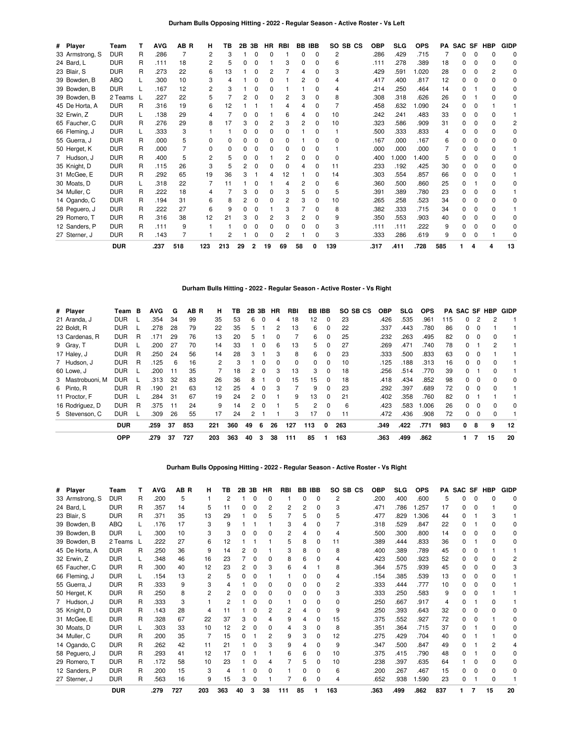### **Durham Bulls Opposing Hitting - 2022 - Regular Season - Active Roster - Vs Left**

| # Player        | Team       |   | <b>AVG</b> | AB R | н   | ΤВ  | 2Β | 3В | HR | <b>RBI</b> |    | <b>BB IBB</b> |              | SO SB CS | <b>OBP</b> | <b>SLG</b> | <b>OPS</b> | PA  | <b>SAC</b> |   | SF HBP | <b>GIDP</b>  |
|-----------------|------------|---|------------|------|-----|-----|----|----|----|------------|----|---------------|--------------|----------|------------|------------|------------|-----|------------|---|--------|--------------|
| 33 Armstrong, S | <b>DUR</b> | R | .286       |      | 2   | 3   |    | ი  |    |            | 0  | $\Omega$      | 2            |          | .286       | .429       | .715       |     | n          | ŋ |        | <sup>0</sup> |
| 24 Bard, L      | <b>DUR</b> | R | .111       | 18   |     | 5   |    |    |    | 3          | n  | <sup>0</sup>  | 6            |          | .111       | .278       | .389       | 18  |            |   |        |              |
| 23 Blair, S     | <b>DUR</b> | R | .273       | 22   | 6   | 13  |    |    |    |            | 4  | <sup>0</sup>  | 3            |          | .429       | .591       | 1.020      | 28  | O.         |   |        |              |
| 39 Bowden, B    | ABQ        |   | .300       | 10   | 3   | 4   |    |    |    |            |    |               |              |          | .417       | .400       | .817       | 12  | O.         |   |        |              |
| 39 Bowden, B    | <b>DUR</b> |   | .167       | 12   | 2   | 3   |    | ი  |    |            |    |               |              |          | .214       | .250       | .464       | 14  | 0          |   |        | n            |
| 39 Bowden, B    | 2 Teams    |   | .227       | 22   | 5   |     |    |    |    | 2          | 3  |               | 8            |          | .308       | .318       | .626       | 26  | n          |   |        |              |
| 45 De Horta, A  | <b>DUR</b> | R | .316       | 19   | 6   | 12  |    |    |    |            | 4  | 0             |              |          | .458       | .632       | 1.090      | 24  | 0          |   |        |              |
| 32 Erwin, Z     | <b>DUR</b> |   | .138       | 29   |     |     |    |    |    | 6          | 4  | U             | 10           |          | .242       | .241       | .483       | 33  |            |   |        |              |
| 65 Faucher, C   | <b>DUR</b> | R | .276       | 29   | 8   | 17  |    | ŋ  | 2  | 3          | 2  | $\Omega$      | 10           |          | .323       | .586       | .909       | 31  | n.         |   |        |              |
| 66 Fleming, J   | <b>DUR</b> |   | .333       | 3    |     |     |    |    |    | n          |    | <sup>0</sup>  |              |          | .500       | .333       | .833       |     |            |   |        |              |
| 55 Guerra, J    | <b>DUR</b> | R | .000       | 5    |     | 0   |    | 0  | n. | 0          |    | <sup>0</sup>  | 0            |          | .167       | .000       | .167       | 6   | O.         |   |        | <sup>0</sup> |
| 50 Herget, K    | <b>DUR</b> | R | .000       |      |     | ŋ   |    |    |    | 0          | n  | U             |              |          | .000       | .000       | .000       |     | n          |   |        |              |
| 7 Hudson, J     | <b>DUR</b> | R | .400       | 5    |     | 5   |    | ŋ  |    | 2          | 0  | <sup>0</sup>  | <sup>0</sup> |          | .400       | 000.1      | 1.400      | 5   | n          |   |        | <sup>0</sup> |
| 35 Knight, D    | <b>DUR</b> | R | .115       | 26   | 3   | 5   |    |    |    | ŋ          | 4  | <sup>0</sup>  | 11           |          | .233       | .192       | .425       | 30  | O.         |   |        | n            |
| 31 McGee, E     | <b>DUR</b> | R | .292       | 65   | 19  | 36  |    |    |    | 12         |    | n             | 14           |          | .303       | .554       | .857       | 66  | O.         |   |        |              |
| 30 Moats, D     | <b>DUR</b> |   | .318       | 22   |     | 11  |    |    |    |            | 2  |               | 6            |          | .360       | .500       | .860       | 25  | n          |   |        |              |
| 34 Muller, C    | <b>DUR</b> | R | .222       | 18   |     |     |    |    |    | 3          | 5  | <sup>0</sup>  | 5            |          | .391       | .389       | .780       | 23  | O.         |   |        |              |
| 14 Ogando, C    | <b>DUR</b> | R | .194       | 31   | 6   | 8   |    |    |    | 2          | 3  | n             | 10           |          | .265       | .258       | .523       | 34  | O.         |   |        | O            |
| 58 Peguero, J   | <b>DUR</b> | R | .222       | 27   | 6   | 9   |    | o  |    | 3          |    | 0             | 8            |          | .382       | .333       | .715       | 34  | 0          |   |        |              |
| 29 Romero, T    | <b>DUR</b> | R | .316       | 38   | 12  | 21  |    |    | 2  | 3          | 2  |               | 9            |          | .350       | .553       | .903       | 40  | 0          |   |        | O            |
| 12 Sanders, P   | <b>DUR</b> | R | .111       | 9    |     |     |    |    |    | ŋ          |    |               | 3            |          | .111       | .111       | .222       | 9   |            |   |        |              |
| 27 Sterner, J   | <b>DUR</b> | R | .143       |      |     | 2   |    |    |    | 2          |    |               | 3            |          | .333       | .286       | .619       | 9   | 0          |   |        |              |
|                 | <b>DUR</b> |   | .237       | 518  | 123 | 213 | 29 |    | 19 | 69         | 58 |               | 139          |          | .317       | .411       | .728       | 585 |            | 4 | 4      | 13           |

**Durham Bulls Hitting - 2022 - Regular Season - Active Roster - Vs Right**

| # Player         | Team       | в | <b>AVG</b> | G   | AB R | н   | ΤВ  | 2Β     | 3Β       | HR | RBI | BB           | IBB          | SO SB CS | OBP  | SLG. | <b>OPS</b> | PA  | <b>SAC SF</b> |          | HBP      | GIDP     |
|------------------|------------|---|------------|-----|------|-----|-----|--------|----------|----|-----|--------------|--------------|----------|------|------|------------|-----|---------------|----------|----------|----------|
| 21 Aranda, J     | <b>DUR</b> |   | .354       | 34  | 99   | 35  | 53  | 6      | $\Omega$ | 4  | 18  | 12           | 0            | 23       | .426 | .535 | .961       | 115 | 0             |          |          |          |
| 22 Boldt, R      | <b>DUR</b> |   | .278       | 28  | 79   | 22  | 35  | 5      |          | 2  | 13  | 6            | 0            | 22       | .337 | .443 | .780       | 86  | 0             | $\Omega$ |          |          |
| 13 Cardenas, R   | <b>DUR</b> | R | .171       | 29  | 76   | 13  | 20  | 5.     |          |    |     | 6            | 0            | 25       | .232 | .263 | .495       | 82  | 0             | $\Omega$ | 0        |          |
| 9 Gray, T        | <b>DUR</b> |   | .200       | 27  | 70   | 14  | 33  |        | $\Omega$ | 6  | 13  | 5            | 0            | 27       | .269 | .471 | .740       | 78  | 0             |          | 2        |          |
| 17 Haley, J      | <b>DUR</b> | R | 250        | 24  | 56   | 14  | 28  | 3      |          | 3  | 8   | 6            | 0            | 23       | .333 | .500 | .833       | 63  | 0             | $\Omega$ |          |          |
| 7 Hudson, J      | <b>DUR</b> | R | .125       | 6   | 16   | 2   | 3   |        | $\Omega$ | 0  | 0   | 0            | 0            | 10       | .125 | .188 | .313       | 16  | 0             | $\Omega$ | 0        |          |
| 60 Lowe, J       | <b>DUR</b> |   | .200       | 11  | 35   | 7   | 18  | 2      | $\Omega$ | 3  | 13  | 3            | 0            | 18       | .256 | .514 | .770       | 39  | 0             |          | 0        |          |
| 3 Mastrobuoni, M | <b>DUR</b> |   | .313       | 32  | 83   | 26  | 36  | 8      |          | 0  | 15  | 15           | 0            | 18       | .418 | .434 | .852       | 98  | 0             | $\Omega$ | 0        | 0        |
| 6 Pinto, R       | <b>DUR</b> | R | .190       | 21  | 63   | 12  | 25  | 4      | $\Omega$ | 3  |     | 9            | <sup>0</sup> | 23       | .292 | .397 | .689       | 72  | 0             | $\Omega$ | $\Omega$ |          |
| 11 Proctor, F    | <b>DUR</b> |   | .284       | -31 | 67   | 19  | 24  | 2      | $\Omega$ |    | 9   | 13           | 0            | 21       | .402 | .358 | .760       | 82  | 0             |          |          |          |
| 16 Rodríguez, D  | <b>DUR</b> | R | 375        | 11  | 24   | 9   | 14  | $^{2}$ | $\Omega$ |    | 5   | $\mathbf{2}$ | 0            | 6        | .423 | .583 | .006       | 26  | 0             | $\Omega$ | 0        | $\Omega$ |
| 5 Stevenson, C   | <b>DUR</b> |   | .309       | 26  | 55   | 17  | 24  | 2      |          |    | 3   | 17           | 0            | 11       | .472 | .436 | .908       | 72  | 0             | 0        | 0        |          |
|                  | <b>DUR</b> |   | .259       | 37  | 853  | 221 | 360 | 49     | 6        | 26 | 127 | 113          | 0            | 263      | .349 | .422 | .771       | 983 | 0             | 8        | 9        | 12       |
|                  | <b>OPP</b> |   | .279       | 37  | 727  | 203 | 363 | 40     | 3        | 38 | 111 | 85           |              | 163      | .363 | .499 | .862       |     |               |          | 15       | 20       |

#### **Durham Bulls Opposing Hitting - 2022 - Regular Season - Active Roster - Vs Right**

| # Player        | Team       |   | AVG  | AB R | н   | ΤВ  | 2Β | 3В | <b>HR</b>    | RBI | BB. | <b>IBB</b>  | SO. | SB CS | OBP  | <b>SLG</b> | <b>OPS</b> | РA  | <b>SAC</b> | <b>SF</b> | HBP | <b>GIDP</b> |
|-----------------|------------|---|------|------|-----|-----|----|----|--------------|-----|-----|-------------|-----|-------|------|------------|------------|-----|------------|-----------|-----|-------------|
| 33 Armstrong, S | <b>DUR</b> | R | .200 | 5    |     | 2   |    | 0  | $\Omega$     |     | 0   | $\mathbf 0$ | 2   |       | .200 | .400       | .600       | 5   | 0          | O         |     |             |
| 24 Bard, L      | <b>DUR</b> | R | .357 | 14   | 5   | 11  |    |    | 2            |     | 2   | 0           | 3   |       | .471 | .786       | .257       | 17  | 0          |           |     |             |
| 23 Blair, S     | <b>DUR</b> | R | .371 | 35   | 13  | 29  |    |    | 5            |     | 5   | 0           | 5   |       | .477 | .829       | 1.306      | 44  | 0          |           |     |             |
| 39 Bowden, B    | ABQ        |   | .176 | 17   | 3   | 9   |    |    |              |     |     | 0           |     |       | .318 | .529       | .847       | 22  |            |           |     |             |
| 39 Bowden, B    | <b>DUR</b> |   | .300 | 10   | 3   | 3   |    |    | $\Omega$     | 2   |     | $\Omega$    | 4   |       | .500 | .300       | .800       | 14  | O.         |           |     | O           |
| 39 Bowden, B    | 2 Teams    |   | .222 | 27   | 6   | 12  |    |    |              | 5   | 8   | 0           | 11  |       | .389 | .444       | .833       | 36  | o          |           |     |             |
| 45 De Horta, A  | <b>DUR</b> | R | .250 | 36   | 9   | 14  |    | 0  |              |     | 8   | 0           | 8   |       | .400 | .389       | .789       | 45  | 0          |           |     |             |
| 32 Erwin, Z     | <b>DUR</b> |   | .348 | 46   | 16  | 23  |    | O  | <sup>0</sup> | 8   | 6   | O           |     |       | .423 | .500       | .923       | 52  | o          |           |     |             |
| 65 Faucher, C   | <b>DUR</b> | R | .300 | 40   | 12  | 23  |    |    |              | հ   |     |             |     |       | .364 | .575       | .939       | 45  | o          |           |     |             |
| 66 Fleming, J   | <b>DUR</b> |   | .154 | 13   | 2   | 5   |    |    |              |     |     | 0           |     |       | .154 | .385       | .539       | 13  | o          |           |     |             |
| 55 Guerra, J    | <b>DUR</b> | R | .333 | 9    |     |     |    |    | 0            |     |     | 0           |     |       | .333 | .444       | .777       | 10  | 0          |           |     |             |
| 50 Herget, K    | <b>DUR</b> | R | .250 | 8    |     | 2   |    | ŋ  | 0            | 0   | 0   | 0           |     |       | .333 | .250       | .583       | 9   | 0          | O         |     |             |
| 7 Hudson, J     | <b>DUR</b> | R | .333 | 3    |     | 2   |    |    | 0            |     |     | 0           | 0   |       | .250 | .667       | .917       |     |            |           |     |             |
| 35 Knight, D    | <b>DUR</b> | R | .143 | 28   |     | 11  |    |    | 2            | 2   |     | $\Omega$    | 9   |       | .250 | .393       | .643       | 32  | 0          |           |     |             |
| 31 McGee, E     | <b>DUR</b> | R | .328 | 67   | 22  | 37  | 3  |    | Δ            | 9   |     | O           | 15  |       | .375 | .552       | .927       | 72  | o          |           |     |             |
| 30 Moats, D     | <b>DUR</b> |   | .303 | 33   | 10  | 12  |    | 0  | 0            | 4   | 3   | 0           | 8   |       | .351 | .364       | .715       | 37  | 0          |           |     |             |
| 34 Muller, C    | <b>DUR</b> | R | .200 | 35   |     | 15  |    |    | 2            | 9   | 3   | O           | 12  |       | .275 | .429       | .704       | 40  |            |           |     |             |
| 14 Ogando, C    | <b>DUR</b> | R | .262 | 42   | 11  | 21  |    |    | 3            | 9   | 4   | 0           | 9   |       | .347 | .500       | .847       | 49  | 0          |           |     |             |
| 58 Peguero, J   | <b>DUR</b> | R | .293 | 41   | 12  | 17  | n  |    |              | հ   | 6   | 0           | 10  |       | .375 | .415       | .790       | 48  | U          |           |     |             |
| 29 Romero, T    | <b>DUR</b> | R | .172 | 58   | 10  | 23  |    |    |              |     | 5   | 0           | 10  |       | .238 | .397       | .635       | 64  |            |           |     |             |
| 12 Sanders, P   | <b>DUR</b> | R | .200 | 15   | 3   | 4   |    |    | O            |     |     | 0           | 6   |       | .200 | .267       | .467       | 15  | 0          |           |     |             |
| 27 Sterner, J   | <b>DUR</b> | R | .563 | 16   | 9   | 15  | 3  | 0  |              |     | 6   | 0           | 4   |       | .652 | .938       | 1.590      | 23  | 0          |           |     |             |
|                 | <b>DUR</b> |   | .279 | 727  | 203 | 363 | 40 | з  | 38           | 111 | 85  |             | 163 |       | .363 | .499       | .862       | 837 |            | 7         | 15  | 20          |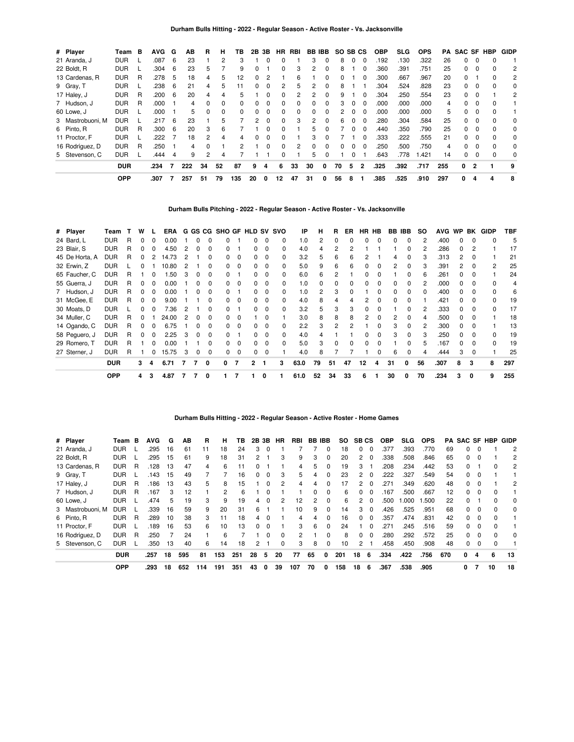| # Player         | Team       | в        | <b>AVG</b> | G | AB  | R              | н  | ΤВ  | 2В | 3В       | HR.      | RBI | BB IBB       |              | SO SB CS     |          |              | <b>OBP</b> | <b>SLG</b> | <b>OPS</b> | PA  |              |          | <b>SAC SF HBP</b> | <b>GIDP</b> |
|------------------|------------|----------|------------|---|-----|----------------|----|-----|----|----------|----------|-----|--------------|--------------|--------------|----------|--------------|------------|------------|------------|-----|--------------|----------|-------------------|-------------|
| 21 Aranda, J     | <b>DUR</b> |          | .087       | 6 | 23  |                | 2  | 3   |    |          |          |     | 3            |              | 8            | $\Omega$ | $\Omega$     | .192       | .130       | .322       | 26  | <sup>0</sup> |          |                   |             |
| 22 Boldt, R      | <b>DUR</b> |          | .304       | 6 | 23  | 5              |    | 9   | 0  |          | 0        | 3   | 2            | $\Omega$     | 8            |          | $\Omega$     | .360       | .391       | .751       | 25  | $\Omega$     | 0        |                   | 2           |
| 13 Cardenas, R   | <b>DUR</b> | R        | .278       | 5 | 18  | 4              | 5  | 12  | 0  | 2        |          | 6   |              | <sup>0</sup> | <sup>0</sup> |          | <sup>n</sup> | .300       | .667       | .967       | 20  | $\Omega$     |          | 0                 | 2           |
| 9 Gray, T        | <b>DUR</b> |          | .238       | 6 | 21  | 4              | 5  | 11  | U  |          | 2        | 5   | 2            |              | 8            |          |              | .304       | .524       | .828       | 23  | 0            | 0        |                   | 0           |
| 17 Haley, J      | <b>DUR</b> | R        | .200       | 6 | 20  | 4              | 4  | 5   |    | 0        | 0        | 2   | 2            | 0            | 9            |          | $\Omega$     | .304       | 250        | .554       | 23  | $\Omega$     | $\Omega$ |                   | 2           |
| 7 Hudson, J      | <b>DUR</b> | <b>R</b> | .000       |   | 4   | $\Omega$       | 0  | 0   | 0  | $\Omega$ | 0        | 0   | <sup>0</sup> | $\Omega$     | 3            | $\Omega$ | $\Omega$     | .000       | .000       | .000       | 4   | 0            | 0        | 0                 |             |
| 60 Lowe, J       | <b>DUR</b> |          | .000       |   | 5   | O              | 0  | 0   |    |          | 0        | 0   | 0            |              | 2            |          |              | .000       | .000       | .000       | 5   | <sup>0</sup> | $\Omega$ |                   |             |
| 3 Mastrobuoni, M | DUR        |          | .217       | 6 | 23  |                | 5  |     | 2  | $\Omega$ | 0        | 3   | 2            | $\Omega$     | 6            | $\Omega$ | $\Omega$     | .280       | .304       | .584       | 25  | 0            | $\Omega$ |                   | 0           |
| 6 Pinto, R       | <b>DUR</b> | <b>R</b> | .300       | 6 | 20  | 3              | 6  |     |    |          | 0        |     | 5            |              |              | $\Omega$ | $\Omega$     | .440       | .350       | .790       | 25  | $\Omega$     | $\Omega$ | <sup>0</sup>      | $\Omega$    |
| 11 Proctor, F    | <b>DUR</b> |          | .222       |   | 18  |                | 4  | 4   |    |          | 0        |     | 3            |              |              |          |              | .333       | .222       | .555       | 21  | 0            | $\Omega$ |                   | 0           |
| 16 Rodríguez, D  | <b>DUR</b> | R        | .250       |   | 4   | <sup>0</sup>   |    | 2   |    | $\Omega$ | $\Omega$ | 2   | $\Omega$     | $\Omega$     | $\Omega$     | $\Omega$ | $\Omega$     | .250       | .500       | .750       | 4   | $\Omega$     | $\Omega$ | <sup>0</sup>      | 0           |
| 5 Stevenson, C   | <b>DUR</b> |          | .444       | 4 | 9   | $\overline{c}$ | 4  |     |    |          | 0        |     | 5            | 0            |              | 0        |              | .643       | .778       | .421       | 14  | 0            | $\Omega$ |                   | 0           |
|                  | <b>DUR</b> |          | .234       |   | 222 | 34             | 52 | 87  | 9  | 4        | 6        | 33  | 30           | 0            | 70           | 5        | 2            | .325       | .392       | .717       | 255 | 0            | 2        |                   | 9           |
|                  | <b>OPP</b> |          | .307       |   | 257 | 51             | 79 | 135 | 20 | 0        | 12       | 47  | 31           | 0            | 56           | 8        |              | .385       | .525       | .910       | 297 | 0            | 4        | 4                 | 8           |

# **Durham Bulls Pitching - 2022 - Regular Season - Active Roster - Vs. Jacksonville**

| # Player       | Team       |    | w |              | ERA   |   |              |              | G GS CG SHO GF HLD SV SVO |          |   |          |              | IP   | н  | R            | ER | HR | HB           | BB IBB |              | <b>SO</b> | <b>AVG</b> | <b>WP</b>    | BK       | <b>GIDP</b>  | TBF |
|----------------|------------|----|---|--------------|-------|---|--------------|--------------|---------------------------|----------|---|----------|--------------|------|----|--------------|----|----|--------------|--------|--------------|-----------|------------|--------------|----------|--------------|-----|
| 24 Bard, L     | <b>DUR</b> | R  | 0 |              | 0.00  |   | ŋ            |              |                           |          |   |          | 0            | 1.0  | 2  |              |    |    |              | n      | 0            | 2         | .400       | <sup>0</sup> | $\Omega$ |              | 5   |
| 23 Blair, S    | <b>DUR</b> | R  |   |              | 4.50  |   | 0            |              |                           |          |   | $\Omega$ | 0            | 4.0  |    |              |    |    |              |        | 0            |           | .286       | <sup>0</sup> | 2        |              | 17  |
| 45 De Horta, A | <b>DUR</b> | R. |   |              | 14.73 |   |              |              |                           |          |   | $\Omega$ | 0            | 3.2  | 5  |              |    |    |              |        | 0            |           | .313       |              |          |              | 21  |
| 32 Erwin, Z    | <b>DUR</b> |    |   |              | 10.80 |   |              |              |                           |          |   | O        | 0            | 5.0  | 9  | 6            |    |    |              | 2      | <sup>0</sup> |           | .391       |              |          | 2            | 25  |
| 65 Faucher, C  | <b>DUR</b> |    |   |              | 50. ا |   | O            |              |                           |          |   | 0        |              | 6.0  | 6  | 2            |    |    |              |        | <sup>0</sup> | 6         | .261       |              |          |              | 24  |
| 55 Guerra, J   | <b>DUR</b> | R  |   |              | 0.00  |   | o            |              |                           |          |   | 0        |              | 1.0  |    |              |    |    |              |        | 0            |           | .000       |              |          | <sup>0</sup> | 4   |
| 7 Hudson, J    | <b>DUR</b> | R  | 0 |              | 0.00  |   | 0            | 0            |                           |          |   | 0        |              | 1.0  | 2  | 3            |    |    |              |        | 0            | 0         | .400       | <sup>0</sup> |          | <sup>0</sup> | 6   |
| 31 McGee, E    | <b>DUR</b> | R  | 0 | 0            | 9.00  |   |              |              | <sup>o</sup>              | -0       |   | 0        | 0            | 4.0  | 8  |              |    |    |              |        |              |           | .421       | 0            |          | 0            | 19  |
| 30 Moats, D    | <b>DUR</b> |    | 0 |              | 7.36  | 2 |              | 0            | <sup>n</sup>              |          | 0 | 0        | 0            | 3.2  | 5  | 3            | 3  |    |              |        | 0            | 2         | .333       | 0            | $\Omega$ | 0            | 17  |
| 34 Muller, C   | <b>DUR</b> | R  | 0 |              | 24.00 | 2 | 0            | 0            | 0                         | $\Omega$ |   | 0        |              | 3.0  | 8  | 8            | 8  |    |              | 2      | 0            |           | .500       | 0            | $\Omega$ |              | 18  |
| 14 Ogando, C   | <b>DUR</b> | R. | 0 | $\Omega$     | 6.75  |   | <sup>0</sup> | 0            | <sup>0</sup>              | $\Omega$ | 0 | $\Omega$ | <sup>0</sup> | 2.2  | 3  | 2            |    |    | <sup>0</sup> | 3      | $\Omega$     | 2         | .300       | $\Omega$     | $\Omega$ |              | 13  |
| 58 Peguero, J  | <b>DUR</b> | R. | 0 | $\Omega$     | 2.25  | 3 | <sup>0</sup> | 0            | <sup>0</sup>              |          | 0 | $\Omega$ | 0            | 4.0  |    |              |    | 0  | $\Omega$     | 3      | 0            | 3         | .250       | <sup>0</sup> | $\Omega$ | $\Omega$     | 19  |
| 29 Romero, T   | <b>DUR</b> | R  |   | <sup>n</sup> | 0.00  |   |              | <sup>0</sup> | <sup>o</sup>              | $\Omega$ | 0 | $\Omega$ | 0            | 5.0  | 3  | <sup>0</sup> |    |    |              |        | 0            | 5         | .167       | <sup>n</sup> | $\Omega$ | $\Omega$     | 19  |
| 27 Sterner, J  | <b>DUR</b> | R  |   |              | 15.75 | 3 | 0            | 0            | 0                         | $\Omega$ |   | 0        |              | 4.0  | 8  |              |    |    |              | 6      | 0            |           | .444       | 3            | $\Omega$ |              | 25  |
|                | <b>DUR</b> |    | 3 | 4            | 6.71  | 7 | 7            | 0            | 0                         |          | 2 |          | 3            | 63.0 | 79 | 51           | 47 | 12 | 4            | 31     | 0            | 56        | .307       | 8            | 3        | 8            | 297 |
|                | <b>OPP</b> |    | 4 | 3            | 4.87  |   |              | 0            |                           |          |   | 0        |              | 61.0 | 52 | 34           | 33 | 6  |              | 30     | 0            | 70        | .234       | 3            | 0        | 9            | 255 |

### **Durham Bulls Hitting - 2022 - Regular Season - Active Roster - Home Games**

| # Player         | Team       | в | <b>AVG</b> | G  | ΑВ  | R   | н   | тв  | 2Β            | 3Β       | ΗR       | RBI | BB. | <b>IBB</b>   | SO. | <b>SBCS</b>    |          | OBP  | <b>SLG</b>       | <b>OPS</b> | PА  | SAC SF   |          | HBP      | <b>GIDP</b> |
|------------------|------------|---|------------|----|-----|-----|-----|-----|---------------|----------|----------|-----|-----|--------------|-----|----------------|----------|------|------------------|------------|-----|----------|----------|----------|-------------|
| 21 Aranda, J     | <b>DUR</b> |   | .295       | 16 | 61  | 11  | 18  | 24  | 3             |          |          |     |     | 0            | 18  | $\Omega$       | 0        | .377 | .393             | .770       | 69  | 0        | 0        |          | 2           |
| 22 Boldt, R      | DUR        |   | .295       | 15 | 61  | 9   | 18  | 31  | $\mathcal{P}$ |          | 3        | 9   | 3   | 0            | 20  | 2              | $\Omega$ | .338 | .508             | .846       | 65  | 0        | 0        |          | 2           |
| 13 Cardenas, R   | <b>DUR</b> | R | .128       | 13 | 47  | 4   | 6   | 11  |               |          |          | 4   | 5.  | 0            | 19  | 3              |          | .208 | .234             | .442       | 53  | 0        |          | 0        | 2           |
| 9 Gray, T        | <b>DUR</b> |   | .143       | 15 | 49  |     |     | 16  | 0             | 0        | 3        | 5   | 4   | $\Omega$     | 23  | $\overline{2}$ | $\Omega$ | .222 | .327             | .549       | 54  | 0        | 0        |          |             |
| 17 Haley, J      | <b>DUR</b> | R | .186       | 13 | 43  | 5   | 8   | 15  |               |          | 2        | 4   | 4   | 0            | 17  | $\mathcal{P}$  | $\Omega$ | 271  | .349             | .620       | 48  | 0        | 0        |          |             |
| 7 Hudson, J      | <b>DUR</b> | R | .167       | 3  | 12  |     | 2   | 6   |               |          |          |     | 0   | 0            | 6   | $\Omega$       | $\Omega$ | .167 | .500             | .667       | 12  | 0        | 0        | 0        |             |
| 60 Lowe, J       | <b>DUR</b> |   | 474        | 5  | 19  | 3   | 9   | 19  | 4             | $\Omega$ | 2        | 12  | 2   | $\Omega$     | 6   | $\overline{2}$ | $\Omega$ | .500 | 000 <sub>1</sub> | .500       | 22  | $\Omega$ |          | $\Omega$ | $\Omega$    |
| 3 Mastrobuoni, M | <b>DUR</b> |   | .339       | 16 | 59  | 9   | 20  | 31  | 6             |          |          | 10  | 9   | $\Omega$     | 14  | 3              | $\Omega$ | .426 | .525             | .951       | 68  | 0        | 0        | 0        | 0           |
| 6 Pinto, R       | <b>DUR</b> | R | .289       | 10 | 38  | 3   | 11  | 18  |               | $\Omega$ |          | 4   | 4   | $\Omega$     | 16  | $\Omega$       | $\Omega$ | .357 | .474             | .831       | 42  | 0        | 0        | $\Omega$ |             |
| 11 Proctor, F    | <b>DUR</b> |   | .189       | 16 | 53  | 6   | 10  | 13  | $\Omega$      | $\Omega$ |          | 3   | 6   | $\Omega$     | 24  |                | $\Omega$ | .271 | .245             | .516       | 59  | 0        | $\Omega$ | $\Omega$ |             |
| 16 Rodríguez, D  | <b>DUR</b> | R | .250       |    | 24  |     | 6   |     |               |          | $\Omega$ | 2   |     | <sup>0</sup> | 8   | <sup>0</sup>   | $\Omega$ | .280 | .292             | .572       | 25  | 0        | 0        | 0        | $\Omega$    |
| 5 Stevenson, C   | <b>DUR</b> |   | .350       | 13 | 40  | 6   | 14  | 18  | 2             |          | $\Omega$ | 3   | 8   | $\Omega$     | 10  | $\overline{2}$ |          | .458 | .450             | .908       | 48  | 0        | 0        | 0        |             |
|                  | <b>DUR</b> |   | .257       | 18 | 595 | 81  | 153 | 251 | 28            | 5        | 20       | 77  | 65  | 0            | 201 | 18             | - 6      | .334 | .422             | .756       | 670 | 0        | 4        | 6        | 13          |
|                  | <b>OPP</b> |   | .293       | 18 | 652 | 114 | 191 | 351 | 43            | 0        | 39       | 107 | 70  | 0            | 158 | 18             | 6        | .367 | .538             | .905       |     | 0        |          | 10       | 18          |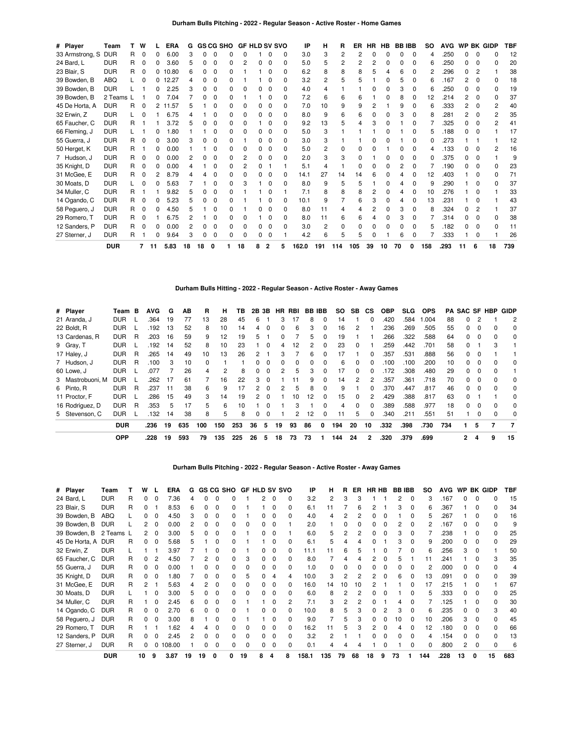| # Player        | Team       |    | W            |    | <b>ERA</b> | G  |    |   | <b>GS CG SHO</b> | <b>GF HLD SV SVO</b> |              |              |              | ΙP    | н              | R   | ER  | <b>HR</b> | HB | <b>BBIBB</b> |              | so  | <b>AVG</b> | <b>WP</b> |              | <b>BK GIDP</b> | <b>TBF</b> |
|-----------------|------------|----|--------------|----|------------|----|----|---|------------------|----------------------|--------------|--------------|--------------|-------|----------------|-----|-----|-----------|----|--------------|--------------|-----|------------|-----------|--------------|----------------|------------|
| 33 Armstrong, S | <b>DUR</b> | R  | $\Omega$     |    | 6.00       |    |    |   |                  |                      |              | O            | 0            | 3.0   | 3              | 2   | 2   | O         |    | ი            | 0            | 4   | .250       | ი         |              |                | 12         |
| 24 Bard, L      | <b>DUR</b> | R. | 0            |    | 3.60       |    |    |   |                  |                      | 0            | $\Omega$     | 0            | 5.0   |                | 2   | 2   |           |    |              | 0            | 6   | .250       | O.        | o            | n              | 20         |
| 23 Blair, S     | <b>DUR</b> | R  | 0            | 0  | 10.80      |    | 0  | C | 0                |                      |              | $\Omega$     | 0            | 6.2   | 8              | 8   |     | 5         |    | 6            | 0            | 2   | .296       | 0         | 2            |                | 38         |
| 39 Bowden, B    | ABQ        |    |              |    | 12.27      |    | o  |   |                  |                      |              | <sup>0</sup> | 0            | 3.2   | 2              | 5   |     |           |    | 5            | 0            | 6   | .167       | 2         |              |                | 18         |
| 39 Bowden, B    | <b>DUR</b> |    |              | n  | 2.25       |    | O  |   | 0                | O                    | <sup>0</sup> | $\Omega$     | 0            | 4.0   |                |     |     | 0         |    | 3            | 0            | 6   | .250       | 0         |              | 0              | 19         |
| 39 Bowden, B    | 2 Teams    |    |              |    | 7.04       |    |    |   | n                |                      |              | $\Omega$     | 0            | 7.2   | 6              | 6   |     |           |    | 8            | <sup>0</sup> | 12  | .214       | 2         | <sup>0</sup> |                | 37         |
| 45 De Horta, A  | <b>DUR</b> | R  | 0            | 2  | 11.57      |    |    |   |                  | n                    | n.           | $\Omega$     | 0            | 7.0   | 10             | 9   | 9   | 2         |    | 9            | <sup>0</sup> |     | .333       | 2         | <sup>0</sup> |                | 40         |
| 32 Erwin, Z     | <b>DUR</b> |    | 0            |    | 6.75       |    |    |   | n                |                      | n.           | <sup>0</sup> | <sup>0</sup> | 8.0   | 9              | 6   | հ   | n         |    | 3            | 0            |     | .281       |           | <sup>0</sup> |                | 35         |
| 65 Faucher, C   | <b>DUR</b> | R  |              |    | 3.72       |    | n  |   | o                |                      |              | 0            | <sup>0</sup> | 9.2   | 13             | 5   |     |           |    |              | 0            |     | .325       | 0         | 0            |                | 41         |
| 66 Fleming, J   | <b>DUR</b> |    |              |    | .80        |    |    |   |                  |                      | n.           | <sup>0</sup> | <sup>0</sup> | 5.0   | 3              |     |     |           |    |              | <sup>0</sup> |     | .188       | n         | <sup>0</sup> |                | 17         |
| 55 Guerra, J    | <b>DUR</b> | R  | $\Omega$     |    | 3.00       |    |    |   |                  |                      | 0            | $\Omega$     | <sup>0</sup> | 3.0   | 3              |     |     | 0         |    |              | 0            |     | .273       |           |              |                | 12         |
| 50 Herget, K    | <b>DUR</b> | R  |              | n  | 0.00       |    |    |   |                  |                      | <sup>0</sup> | $\Omega$     | <sup>0</sup> | 5.0   | 2              | n   | n   | n         |    |              | 0            |     | .133       |           | ŋ            |                | 16         |
| 7 Hudson, J     | <b>DUR</b> | R  |              |    | 0.00       |    |    |   |                  |                      | 0            | $\Omega$     | n            | 2.0   |                |     |     |           |    |              | 0            |     | .375       |           | ŋ            |                |            |
| 35 Knight, D    | <b>DUR</b> | R  | 0            |    | 0.00       |    |    |   |                  |                      | 0            |              |              | 5.1   |                |     |     |           |    | 2            | 0            |     | .190       | O.        | 0            |                | 23         |
| 31 McGee, E     | <b>DUR</b> | R  |              |    | 8.79       |    |    |   |                  |                      | <sup>0</sup> | $\Omega$     | 0            | 14.1  | 27             | 14  | 14  |           |    |              | ŋ            | 12  | .403       |           |              |                | 71         |
| 30 Moats, D     | <b>DUR</b> |    |              |    | 5.63       |    |    | O | 0                | 3                    |              | $\Omega$     | 0            | 8.0   | 9              | 5   | 5   |           |    |              | 0            | 9   | .290       |           | 0            |                | 37         |
| 34 Muller, C    | <b>DUR</b> | R  |              |    | 9.82       |    |    |   |                  |                      |              | <sup>0</sup> |              | 7.1   |                | 8   |     |           |    |              | 0            | 10  | .276       |           | <sup>0</sup> |                | 33         |
| 14 Ogando, C    | <b>DUR</b> | R  | 0            |    | 5.23       |    | n  |   |                  |                      |              | <sup>0</sup> | 0            | 10.1  | 9              |     | 6   | 3         |    |              | 0            | 13  | .231       |           | 0            |                | 43         |
| 58 Peguero, J   | <b>DUR</b> | R  | <sup>0</sup> |    | 4.50       |    |    |   |                  |                      | n.           | <sup>0</sup> | <sup>0</sup> | 8.0   | 11             |     |     |           |    | 3            | <sup>0</sup> | 8   | .324       | n         | 2            |                | 37         |
| 29 Romero, T    | <b>DUR</b> | R  | 0            |    | 6.75       |    |    |   | o                | O                    |              | 0            | 0            | 8.0   | 11             | 6   | 6   |           |    | 3            | <sup>0</sup> |     | .314       | n         | 0            | <sup>0</sup>   | 38         |
| 12 Sanders, P   | <b>DUR</b> | R  | 0            | 0  | 0.00       |    |    |   |                  | O                    | 0            | 0            | <sup>0</sup> | 3.0   | $\overline{c}$ | 0   | n   | o         |    | n            | 0            |     | .182       | n         | 0            | 0              | 11         |
| 27 Sterner, J   | <b>DUR</b> | R  |              | 0  | 9.64       |    | 0  |   | 0                | O                    | 0            | 0            |              | 4.2   | 6              | 5   | 5   | n         |    | 6            | 0            |     | .333       |           |              |                | 26         |
|                 | <b>DUR</b> |    |              | 11 | 5.83       | 18 | 18 | O |                  | 18                   |              |              |              | 162.0 | 191            | 114 | 105 | 39        | 10 | 70           |              | 158 | .293       |           |              | 18             | 739        |

**Durham Bulls Hitting - 2022 - Regular Season - Active Roster - Away Games**

| # Player         | Team       | в | <b>AVG</b> | G  | AВ  | R   | н   | ГΒ  | 2Β | 3Β       | HR.      | <b>RBI</b> | BB. | IBB | SO. | <b>SB</b>    | СS           | OBP  | <b>SLG</b> | <b>OPS</b> | PА  |              |          | SAC SF HBP   | GIDP     |
|------------------|------------|---|------------|----|-----|-----|-----|-----|----|----------|----------|------------|-----|-----|-----|--------------|--------------|------|------------|------------|-----|--------------|----------|--------------|----------|
| 21 Aranda, J     | DUR        |   | .364       | 19 | 77  | 13  | 28  | 45  | 6  |          | з        | 17         | 8   | 0   | 14  |              | <sup>0</sup> | .420 | .584       | 1.004      | 88  |              |          |              | 2        |
| 22 Boldt, R      | DUR        |   | .192       | 13 | 52  | 8   | 10  | 14  | 4  | 0        | $\Omega$ | 6          | 3   | 0   | 16  | 2            |              | 236  | .269       | .505       | 55  | 0            | $\Omega$ | 0            | 0        |
| 13 Cardenas, R   | <b>DUR</b> | R | .203       | 16 | 59  | 9   | 12  | 19  | 5  |          |          |            | 5   | 0   | 19  |              |              | .266 | .322       | .588       | 64  | 0            | $\Omega$ | 0            | 0        |
| 9 Gray, T        | DUR        |   | .192       | 14 | 52  | 8   | 10  | 23  |    | $\Omega$ |          | 12         | 2   | 0   | 23  | 0            |              | 259  | .442       | .701       | 58  | 0            |          | 3            |          |
| 17 Haley, J      | DUR        | R | .265       | 14 | 49  | 10  | 13  | 26  | 2  |          | 3        |            | 6   | 0   | 17  |              |              | .357 | .531       | .888       | 56  | 0            | 0        |              |          |
| 7 Hudson, J      | DUR        | R | .100       | 3  | 10  | 0   |     |     |    |          | 0        | 0          | 0   | 0   | 6   | 0            | 0            | .100 | .100       | .200       | 10  |              | 0        |              | 0        |
| 60 Lowe, J       | <b>DUR</b> |   | .077       |    | 26  | 4   | 2   | 8   |    | $\Omega$ |          | 5          | 3   | 0   | 17  | $\Omega$     | $\Omega$     | 172  | .308       | .480       | 29  | 0            | 0        | 0            |          |
| 3 Mastrobuoni. M | DUR        |   | .262       | 17 | 61  |     | 16  | 22  | 3  | $\Omega$ |          |            | 9   | 0   | 14  | 2            | 2            | .357 | .361       | .718       | 70  | 0            | $\Omega$ | <sup>0</sup> | $\Omega$ |
| 6 Pinto, R       | DUR        | R | .237       | 11 | 38  | 6   | 9   | 17  | 2  | $\Omega$ | 2        | 5          | 8   | 0   | 9   |              | 0            | .370 | .447       | .817       | 46  |              | 0        |              | 0        |
| 11 Proctor, F    | DUR        |   | .286       | 15 | 49  | 3   | 14  | 19  |    |          |          | 10         | 12  | 0   | 15  | $\Omega$     | 2            | .429 | .388       | .817       | 63  | <sup>0</sup> |          |              | 0        |
| 16 Rodríguez, D  | <b>DUR</b> | R | .353       | 5  | 17  | 5   | 6   | 10  |    | $\Omega$ |          | 3          |     | 0   | 4   | <sup>0</sup> | <sup>0</sup> | .389 | .588       | .977       | 18  | <sup>0</sup> | $\Omega$ | <sup>0</sup> | 0        |
| 5 Stevenson, C   | <b>DUR</b> |   | .132       | 14 | 38  | 8   | 5   | 8   |    |          |          | 2          | 12  | 0   | 11  | 5.           | 0            | .340 | .211       | .551       | 51  |              | 0        |              | 0        |
|                  | <b>DUR</b> |   | .236       | 19 | 635 | 100 | 150 | 253 | 36 | 5        | 19       | 93         | 86  | 0   | 194 | 20           | 10           | .332 | .398       | .730       | 734 |              | 5        |              | 7        |
|                  | <b>OPP</b> |   | .228       | 19 | 593 | 79  | 135 | 225 | 26 | 5        | 18       | 73         | 73  |     | 144 | 24           | 2            | .320 | .379       | .699       |     | 2            | 4        | 9            | 15       |

### **Durham Bulls Pitching - 2022 - Regular Season - Active Roster - Away Games**

| # Player           | Team       |    | w  |              | <b>ERA</b> | G  |    |          | GS CG SHO |    | <b>GF HLD SV SVO</b> |   |              | ΙP    | н   | R. | ER | HR HB | <b>BBIBB</b> |   | so  | <b>AVG</b> | <b>WP</b> |          | <b>BK GIDP</b> | TBF |
|--------------------|------------|----|----|--------------|------------|----|----|----------|-----------|----|----------------------|---|--------------|-------|-----|----|----|-------|--------------|---|-----|------------|-----------|----------|----------------|-----|
| 24 Bard, L         | <b>DUR</b> | R  |    |              | 7.36       | 4  |    |          |           |    |                      |   | <sup>0</sup> | 3.2   | 2   |    |    |       |              | n | 3   | .167       |           |          |                | 15  |
| 23 Blair, S        | <b>DUR</b> | R  |    |              | 8.53       | 6  |    |          |           |    |                      |   |              | 6.1   |     |    | 6  |       |              |   | 6   | .367       |           | 0        |                | 34  |
| 39 Bowden, B       | <b>ABQ</b> |    |    |              | 4.50       |    |    | O        |           |    | n                    |   |              | 4.0   |     |    |    |       |              |   | 5   | .267       |           | n        |                | 16  |
| 39 Bowden, B       | <b>DUR</b> |    |    | 0            | 0.00       |    |    | 0        |           | 0  | 0                    |   |              | 2.0   |     |    |    |       |              |   |     | .167       |           |          |                | 9   |
| 39 Bowden, B       | 2 Teams L  |    | 2  | 0            | 3.00       | 5. |    | O        |           |    | 0                    |   |              | 6.0   | 5   |    |    |       |              |   |     | 238        |           |          |                | 25  |
| 45 De Horta, A DUR |            | R  |    |              | 5.68       |    |    | O        |           |    |                      |   |              | 6.1   |     |    |    |       |              |   | 9   | .200       |           |          |                | 29  |
| 32 Erwin, Z        | <b>DUR</b> |    |    |              | 3.97       |    |    |          |           |    |                      |   |              | 11.1  |     |    |    |       |              |   | 6   | .256       |           |          |                | 50  |
| 65 Faucher, C      | <b>DUR</b> | R  |    |              | 4.50       |    |    | $\Omega$ |           | з  |                      |   |              | 8.0   |     |    |    |       |              |   |     | 241        |           |          |                | 35  |
| 55 Guerra, J       | <b>DUR</b> | R  |    |              | 0.00       |    |    | O        |           |    |                      |   |              | 1.0   |     |    |    |       |              |   | 2   | .000       |           |          |                | 4   |
| 35 Knight, D       | <b>DUR</b> | R  |    |              | .80        |    |    |          |           |    |                      |   |              | 10.0  | з   |    |    |       |              |   | 13  | .091       |           |          |                | 39  |
| 31 McGee, E        | <b>DUR</b> | R. |    |              | 5.63       |    |    | O        |           |    | O.                   |   |              | 16.0  | 14  | 10 | 10 |       |              |   | 17  | 215        |           |          |                | 67  |
| 30 Moats, D        | <b>DUR</b> |    |    | 0            | 3.00       | 5. |    | 0        |           | O. | 0                    | 0 |              | 6.0   | 8   |    |    |       |              |   | 5   | .333       | 0         | O        |                | 25  |
| 34 Muller, C       | <b>DUR</b> | R. |    | <sup>0</sup> | 2.45       | 6  |    | O        |           |    |                      |   |              | 7.1   | з   |    |    |       |              |   |     | .125       |           | $\Omega$ |                | 30  |
| 14 Ogando, C       | <b>DUR</b> | R  |    |              | 2.70       |    |    |          |           |    |                      |   |              | 10.0  | 8   |    | з  |       |              |   | 6   | .235       |           |          |                | 40  |
| 58 Peguero, J      | <b>DUR</b> | R. |    |              | 3.00       |    |    | n        |           |    |                      |   |              | 9.0   |     |    |    |       | 10           |   | 10  | .206       |           |          |                | 45  |
| 29 Romero, T       | <b>DUR</b> | R  |    |              | .62        |    |    | $\Omega$ |           |    |                      |   |              | 16.2  | 11  |    | з  |       |              |   | 12  | .180       |           |          |                | 66  |
| 12 Sanders, P      | <b>DUR</b> | R  |    |              | 2.45       |    |    |          |           |    |                      |   |              | 3.2   |     |    |    |       |              |   |     | .154       |           |          |                | 13  |
| 27 Sterner, J      | <b>DUR</b> | R  | 0  | $\Omega$     | 108.00     |    |    |          |           |    |                      |   |              | 0.1   |     |    |    |       |              |   | 0   | .800       |           |          |                | 6   |
|                    | <b>DUR</b> |    | 10 | 9            | 3.87       | 19 | 19 |          |           | 19 |                      |   | 8            | 158.1 | 135 | 79 | 68 | 18    | 73           |   | 144 | .228       | 13        |          | 15             | 683 |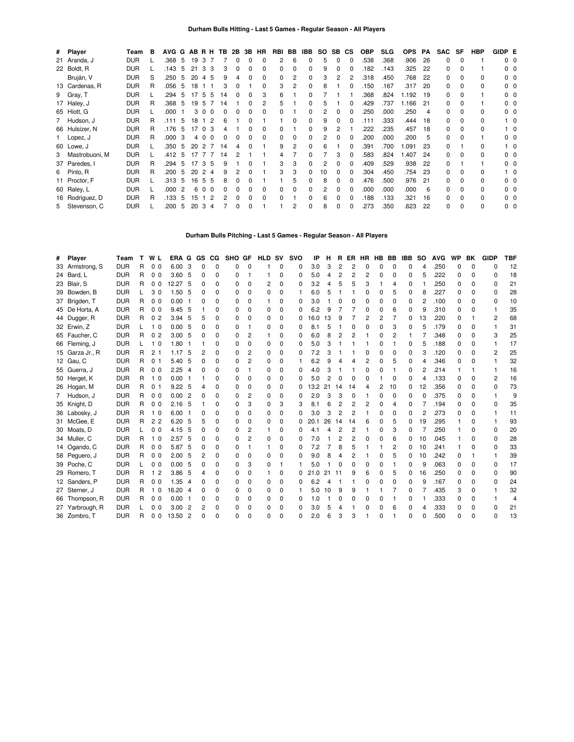| # Player         | Team       | в | AVG G AB R H TB 2B 3B HR |                |    |                      |    |   |   |              | RBI          | BB           | IBB          | SO. | SB.          | <b>CS</b> | <b>OBP</b> | <b>SLG</b> | <b>OPS</b> | РA  | <b>SAC</b> | SF           | HBP | GIDP E         |                |
|------------------|------------|---|--------------------------|----------------|----|----------------------|----|---|---|--------------|--------------|--------------|--------------|-----|--------------|-----------|------------|------------|------------|-----|------------|--------------|-----|----------------|----------------|
| 21 Aranda, J     | <b>DUR</b> |   | .368 5                   |                | 19 | 3                    |    |   |   |              |              | 6            | 0            | 5   | 0            |           | .538       | .368       | .906       | 26  | $\Omega$   | $\Omega$     |     |                | $0\quad 0$     |
| 22 Boldt, R      | <b>DUR</b> |   | .143                     | 5              | 21 | 3<br>3               |    | 0 | 0 |              | 0            | $\Omega$     | $\Omega$     | 9   |              |           | 182        | .143       | 325        | 22  | $\Omega$   | 0            |     | ი ი            |                |
| Bruján, V        | <b>DUR</b> | S | .250                     | -5             | 20 | 4<br>-5              | 9  |   |   |              | 0            |              | $\Omega$     |     |              |           | .318       | .450       | .768       | 22  | $\Omega$   |              | 0   |                | $0\quad 0$     |
| 13 Cardenas, R   | <b>DUR</b> | R | .056                     | - 5            | 18 |                      |    |   |   |              | 3            | 2            | $\Omega$     |     |              |           | 150        | .167       | .317       | 20  | $\Omega$   |              | 0   |                | $0\quad 0$     |
| 9 Gray, T        | <b>DUR</b> |   | .294                     | -5             | 17 | 5<br>5               | 14 |   | O | 3            | 6            |              | $\Omega$     |     |              |           | .368       | .824       | 1.192      | 19  | $\Omega$   |              |     |                | $0\quad 0$     |
| 17 Haley, J      | <b>DUR</b> | R | .368 5                   |                | 19 | -5                   | 14 |   |   | 2            | 5            |              | 0            |     |              |           | .429       | .737       | 1.166      | -21 | $\Omega$   |              |     |                | $0\quad 0$     |
| 65 Hiott, G      | <b>DUR</b> |   | .000                     |                | 3  | $\Omega$<br>$\Omega$ | ŋ  |   |   |              | <sup>0</sup> |              | $\Omega$     |     | 0            |           | .250       | .000       | .250       | 4   | $\Omega$   |              | 0   |                | $0\quad 0$     |
| 7 Hudson, J      | <b>DUR</b> | R | .111                     | -5             | 18 |                      | 6  |   |   |              |              | <sup>0</sup> | $\Omega$     | 9   |              |           | .111       | .333       | .444       | 18  | 0          | <sup>0</sup> | 0   |                | - റ            |
| 66 Hulsizer, N   | <b>DUR</b> | R | .176                     | -5             | 17 | $\Omega$             |    |   |   |              | <sup>0</sup> |              | $\Omega$     | 9   |              |           | 222        | .235       | .457       | 18  | 0          | <sup>0</sup> | 0   |                | $\bigcirc$     |
| 1 Lopez, J       | <b>DUR</b> | R | .000                     | -3             |    | 4 0<br>$\Omega$      | ŋ  |   |   | <sup>o</sup> | <sup>0</sup> | $\Omega$     | $\Omega$     |     | <sup>0</sup> |           | 200        | .000       | .200       | 5   | 0          | $\Omega$     |     |                | $0\quad 0$     |
| 60 Lowe, J       | <b>DUR</b> |   | .350                     | -5             | 20 | 2                    | 14 | Δ | O |              | 9            | 2            | $\Omega$     |     |              |           | 391        | .700       | 1.091      | 23  | $\Omega$   |              | 0   |                | $\overline{0}$ |
| 3 Mastrobuoni, M | <b>DUR</b> |   | .412                     | .5             | 17 |                      | 14 |   |   |              |              |              |              |     |              |           | 583        | .824       | .407       | 24  | 0          | $\Omega$     | 0   |                | $0\quad 0$     |
| 37 Paredes, I    | <b>DUR</b> | R | .294                     | 5              | 17 | 3<br>-5              | 9  |   |   |              | 3            | 3            | $\Omega$     |     |              |           | .409       | .529       | .938       | 22  | $\Omega$   |              |     |                | 0 <sub>0</sub> |
| 6 Pinto, R       | <b>DUR</b> | R | .200                     | 5              | 20 | 4                    | 9  |   |   |              | 3            | 3            | <sup>0</sup> | 10  |              |           | 304        | .450       | .754       | 23  | $\Omega$   | $\Omega$     | 0   |                | 10             |
| 11 Proctor, F    | <b>DUR</b> |   | .313                     | -5             | 16 | 5<br>5               | 8  |   |   |              |              |              |              | 8   |              |           | .476       | .500       | .976       | 21  | O.         |              | 0   |                | 0 <sub>0</sub> |
| 60 Raley, L      | <b>DUR</b> |   | .000                     | $\overline{2}$ | 6  | $\Omega$<br>$\Omega$ | ŋ  |   |   |              | <sup>0</sup> | $\Omega$     | 0            |     |              |           | .000       | .000       | .000       | 6   | $\Omega$   | <sup>0</sup> | 0   | 0 <sub>0</sub> |                |
| 16 Rodríguez, D  | <b>DUR</b> | R | .133                     | 5              | 15 |                      | 2  |   | n |              | <sup>0</sup> |              | $\Omega$     |     |              |           | .188       | .133       | .321       | 16  | 0          | <sup>0</sup> | 0   | 0 <sub>0</sub> |                |
| 5 Stevenson, C   | <b>DUR</b> |   | .200                     | 5              | 20 | 3<br>4               |    |   |   |              |              | 2            | 0            | 8   | 0            |           | 273        | .350       | .623       | 22  | 0          | $\Omega$     | O   | 0 <sub>0</sub> |                |

### **Durham Bulls Pitching - Last 5 Games - Regular Season - All Players**

| Player          | Team       | т | W L            | ERA      | G              | GS                                      | CG.          | <b>SHO</b>   | GF           | <b>HLD</b> | sv       | svo | IP   | н  | R  | ER             | HR | HВ             | BВ           | IBB      | <b>SO</b> | <b>AVG</b> | WP           | BK       | <b>GIDP</b>    | TBF |
|-----------------|------------|---|----------------|----------|----------------|-----------------------------------------|--------------|--------------|--------------|------------|----------|-----|------|----|----|----------------|----|----------------|--------------|----------|-----------|------------|--------------|----------|----------------|-----|
| 33 Armstrong, S | <b>DUR</b> | R | 0 <sub>0</sub> | 6.00     | -3             | 0                                       | $\Omega$     | <sup>0</sup> | $\Omega$     |            | $\Omega$ | 0   | 3.0  | 3  | 2  | 2              | 0  | n              | O            | $\Omega$ | Δ         | .250       | 0            | $\Omega$ | n              | 12  |
| 24 Bard, L      | <b>DUR</b> | R | 0 <sub>0</sub> | 3.60, 5  |                | 0                                       | 0            | <sup>0</sup> |              |            | ŋ        | 0   | 5.0  | 4  | 2  | 2              | 2  | O              |              | 0        | 5         | .222       | 0            | O        | O              | 18  |
| 23 Blair, S     | <b>DUR</b> | R | 0 <sub>0</sub> | 12.27    | -5             | n                                       | $\Omega$     | <sup>0</sup> | $\Omega$     | 2          | $\Omega$ | 0   | 3.2  | 4  | 5  | 5              | 3  |                | 4            | $\Omega$ |           | .250       | 0            | $\Omega$ | $\Omega$       | 21  |
| 39 Bowden, B    | <b>DUR</b> |   | 3 <sub>0</sub> | 1.50 5   |                | 0                                       | <sup>0</sup> | <sup>0</sup> | <sup>0</sup> | $\Omega$   | 0        |     | 6.0  |    |    |                | 0  | $\Omega$       | 5            | 0        | 8         | .227       | 0            | O        | 0              | 28  |
| 37 Brigden, T   | <b>DUR</b> | R | 0 <sub>0</sub> | $0.00$ 1 |                | n                                       | <sup>0</sup> | <sup>0</sup> | 0            |            | 0        | 0   | 3.0  |    | 0  | O              | 0  | $\Omega$       | O            | 0        | 2         | .100       | O            | O        | $\Omega$       | 10  |
| 45 De Horta, A  | <b>DUR</b> | R | 0 <sub>0</sub> | 9.45     | - 5            |                                         | <sup>0</sup> | <sup>0</sup> | 0            | 0          | 0        | 0   | 6.2  | 9  |    | 7              | 0  | $\Omega$       | հ            | 0        | 9         | .310       | 0            | O        |                | 35  |
| 44 Dugger, R    | <b>DUR</b> | R | 0 <sub>2</sub> | 3.94     | 5              | 5                                       | $\Omega$     | <sup>0</sup> | <sup>0</sup> | 0          | ŋ        | 0   | 16.0 | 13 | 9  |                | 2  | $\overline{2}$ | 7            | 0        | 13        | .220       | 0            |          | 2              | 68  |
| 32 Erwin, Z     | <b>DUR</b> |   | 1 <sub>0</sub> | 0.00     | - 5            | 0                                       | 0            | O            |              | 0          | 0        | O   | 8.1  | 5  |    | 0              | ŋ  | $\Omega$       | 3            | 0        | 5         | .179       | 0            | O        |                | 31  |
| 65 Faucher, C   | <b>DUR</b> | R | 0 <sub>2</sub> | 3.00, 5  |                | 0                                       | 0            | 0            | 2            |            | 0        | 0   | 6.0  | 8  | 2  | 2              |    | $\Omega$       | 2            |          |           | .348       | 0            | 0        | 3              | 25  |
| 66 Fleming, J   | <b>DUR</b> |   | 1 <sub>0</sub> | $1.80$ 1 |                |                                         | 0            |              | $\Omega$     | 0          | 0        | 0   | 5.0  | 3  |    |                |    | $\Omega$       |              | 0        | 5         | .188       | 0            | 0        |                | 17  |
| 15 Garza Jr., R | <b>DUR</b> | R | 2 <sub>1</sub> | 1.17     | -5             | 2                                       | $\Omega$     | <sup>0</sup> | 2            | $\Omega$   | 0        | 0   | 7.2  | з  |    |                | 0  | $\Omega$       | O            | $\Omega$ | 3         | .120       | 0            | $\Omega$ | $\overline{2}$ | 25  |
| 12 Gau, C       | <b>DUR</b> | R | 0 <sub>1</sub> | 5.40     | -5             | n                                       | $\Omega$     | <sup>0</sup> | 2            | 0          | 0        |     | 6.2  | 9  | Δ  | Δ              | 2  | $\Omega$       | 5            | 0        | 4         | 346        | ŋ            | O        |                | 32  |
| 55 Guerra, J    | <b>DUR</b> | R | 0 <sub>0</sub> | 2.25     | $\overline{4}$ | 0                                       | <sup>0</sup> | O            |              | 0          | 0        | O   | 4.0  | З  |    |                | 0  | n              |              | 0        | 2         | .214       |              |          |                | 16  |
| 50 Herget, K    | <b>DUR</b> | R | 10             | $0.00$ 1 |                |                                         | $\Omega$     | <sup>0</sup> | <sup>0</sup> | $\Omega$   | 0        | 0   | 5.0  |    | 0  | $\Omega$       | 0  |                | O            | $\Omega$ | 4         | .133       | 0            | $\Omega$ | 2              | 16  |
| 26 Hogan, M     | <b>DUR</b> | R | 0 <sub>1</sub> | 9.22, 5  |                | 4                                       | <sup>0</sup> |              | 0            | 0          | ŋ        | O   | 13.2 | 21 | 14 | -14            | 4  | 2              | 10           | 0        | 12        | .356       | <sup>0</sup> | O        | O              | 73  |
| 7 Hudson, J     | <b>DUR</b> | R | 0 <sub>0</sub> | 0.002    |                | n                                       | <sup>0</sup> | <sup>0</sup> | 2            | 0          | 0        | 0   | 2.0  | 3  | 3  | 0              |    | $\Omega$       | O            | 0        | O         | .375       | <sup>0</sup> | O        |                | 9   |
| 35 Knight, D    | <b>DUR</b> | R | 0 <sub>0</sub> | 2.16     | -5             |                                         | 0            | 0            | 3            | 0          | 3        | 3   | 8.1  | 6  | 2  | 2              | 2  | $\Omega$       | 4            | 0        |           | .194       | 0            | 0        | O              | 35  |
| 36 Labosky, J   | <b>DUR</b> | R | 1 <sub>0</sub> | 6.00     | - 1            | n                                       | $\Omega$     | <sup>0</sup> | $\Omega$     | 0          | 0        | 0   | 3.0  | 3  | 2  | 2              |    | $\Omega$       | <sup>0</sup> | 0        | 2         | .273       | O            | O        |                | 11  |
| 31 McGee, E     | <b>DUR</b> | R | 2 <sub>2</sub> | 6.20, 5  |                | 5                                       | $\Omega$     | $\Omega$     | $\Omega$     | $\Omega$   | 0        | 0   | 20.1 | 26 | 14 | 14             | 6  | $\Omega$       | 5            | 0        | 19        | .295       |              | O        |                | 93  |
| 30 Moats, D     | <b>DUR</b> |   | 0 <sub>0</sub> | 4.15     | -5             | 0                                       | <sup>0</sup> | <sup>0</sup> | 2            |            | 0        | O   | 4.1  | 4  | 2  | $\overline{2}$ |    | $\Omega$       | 3            | 0        |           | .250       |              | O        | 0              | 20  |
| 34 Muller, C    | <b>DUR</b> | R | 1 <sub>0</sub> | 2.57     | -5             | n                                       | $\Omega$     | <sup>0</sup> | 2            | $\Omega$   | 0        | 0   | 7.0  |    | 2  | $\overline{2}$ | 0  | O              | 6            | 0        | 10        | .045       |              | $\Omega$ | $\Omega$       | 28  |
| 14 Ogando, C    | <b>DUR</b> | R | 0 <sub>0</sub> | 5.87     | -5             | 0                                       | 0            | O            |              |            | 0        | 0   | 7.2  |    | 8  | 5              |    |                | 2            | 0        | 10        | .241       |              | $\Omega$ | O              | 33  |
| 58 Peguero, J   | <b>DUR</b> | R | 0 <sub>0</sub> | 2.00, 5  |                | 2                                       | 0            | <sup>0</sup> | <sup>0</sup> | 0          | ŋ        | 0   | 9.0  | 8  | 4  | 2              |    | $\Omega$       | 5            | 0        | 10        | .242       | 0            |          |                | 39  |
| 39 Poche, C     | <b>DUR</b> |   | 0 <sub>0</sub> | 0.005    |                | n                                       | <sup>0</sup> | <sup>0</sup> | 3            | $\Omega$   |          |     | 5.0  |    | 0  | O              | 0  | $\Omega$       |              | 0        | 9         | .063       | 0            | $\Omega$ | 0              | 17  |
| 29 Romero, T    | <b>DUR</b> | R | 1 <sub>2</sub> | 3.86     | -5             | 4                                       | <sup>0</sup> | <sup>0</sup> | $\Omega$     |            | 0        | 0   | 21.0 | 21 | 11 | 9              | 6  | $\Omega$       | 5            | 0        | 16        | .250       | <sup>0</sup> | O        | $\Omega$       | 90  |
| 12 Sanders, P   | <b>DUR</b> | R | 0 <sub>0</sub> | 1.35     | - 4            | n                                       | <sup>0</sup> | <sup>0</sup> | <sup>0</sup> | 0          | 0        | 0   | 6.2  |    |    |                | ŋ  | $\Omega$       | O            | 0        | 9         | .167       | O            | O        | $\Omega$       | 24  |
| 27 Sterner, J   | <b>DUR</b> | R | 10             |          |                | 0                                       | 0            | <sup>0</sup> | 0            | 0          | 0        |     | 5.0  | 10 | 9  | 9              |    |                |              | 0        |           | .435       | 3            | O        |                | 32  |
| 66 Thompson, R  | <b>DUR</b> | R | 0 <sub>0</sub> |          |                | በ                                       | $\Omega$     | <sup>0</sup> | $\Omega$     | 0          | 0        | 0   | 1.0  |    | 0  | 0              | 0  | $\Omega$       |              | 0        |           | .333       | 0            | 0        |                | 4   |
| 27 Yarbrough, R | <b>DUR</b> |   | 0 <sub>0</sub> |          |                | 2                                       | $\Omega$     |              | <sup>0</sup> | 0          | ŋ        | O   | 3.0  | 5  | 4  |                | ŋ  | $\Omega$       | 6            | 0        | Δ         | .333       | 0            | $\Omega$ | O              | 21  |
| 36 Zombro, T    | <b>DUR</b> | R | 0 <sub>0</sub> |          |                |                                         | $\Omega$     | n            | n            | 0          | U        | O   | 2.0  |    | 3  |                |    |                |              |          |           | 500        |              | $\Omega$ | $\Omega$       | 13  |
|                 |            |   |                |          |                | 16.20 4<br>$0.00$ 1<br>3.002<br>13.50 2 |              |              |              |            |          |     |      |    |    |                |    |                |              |          |           |            |              |          |                |     |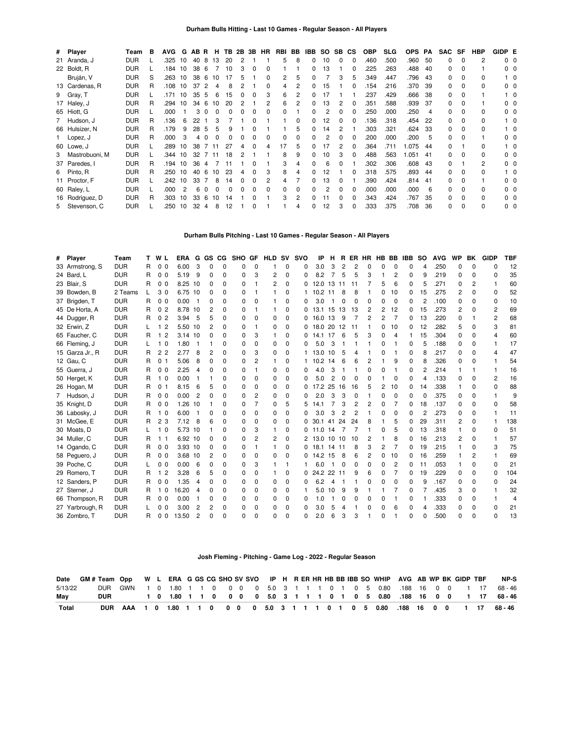| # Player         | Team       | в | AVG. | G  | AB R |            | н        | TB. | 2B | 3B | <b>HR</b> | RBI | BB       | IBB | SO. | SB. | СS | <b>OBP</b> | <b>SLG</b> | <b>OPS</b> | PA | <b>SAC</b>   | SF       | <b>HBP</b>     | GIDP E         |                   |
|------------------|------------|---|------|----|------|------------|----------|-----|----|----|-----------|-----|----------|-----|-----|-----|----|------------|------------|------------|----|--------------|----------|----------------|----------------|-------------------|
| 21 Aranda, J     | <b>DUR</b> |   | .325 | 10 | 40   | 8          | 13       | 20  |    |    |           | 5   | 8        | 0   | 10  | 0   | 0  | .460       | .500       | .960       | 50 | 0            | $\Omega$ | $\overline{c}$ |                | $0\quad 0$        |
| 22 Boldt, R      | <b>DUR</b> |   | .184 | 10 | 38   | -6         |          | 10  | 3  | 0  | 0         |     |          | 0   | 13  |     | 0  | .225       | .263       | .488       | 40 | 0            | $\Omega$ |                |                | $0\quad 0$        |
| Bruján, V        | <b>DUR</b> | S | .263 | 10 | 38   | -6         | 10       | 17  | 5  |    |           | 2   | 5        |     |     | 3   | 5  | .349       | .447       | .796       | 43 | 0            |          | 0              |                | $^{\circ}$ 0      |
| 13 Cardenas, R   | <b>DUR</b> | R | .108 | 10 | 37   | 2          | 4        | 8   |    |    | 0         | 4   | 2        |     | 15  |     |    | .154       | .216       | .370       | 39 | 0            |          | <sup>0</sup>   |                | 0 <sub>0</sub>    |
| 9 Gray, T        | <b>DUR</b> |   | .171 | 10 | 35   | -5         | 6        | 15  |    |    | 3         | 6   | 2        |     |     |     |    | .237       | .429       | .666       | 38 | 0            |          |                |                | $1\quad$ $\Omega$ |
| 17 Haley, J      | <b>DUR</b> | R | .294 | 10 | 34   | -6         | 10       | 20  |    |    |           | 6   | 2        |     | 13  |     |    | .351       | .588       | .939       | 37 | 0            |          |                |                | 0 <sub>0</sub>    |
| 65 Hiott, G      | <b>DUR</b> |   | .000 |    | 3    |            |          |     |    |    |           |     |          |     |     |     |    | .250       | .000       | .250       | 4  | 0            |          | <sup>0</sup>   |                | 0 <sub>0</sub>    |
| 7 Hudson, J      | <b>DUR</b> | R | .136 | 6  | 22   |            |          |     |    |    |           |     | 0        | 0   | 12  |     |    | .136       | .318       | .454       | 22 | 0            |          | 0              |                | 1 0               |
| 66 Hulsizer, N   | <b>DUR</b> | R | .179 | 9  | 28   | 5          | 5        |     |    |    |           |     | 5        | 0   | 14  |     |    | .303       | .321       | .624       | 33 | 0            | $\Omega$ | <sup>0</sup>   |                | 1 0               |
| 1 Lopez, J       | <b>DUR</b> | R | .000 | 3  | 4    |            |          |     |    |    |           |     | 0        | 0   |     | 0   |    | .200       | .000       | .200       | 5  | <sup>0</sup> | 0        |                |                | $0\quad 0$        |
| 60 Lowe, J       | <b>DUR</b> |   | .289 | 10 | 38   |            |          | 27  |    |    |           | 17  | 5        |     |     |     |    | 364        | .711       | .075       | 44 | 0            |          | 0              |                | _ റ               |
| 3 Mastrobuoni, M | <b>DUR</b> |   | .344 | 10 | 32   |            | 11       | 18  |    |    |           | 8   | 9        | O   | 10  | З   |    | .488       | .563       | .051       | 41 | O.           |          | 0              |                | $0\quad 0$        |
| 37 Paredes. I    | <b>DUR</b> | R | .194 | 10 | 36   | Δ          |          |     |    |    |           | 3   | 4        |     | 6   |     |    | .302       | .306       | .608       | 43 | O.           |          | $\overline{c}$ |                | 0 <sub>0</sub>    |
| 6 Pinto, R       | <b>DUR</b> | R | .250 | 10 | 40   | 6          | 10       | 23  |    |    | з         | 8   | 4        |     | 12  |     |    | .318       | .575       | .893       | 44 | O.           |          | 0              |                | $1\quad$ 0        |
| 11 Proctor, F    | <b>DUR</b> |   | 242  | 10 | 33   |            | 8        | 14  |    |    |           |     |          |     | 13  |     |    | 390        | .424       | .814       | 41 | 0            |          |                |                | 0 <sub>0</sub>    |
| 60 Raley, L      | <b>DUR</b> |   | .000 |    | 6    |            | $\Omega$ |     |    |    |           |     | $\Omega$ |     |     | O   |    | .000       | .000       | .000       | 6  | 0            |          | <sup>0</sup>   |                | 0 <sub>0</sub>    |
| 16 Rodríguez, D  | <b>DUR</b> | R | .303 | 10 | 33   | $\epsilon$ | 10       | 14  |    |    |           | 3   | 2        |     |     | O   |    | .343       | .424       | .767       | 35 | 0            |          | 0              | 0 <sub>0</sub> |                   |
| 5 Stevenson, C   | <b>DUR</b> |   | .250 | 10 | 32   | 4          | 8        | 12  |    |    |           |     |          |     | 12  | 3   | 0  | .333       | .375       | .708       | 36 | 0            | O        | 0              |                | 0 <sub>0</sub>    |

#### **Durham Bulls Pitching - Last 10 Games - Regular Season - All Players**

| # | Player          | Team       |    | W L            | ERA       | G              | GS CG          |          | <b>SHO</b> | GF           | <b>HLD</b> | sv       | <b>SVO</b> | IP       | н              | R   | ER             | HR         |                |                | HB BB IBB | so | <b>AVG</b> | WP           | ВK           | <b>GIDP</b>    | TBF |
|---|-----------------|------------|----|----------------|-----------|----------------|----------------|----------|------------|--------------|------------|----------|------------|----------|----------------|-----|----------------|------------|----------------|----------------|-----------|----|------------|--------------|--------------|----------------|-----|
|   | 33 Armstrong, S | <b>DUR</b> | R. | 0 <sub>0</sub> | 6.00      | 3              | $\Omega$       | O        | 0          | O            |            | 0        | 0          | 3.0      | 3              | 2   | 2              | $\sqrt{ }$ | O              | 0              | 0         |    | .250       | $\Omega$     | $\Omega$     | O              | 12  |
|   | 24 Bard, L      | <b>DUR</b> | R  | 0 <sub>0</sub> | 5.19      | 9              | 0              | ŋ        | 0          | З            | 2          | 0        | 0          | 8.2      | 7              | 5   | 5              | 3          |                | 2              | 0         | 9  | .219       | 0            | O            | O              | 35  |
|   | 23 Blair, S     | <b>DUR</b> | R  | 0 <sub>0</sub> | 8.25      | 10             | 0              | 0        | 0          |              | 2          | 0        | 0          | 12.0     | 13             | -11 | 11             |            | 5              | 6              | 0         | 5  | .271       | 0            | 2            |                | 60  |
|   | 39 Bowden, B    | 2 Teams    |    | 30             | 6.75 10   |                | 0              | 0        | 0          |              |            | 0        |            | 10.2     | -11            | 8   | 8              |            | 0              | 10             | 0         | 15 | .275       | 2            | <sup>0</sup> | 0              | 52  |
|   | 37 Brigden, T   | <b>DUR</b> | R  | 0 <sub>0</sub> | 0.00      |                | 0              | 0        | 0          | O            |            | 0        | 0          | 3.0      |                | 0   | $\Omega$       | 0          | 0              | $\Omega$       | 0         | 2  | .100       | 0            | $\Omega$     | 0              | 10  |
|   | 45 De Horta, A  | <b>DUR</b> | R  | 0 <sub>2</sub> | 8.78 10   |                | 2              | ŋ        | 0          |              |            | 0        | 0          | 13.1     | 15 13          |     | 13             | 2          | $\overline{c}$ | 12             | 0         | 15 | .273       | 2            | <sup>0</sup> | 2              | 69  |
|   | 44 Dugger, R    | <b>DUR</b> | R  | 0 <sub>2</sub> | 3.94      | 5              | 5              | $\Omega$ | 0          |              | $\Omega$   | $\Omega$ | 0          | 16.0     | 13             | 9   |                | 2          | 2              | $\overline{7}$ | 0         | 13 | .220       | O            |              | $\overline{c}$ | 68  |
|   | 32 Erwin, Z     | <b>DUR</b> |    | 1 <sub>2</sub> | 5.50 10   |                | 2              | 0        | 0          |              | $\Omega$   | 0        | 0          | 18.0     | 20             | 12  | 11             |            | 0              | 10             | 0         | 12 | .282       | 5            | U            | 3              | 81  |
|   | 65 Faucher, C   | <b>DUR</b> | R  | 1 <sub>2</sub> | $3.14$ 10 |                | $\Omega$       | $\Omega$ | 0          | З            | 1          | $\Omega$ | 0          | 14.1     | 17             | 6   | 5              | 3          | 0              | 4              |           | 15 | .304       | 0            | <sup>0</sup> | 4              | 60  |
|   | 66 Fleming, J   | <b>DUR</b> |    | 1 <sub>0</sub> | 1.80      |                |                | ŋ        | 0          | O            | 0          | 0        | 0          | 5.0      | 3              | -1  |                |            | 0              |                | 0         | 5  | .188       | 0            | <sup>0</sup> |                | 17  |
|   | 15 Garza Jr., R | <b>DUR</b> | R  | 2 <sub>2</sub> | 2.77      | 8              | 2              | ŋ        | 0          |              | $\Omega$   | 0        |            | 13.0     | 10             | 5   | 4              |            | n              |                | 0         | 8  | .217       | <sup>0</sup> | <sup>0</sup> | 4              | 47  |
|   | 12 Gau, C       | <b>DUR</b> | R  | 0 <sub>1</sub> | 5.06      | 8              | $\Omega$       | 0        | 0          | 2            |            | 0        |            | 10.2     | 14             | 6   | 6              | 2          |                | 9              | $\Omega$  | 8  | .326       | O            | n            |                | 54  |
|   | 55 Guerra, J    | <b>DUR</b> | R  | 0 <sub>0</sub> | 2.25      | $\overline{4}$ | $\Omega$       | $\Omega$ | 0          |              | 0          | $\Omega$ | 0          | 4.0      | 3              | 1   |                | $\Omega$   | 0              |                | 0         | 2  | .214       |              |              |                | 16  |
|   | 50 Herget, K    | <b>DUR</b> | R  | 1 <sub>0</sub> | 0.00      |                |                | 0        | 0          | <sup>0</sup> | $\Omega$   | $\Omega$ | 0          | 5.0      | $\overline{2}$ | 0   | 0              | $\Omega$   |                | $\Omega$       | $\Omega$  | 4  | .133       | 0            | $\Omega$     | 2              | 16  |
|   | 26 Hogan, M     | <b>DUR</b> | R  | 0 <sub>1</sub> | 8.15      | 6              | 5              | 0        | 0          | O            | 0          | 0        | 0          | 17.2     | 25             | 16  | 16             | 5          | 2              | 10             | 0         | 14 | .338       |              | <sup>0</sup> | O              | 88  |
|   | 7 Hudson, J     | <b>DUR</b> | R  | 0 <sub>0</sub> | 0.00      | 2              | 0              | 0        | 0          |              | $\Omega$   | $\Omega$ | 0          | 2.0      | 3              | 3   | 0              |            | 0              | $\Omega$       | 0         | C  | .375       | 0            | 0            |                | 9   |
|   | 35 Knight, D    | <b>DUR</b> | R  | 0 <sub>0</sub> | 1.26      | 10             |                | 0        | 0          |              | $\Omega$   | 5        | 5          | 14.1     |                | 3   | 2              | 2          | 0              |                | 0         | 18 | .137       | 0            | <sup>0</sup> | O              | 58  |
|   | 36 Labosky, J   | <b>DUR</b> | R  | 1 <sub>0</sub> | 6.00      |                | 0              | 0        | 0          | 0            | 0          | 0        | 0          | 3.0      | 3              | 2   | $\overline{2}$ |            | 0              | 0              | 0         | 2  | .273       | 0            | <sup>0</sup> |                | 11  |
|   | 31 McGee. E     | <b>DUR</b> | R  | 2 <sub>3</sub> | 7.12      | 8              | 6              | $\Omega$ | 0          | 0            | $\Omega$   | $\Omega$ | 0          | 30.1     | 41             | 24  | 24             | 8          |                | 5              | 0         | 29 | .311       | 2            | 0            |                | 138 |
|   | 30 Moats, D     | <b>DUR</b> |    | 1 <sub>0</sub> | 5.73 10   |                |                | 0        | 0          | 3            |            | 0        | 0          | 11.0     | 14             | 7   | 7              |            | 0              | 5              | 0         | 13 | .318       |              | <sup>0</sup> | O              | 51  |
|   | 34 Muller, C    | <b>DUR</b> | R  | 11             | 6.92 10   |                | 0              | ŋ        | 0          | 2            | 2          | 0        | 2          | 13.0     | 10             | 10  | 10             | 2          |                | 8              | 0         | 16 | .213       | 2            | <sup>0</sup> |                | 57  |
|   | 14 Ogando, C    | <b>DUR</b> | R  | 0 <sub>0</sub> | 3.93 10   |                | 0              | 0        | 0          |              |            | 0        | 0          | 18<br>.1 | 14 11          |     | 8              | 3          | 2              | 7              | 0         | 19 | .215       |              | <sup>0</sup> | 3              | 75  |
|   | 58 Peguero, J   | <b>DUR</b> | R  | 0 <sub>0</sub> | 3.68 10   |                | 2              | 0        | 0          |              | 0          | 0        | 0          | 14.2 15  |                | 8   | 6              | 2          | 0              | 10             | 0         | 16 | .259       |              |              |                | 69  |
|   | 39 Poche, C     | <b>DUR</b> |    | 0 <sub>0</sub> | 0.00      | 6              | $\Omega$       | $\Omega$ | 0          | 3            |            |          |            | 6.0      | -1             | 0   | 0              | $\Omega$   | 0              | 2              | 0         | 11 | .053       |              | 0            | 0              | 21  |
|   | 29 Romero, T    | <b>DUR</b> | R  | 1 <sub>2</sub> | 3.28      | 6              | 5              | 0        | 0          | O            |            | 0        | 0          | 24.2 22  |                | 11  | 9              | 6          | 0              |                | 0         | 19 | .229       | 0            | <sup>0</sup> | 0              | 104 |
|   | 12 Sanders, P   | <b>DUR</b> | R  | 0 <sub>0</sub> | 1.35      | 4              | 0              | ŋ        | 0          | O            | 0          | 0        | 0          | 6.2      | 4              | -1  |                | 0          | 0              | 0              | 0         | 9  | .167       | 0            | <sup>0</sup> | O              | 24  |
|   | 27 Sterner, J   | <b>DUR</b> | R  | 1 <sub>0</sub> | 16.20     | 4              | 0              | 0        | 0          | O            | 0          | 0        |            | 5.0      | 10             | 9   | 9              |            |                |                | 0         |    | .435       | 3            | <sup>0</sup> |                | 32  |
|   | 66 Thompson, R  | <b>DUR</b> | R  | 0 <sub>0</sub> | 0.00      |                | $\Omega$       | 0        | 0          | 0            | 0          | 0        | 0          | 1.0      |                | 0   | 0              | 0          | 0              |                | 0         |    | .333       | 0            | <sup>0</sup> |                | 4   |
|   | 27 Yarbrough, R | <b>DUR</b> |    | 0 <sub>0</sub> | 3.00      | $\overline{2}$ | $\overline{c}$ | 0        | 0          | 0            | $\Omega$   | $\Omega$ | 0          | 3.0      | 5              | 4   |                | 0          | 0              | 6              | 0         | Δ  | .333       | 0            | $\Omega$     | 0              | 21  |
|   | 36 Zombro, T    | <b>DUR</b> | R  | 0 <sub>0</sub> | 13.50     | 2              | <sup>0</sup>   | ŋ        | 0          |              | ŋ          | $\Omega$ | 0          | 2.0      | 6              | 3   | 3              |            | n              |                | ŋ         |    | .500       | n            | $\Omega$     | $\Omega$       | 13  |

### **Josh Fleming - Pitching - Game Log - 2022 - Regular Season**

|         | Date GM # Team Opp W L ERA G GS CG SHO SV SVO IP H R ER HR HB BB IBB SO WHIP AVG AB WP BK GIDP TBF |  |  |  |  |  |  |  |  |  |  |  |  |  | NP-S                                                                         |
|---------|----------------------------------------------------------------------------------------------------|--|--|--|--|--|--|--|--|--|--|--|--|--|------------------------------------------------------------------------------|
| 5/13/22 |                                                                                                    |  |  |  |  |  |  |  |  |  |  |  |  |  | DUR GWN 1 0 1.80 1 1 0 0 0 0 5.0 3 1 1 1 0 1 0 5 0.80 188 16 0 0 1 17 68 -46 |
| May     | <b>DUR</b>                                                                                         |  |  |  |  |  |  |  |  |  |  |  |  |  | 1 0 1.80 1 1 0 0 0 0 5.0 3 1 1 1 0 1 0 5 0.80 1.88 16 0 0 1 17 68-46         |
| Total   |                                                                                                    |  |  |  |  |  |  |  |  |  |  |  |  |  | DUR AAA 1 0 1.80 1 1 0 0 0 0 5.0 3 1 1 1 0 1 0 5 0.80 188 16 0 0 1 17 68-46  |